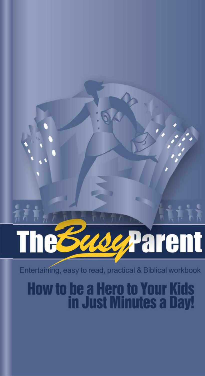# Parent

Entertaining, easy to read, practical & Biblical workbook

# **How to be a Hero to Your Kids<br>in Just Minutes a Day!**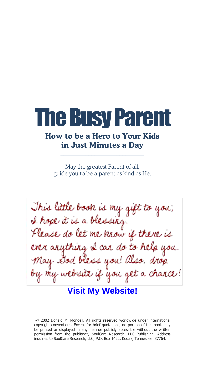# **The Busy Par**

# **How to be a Hero to Your Kids in Just Minutes a Day**

 $\frac{1}{2}$  ,  $\frac{1}{2}$  ,  $\frac{1}{2}$  ,  $\frac{1}{2}$  ,  $\frac{1}{2}$  ,  $\frac{1}{2}$  ,  $\frac{1}{2}$  ,  $\frac{1}{2}$  ,  $\frac{1}{2}$  ,  $\frac{1}{2}$  ,  $\frac{1}{2}$  ,  $\frac{1}{2}$  ,  $\frac{1}{2}$  ,  $\frac{1}{2}$  ,  $\frac{1}{2}$  ,  $\frac{1}{2}$  ,  $\frac{1}{2}$  ,  $\frac{1}{2}$  ,  $\frac{1$ 

May the greatest Parent of all, guide you to be a parent as kind as He.

This little book is my gift to you; I hope it is a blessing. Please do let me know if there is ever arything I can do to help you. May Dod bless you! Also, drop by my website if you get a chance! **[Visit My Website!](http://www.feedmysheep.info)**

© 2002 Donald M. Mondell. All rights reserved worldwide under international copyright conventions. Except for brief quotations, no portion of this book may be printed or displayed in any manner publicly accessible without the written permission from the publisher, SoulCare Research, LLC Publishing. Address inquiries to SoulCare Research, LLC, P.O. Box 1422, Kodak, Tennessee 37764.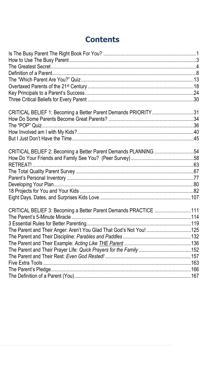# **Contents**

| CRITICAL BELIEF 1: Becoming a Better Parent Demands PRIORITY31      |  |
|---------------------------------------------------------------------|--|
|                                                                     |  |
|                                                                     |  |
|                                                                     |  |
|                                                                     |  |
| CRITICAL BELIEF 2: Becoming a Better Parent Demands PLANNING 54     |  |
|                                                                     |  |
|                                                                     |  |
|                                                                     |  |
|                                                                     |  |
|                                                                     |  |
|                                                                     |  |
|                                                                     |  |
| CRITICAL BELIEF 3: Becoming a Better Parent Demands PRACTICE 111    |  |
|                                                                     |  |
|                                                                     |  |
| The Parent and Their Anger: Aren't You Glad That God's Not You! 125 |  |
|                                                                     |  |
|                                                                     |  |
|                                                                     |  |
|                                                                     |  |
|                                                                     |  |
|                                                                     |  |
|                                                                     |  |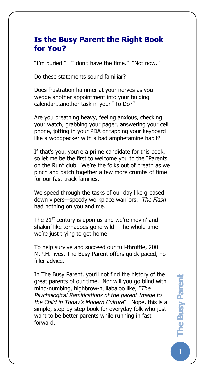# **Is the Busy Parent the Right Book for You?**

"I'm buried." "I don't have the time." "Not now."

Do these statements sound familiar?

The Busy Pare

Does frustration hammer at your nerves as you wedge another appointment into your bulging calendar…another task in your "To Do?"

Are you breathing heavy, feeling anxious, checking your watch, grabbing your pager, answering your cell phone, jotting in your PDA or tapping your keyboard like a woodpecker with a bad amphetamine habit?

If that's you, you're a prime candidate for this book, so let me be the first to welcome you to the "Parents on the Run" club. We're the folks out of breath as we pinch and patch together a few more crumbs of time for our fast-track families.

We speed through the tasks of our day like greased down vipers—speedy workplace warriors. *The Flash* had nothing on you and me.

The 21 $^{\rm st}$  century is upon us and we're movin' and shakin' like tornadoes gone wild. The whole time we're just trying to get home.

To help survive and succeed our full-throttle, 200 M.P.H. lives, The Busy Parent offers quick-paced, nofiller advice.

In The Busy Parent, you'll not find the history of the great parents of our time. Nor will you go blind with mind-numbing, highbrow-hullabaloo like, *"The Psychological Ramifications of the parent Image to the Child in Today's Modern Culture*". Nope, this is a simple, step-by-step book for everyday folk who just want to be better parents while running in fast forward.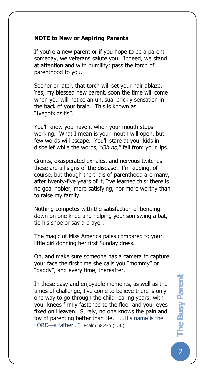#### **NOTE to New or Aspiring Parents**

The Busy Pare

If you're a new parent or if you hope to be a parent someday, we veterans salute you. Indeed, we stand at attention and with humility; pass the torch of parenthood to you.

Sooner or later, that torch will set your hair ablaze. Yes, my blessed new parent, soon the time will come when you will notice an unusual prickly sensation in the back of your brain. This is known as "Ivegotkidsitis".

You'll know you have it when your mouth stops working. What I mean is your mouth will open, but few words will escape. You'll stare at your kids in disbelief while the words, "*Oh no*," fall from your lips.

Grunts, exasperated exhales, and nervous twitches these are all signs of the disease. I'm kidding, of course, but though the trials of parenthood are many, after twenty-five years of it, I've learned this: there is no goal nobler, more satisfying, nor more worthy than to raise my family.

Nothing competes with the satisfaction of bending down on one knee and helping your son swing a bat, tie his shoe or say a prayer.

The magic of Miss America pales compared to your little girl donning her first Sunday dress.

Oh, and make sure someone has a camera to capture your face the first time she calls you "mommy" or "daddy", and every time, thereafter.

In these easy and enjoyable moments, as well as the times of challenge, I've come to believe there is only one way to go through the child rearing years: with your knees firmly fastened to the floor and your eyes fixed on Heaven. Surely, no one knows the pain and joy of parenting better than He. "…His name is the LORD—a father…" Psalm 68:4-5 (L.B.)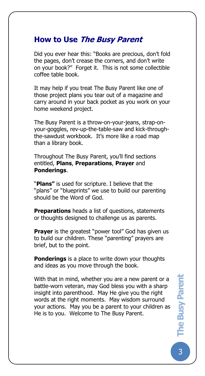### **How to Use The Busy Parent**

The Busy Pare

Did you ever hear this: "Books are precious, don't fold the pages, don't crease the corners, and don't write on your book?" Forget it. This is not some collectible coffee table book.

It may help if you treat The Busy Parent like one of those project plans you tear out of a magazine and carry around in your back pocket as you work on your home weekend project.

The Busy Parent is a throw-on-your-jeans, strap-onyour-goggles, rev-up-the-table-saw and kick-throughthe-sawdust workbook. It's more like a road map than a library book.

Throughout The Busy Parent, you'll find sections entitled, **Plans**, **Preparations**, **Prayer** and **Ponderings**.

"**Plans"** is used for scripture. I believe that the "plans" or "blueprints" we use to build our parenting should be the Word of God.

**Preparations** heads a list of questions, statements or thoughts designed to challenge us as parents.

**Prayer** is the greatest "power tool" God has given us to build our children. These "parenting" prayers are brief, but to the point.

**Ponderings** is a place to write down your thoughts and ideas as you move through the book.

With that in mind, whether you are a new parent or a battle-worn veteran, may God bless you with a sharp insight into parenthood. May He give you the right words at the right moments. May wisdom surround your actions. May you be a parent to your children as He is to you. Welcome to The Busy Parent.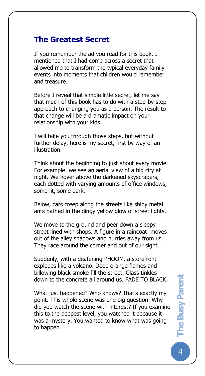# **The Greatest Secret**

The Busy Pare

If you remember the ad you read for this book, I mentioned that I had come across a secret that allowed me to transform the typical everyday family events into moments that children would remember and treasure.

Before I reveal that simple little secret, let me say that much of this book has to do with a step-by-step approach to changing you as a person. The result to that change will be a dramatic impact on your relationship with your kids.

I will take you through those steps, but without further delay, here is my secret, first by way of an illustration.

Think about the beginning to just about every movie. For example: we see an aerial view of a big city at night. We hover above the darkened skyscrapers, each dotted with varying amounts of office windows, some lit, some dark.

Below, cars creep along the streets like shiny metal ants bathed in the dingy yellow glow of street lights.

We move to the ground and peer down a sleepy street lined with shops. A figure in a raincoat moves out of the alley shadows and hurries away from us. They race around the corner and out of our sight.

Suddenly, with a deafening PHOOM, a storefront explodes like a volcano. Deep orange flames and billowing black smoke fill the street. Glass tinkles down to the concrete all around us. FADE TO BLACK.

What just happened? Who knows? That's exactly my point. This whole scene was one big question. Why did you watch the scene with interest? If you examine this to the deepest level, you watched it because it was a mystery. You wanted to know what was going to happen.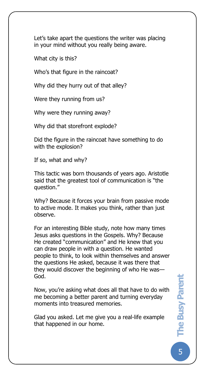Let's take apart the questions the writer was placing in your mind without you really being aware.

What city is this?

The Busy Pare

Who's that figure in the raincoat?

Why did they hurry out of that alley?

Were they running from us?

Why were they running away?

Why did that storefront explode?

Did the figure in the raincoat have something to do with the explosion?

If so, what and why?

This tactic was born thousands of years ago. Aristotle said that the greatest tool of communication is "the question."

Why? Because it forces your brain from passive mode to active mode. It makes you think, rather than just observe.

For an interesting Bible study, note how many times Jesus asks questions in the Gospels. Why? Because He created "communication" and He knew that you can draw people in with a question. He wanted people to think, to look within themselves and answer the questions He asked, because it was there that they would discover the beginning of who He was— God.

Now, you're asking what does all that have to do with me becoming a better parent and turning everyday moments into treasured memories.

Glad you asked. Let me give you a real-life example that happened in our home.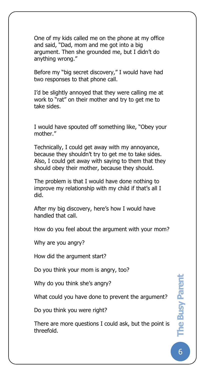One of my kids called me on the phone at my office and said, "Dad, mom and me got into a big argument. Then she grounded me, but I didn't do anything wrong."

Before my "big secret discovery," I would have had two responses to that phone call.

I'd be slightly annoyed that they were calling me at work to "rat" on their mother and try to get me to take sides.

I would have spouted off something like, "Obey your mother."

Technically, I could get away with my annoyance, because they shouldn't try to get me to take sides. Also, I could get away with saying to them that they should obey their mother, because they should.

The problem is that I would have done nothing to improve my relationship with my child if that's all I did.

After my big discovery, here's how I would have handled that call.

How do you feel about the argument with your mom?

Why are you angry?

The Busy Pare

How did the argument start?

Do you think your mom is angry, too?

Why do you think she's angry?

What could you have done to prevent the argument?

Do you think you were right?

There are more questions I could ask, but the point is threefold.

6**The Busy Parent The Busy Parent**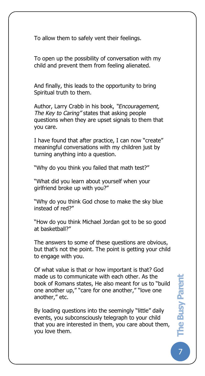To allow them to safely vent their feelings.

The Busy Pare

To open up the possibility of conversation with my child and prevent them from feeling alienated.

And finally, this leads to the opportunity to bring Spiritual truth to them.

Author, Larry Crabb in his book, *"Encouragement, The Key to Caring"* states that asking people questions when they are upset signals to them that you care.

I have found that after practice, I can now "create" meaningful conversations with my children just by turning anything into a question.

"Why do you think you failed that math test?"

"What did you learn about yourself when your girlfriend broke up with you?"

"Why do you think God chose to make the sky blue instead of red?"

"How do you think Michael Jordan got to be so good at basketball?"

The answers to some of these questions are obvious, but that's not the point. The point is getting your child to engage with you.

Of what value is that or how important is that? God made us to communicate with each other. As the book of Romans states, He also meant for us to "build one another up," "care for one another," "love one another," etc.

By loading questions into the seemingly "little" daily events, you subconsciously telegraph to your child that you are interested in them, you care about them, you love them.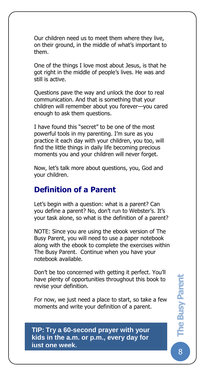Our children need us to meet them where they live, on their ground, in the middle of what's important to them.

The Busy Pare

One of the things I love most about Jesus, is that he got right in the middle of people's lives. He was and still is active.

Questions pave the way and unlock the door to real communication. And that is something that your children will remember about you forever—you cared enough to ask them questions.

I have found this "secret" to be one of the most powerful tools in my parenting. I'm sure as you practice it each day with your children, you too, will find the little things in daily life becoming precious moments you and your children will never forget.

Now, let's talk more about questions, you, God and your children.

# **Definition of a Parent**

Let's begin with a question: what is a parent? Can you define a parent? No, don't run to Webster's. It's your task alone, so what is the definition of a parent?

NOTE: Since you are using the ebook version of The Busy Parent, you will need to use a paper notebook along with the ebook to complete the exercises within The Busy Parent. Continue when you have your notebook available.

Don't be too concerned with getting it perfect. You'll have plenty of opportunities throughout this book to revise your definition.

For now, we just need a place to start, so take a few moments and write your definition of a parent.

**Are You A Good Parent TIP: Try a 60-second prayer with your kids in the a.m. or p.m., every day for just one week.**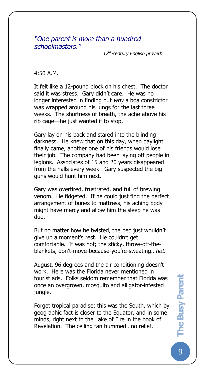*"One parent is more than a hundred schoolmasters."*

*17th -century English proverb*

4:50 A.M.

The Busy Pare

It felt like a 12-pound block on his chest. The doctor said it was stress. Gary didn't care. He was no longer interested in finding out *why* a boa constrictor was wrapped around his lungs for the last three weeks. The shortness of breath, the ache above his rib cage—he just wanted it to stop.

Gary lay on his back and stared into the blinding darkness. He knew that on this day, when daylight finally came, another one of his friends would lose their job. The company had been laying off people in legions. Associates of 15 and 20 years disappeared from the halls every week. Gary suspected the big guns would hunt him next.

Gary was overtired, frustrated, and full of brewing venom. He fidgeted. If he could just find the perfect arrangement of bones to mattress, his aching body might have mercy and allow him the sleep he was due.

But no matter how he twisted, the bed just wouldn't give up a moment's rest. He couldn't get comfortable. It was hot; the sticky, throw-off-theblankets, don't-move-because-you're-sweating…*hot*.

August, 96 degrees and the air conditioning doesn't work. Here was the Florida never mentioned in tourist ads. Folks seldom remember that Florida was once an overgrown, mosquito and alligator-infested jungle.

Forget tropical paradise; this was the South, which by geographic fact is closer to the Equator, and in some minds, right next to the Lake of Fire in the book of Revelation. The ceiling fan hummed…no relief.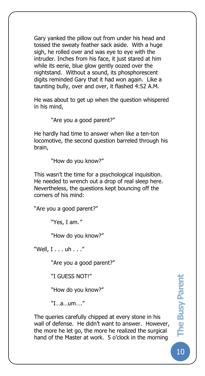Gary yanked the pillow out from under his head and tossed the sweaty feather sack aside. With a huge sigh, he rolled over and was eye to eye with the intruder. Inches from his face, it just stared at him while its eerie, blue glow gently oozed over the nightstand. Without a sound, its phosphorescent digits reminded Gary that it had won again. Like a taunting bully, over and over, it flashed 4:52 A.M.

He was about to get up when the question whispered in his mind,

"Are you a good parent?"

The Busy Pare

He hardly had time to answer when like a ten-ton locomotive, the second question barreled through his brain,

"How do you know?"

This wasn't the time for a psychological inquisition. He needed to wrench out a drop of real sleep here. Nevertheless, the questions kept bouncing off the corners of his mind:

"Are you a good parent?"

"Yes, I am*."* 

"How do you know?"

"Well, I . . . uh . . ."

"Are you a good parent?"

"I GUESS NOT!"

"How do you know?"

"I…a…um…."

The queries carefully chipped at every stone in his wall of defense. He didn't want to answer. However, the more he let go, the more he realized the surgical hand of the Master at work. 5 o'clock in the morning

10**The Busy Parent The Busy Parent**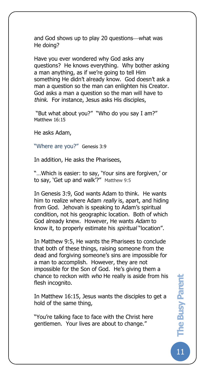and God shows up to play 20 questions—what was He doing?

Have you ever wondered why God asks any questions? He knows everything. Why bother asking a man anything, as if we're going to tell Him something He didn't already know. God doesn't ask a man a question so the man can enlighten his Creator. God asks a man a question so the man will have to *think*. For instance, Jesus asks His disciples,

"But what about you?" "Who do you say I am?" Matthew 16:15

He asks Adam,

The Busy Pare

"Where are you?" Genesis 3:9

In addition, He asks the Pharisees,

"…Which is easier: to say, 'Your sins are forgiven,' or to say, 'Get up and walk'?" Matthew 9:5

In Genesis 3:9, God wants Adam to think. He wants him to realize where Adam *really* is, apart, and hiding from God. Jehovah is speaking to Adam's spiritual condition, not his geographic location. Both of which God already knew. However, He wants *Adam* to know it, to properly estimate his *spiritual* "location".

In Matthew 9:5, He wants the Pharisees to conclude that both of these things, raising someone from the dead and forgiving someone's sins are impossible for a man to accomplish. However, they are not impossible for the Son of God. He's giving them a chance to reckon with *who* He really is aside from his flesh incognito.

In Matthew 16:15, Jesus wants the disciples to get a hold of the same thing,

"You're talking face to face with the Christ here gentlemen. Your lives are about to change."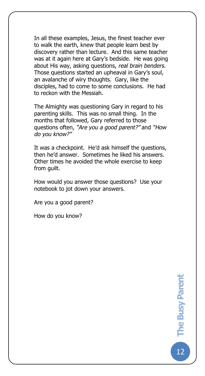In all these examples, Jesus, the finest teacher ever to walk the earth, knew that people learn best by discovery rather than lecture. And this same teacher was at it again here at Gary's bedside. He was going about His way, asking questions, *real brain benders*. Those questions started an upheaval in Gary's soul, an avalanche of wiry thoughts. Gary, like the disciples, had to come to some conclusions. He had to reckon with the Messiah.

The Almighty was questioning Gary in regard to his parenting skills. This was no small thing. In the months that followed, Gary referred to those questions often, *"Are you a good parent?"* and *"How do you know?"*

It was a checkpoint. He'd ask himself the questions, then he'd answer. Sometimes he liked his answers. Other times he avoided the whole exercise to keep from guilt.

How would you answer those questions? Use your notebook to jot down your answers.

Are you a good parent?

How do you know?

The Busy Pare

 $12$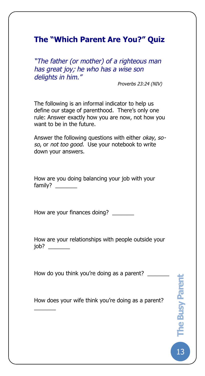# **The "Which Parent Are You?" Quiz**

The Busy Pare

*"The father (or mother) of a righteous man has great joy; he who has a wise son delights in him."* 

*Proverbs 23:24 (NIV)*

The following is an informal indicator to help us define our stage of parenthood. There's only one rule: Answer exactly how you are now, not how you want to be in the future.

Answer the following questions with either *okay*, *soso*, or *not too good*. Use your notebook to write down your answers.

How are you doing balancing your job with your family?

How are your finances doing?

How are your relationships with people outside your job? \_\_\_\_\_\_\_

How do you think you're doing as a parent? \_\_\_\_\_\_\_

 $\overline{\phantom{a}}$ 

How does your wife think you're doing as a parent?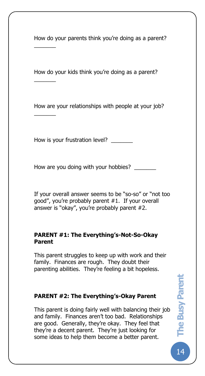How do your parents think you're doing as a parent?

The Busy Pare

 $\overline{\phantom{a}}$ 

 $\overline{\phantom{a}}$ 

 $\overline{\phantom{a}}$ 

How do your kids think you're doing as a parent?

How are your relationships with people at your job?

How is your frustration level?

How are you doing with your hobbies?

If your overall answer seems to be "so-so" or "not too good", you're probably parent #1. If your overall answer is "okay", you're probably parent #2.

#### **PARENT #1: The Everything's-Not-So-Okay Parent**

This parent struggles to keep up with work and their family. Finances are rough. They doubt their parenting abilities. They're feeling a bit hopeless.

#### **PARENT #2: The Everything's-Okay Parent**

This parent is doing fairly well with balancing their job and family. Finances aren't too bad. Relationships are good. Generally, they're okay. They feel that they're a decent parent. They're just looking for some ideas to help them become a better parent.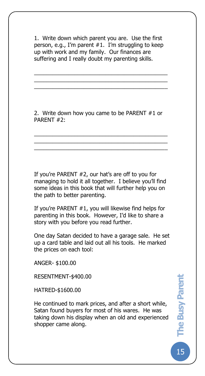1. Write down which parent you are. Use the first person, e.g., I'm parent #1. I'm struggling to keep up with work and my family. Our finances are suffering and I really doubt my parenting skills.

\_\_\_\_\_\_\_\_\_\_\_\_\_\_\_\_\_\_\_\_\_\_\_\_\_\_\_\_\_\_\_\_\_\_\_\_\_\_\_\_\_\_\_ \_\_\_\_\_\_\_\_\_\_\_\_\_\_\_\_\_\_\_\_\_\_\_\_\_\_\_\_\_\_\_\_\_\_\_\_\_\_\_\_\_\_\_ \_\_\_\_\_\_\_\_\_\_\_\_\_\_\_\_\_\_\_\_\_\_\_\_\_\_\_\_\_\_\_\_\_\_\_\_\_\_\_\_\_\_\_

2. Write down how you came to be PARENT #1 or PARENT #2:

\_\_\_\_\_\_\_\_\_\_\_\_\_\_\_\_\_\_\_\_\_\_\_\_\_\_\_\_\_\_\_\_\_\_\_\_\_\_\_\_\_\_\_ \_\_\_\_\_\_\_\_\_\_\_\_\_\_\_\_\_\_\_\_\_\_\_\_\_\_\_\_\_\_\_\_\_\_\_\_\_\_\_\_\_\_\_ \_\_\_\_\_\_\_\_\_\_\_\_\_\_\_\_\_\_\_\_\_\_\_\_\_\_\_\_\_\_\_\_\_\_\_\_\_\_\_\_\_\_\_

If you're PARENT #2, our hat's are off to you for managing to hold it all together. I believe you'll find some ideas in this book that will further help you on the path to better parenting.

If you're PARENT #1, you will likewise find helps for parenting in this book. However, I'd like to share a story with you before you read further.

One day Satan decided to have a garage sale. He set up a card table and laid out all his tools. He marked the prices on each tool:

ANGER- \$100.00

The Busy Pare

RESENTMENT-\$400.00

HATRED-\$1600.00

He continued to mark prices, and after a short while, Satan found buyers for most of his wares. He was taking down his display when an old and experienced shopper came along.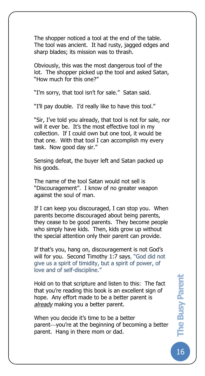The shopper noticed a tool at the end of the table. The tool was ancient. It had rusty, jagged edges and sharp blades; its mission was to thrash.

Obviously, this was the most dangerous tool of the lot. The shopper picked up the tool and asked Satan, "How much for this one?"

"I'm sorry, that tool isn't for sale." Satan said.

The Busy Pare

"I'll pay double. I'd really like to have this tool."

"Sir, I've told you already, that tool is not for sale, nor will it ever be. It's the most effective tool in my collection. If I could own but one tool, it would be that one. With that tool I can accomplish my every task. Now good day sir."

Sensing defeat, the buyer left and Satan packed up his goods.

The name of the tool Satan would not sell is "Discouragement". I know of no greater weapon against the soul of man.

If I can keep you discouraged, I can stop you. When parents become discouraged about being parents, they cease to be good parents. They become people who simply have kids. Then, kids grow up without the special attention only their parent can provide.

If that's you, hang on, discouragement is not God's will for you. Second Timothy 1:7 says, "God did not give us a spirit of timidity, but a spirit of power, of love and of self-discipline."

Hold on to that scripture and listen to this: The fact that you're reading this book is an excellent sign of hope. Any effort made to be a better parent is *already* making you a better parent.

When you decide it's time to be a better parent—you're at the beginning of becoming a better parent. Hang in there mom or dad.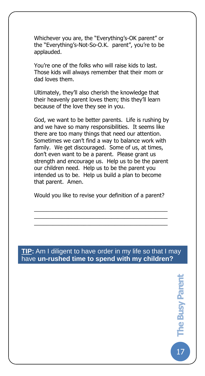Whichever you are, the "Everything's-OK parent" or the "Everything's-Not-So-O.K. parent", you're to be applauded.

The Busy Pare

You're one of the folks who will raise kids to last. Those kids will always remember that their mom or dad loves them.

Ultimately, they'll also cherish the knowledge that their heavenly parent loves them; this they'll learn because of the love they see in you.

God, we want to be better parents. Life is rushing by and we have so many responsibilities. It seems like there are too many things that need our attention. Sometimes we can't find a way to balance work with family. We get discouraged. Some of us, at times, don't even want to be a parent. Please grant us strength and encourage us. Help us to be the parent our children need. Help us to be the parent you intended us to be. Help us build a plan to become that parent. Amen.

Would you like to revise your definition of a parent?

\_\_\_\_\_\_\_\_\_\_\_\_\_\_\_\_\_\_\_\_\_\_\_\_\_\_\_\_\_\_\_\_\_\_\_\_\_\_\_\_\_\_\_ \_\_\_\_\_\_\_\_\_\_\_\_\_\_\_\_\_\_\_\_\_\_\_\_\_\_\_\_\_\_\_\_\_\_\_\_\_\_\_\_\_\_\_ \_\_\_\_\_\_\_\_\_\_\_\_\_\_\_\_\_\_\_\_\_\_\_\_\_\_\_\_\_\_\_\_\_\_\_\_\_\_\_\_\_\_\_

#### **TIP:** Am I diligent to have order in my life so that I may have **un-rushed time to spend with my children?**

 $17$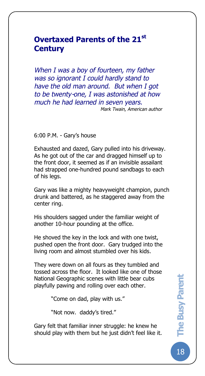# **Overtaxed Parents of the 21st Century**

*When I was a boy of fourteen, my father was so ignorant I could hardly stand to have the old man around. But when I got to be twenty-one, I was astonished at how much he had learned in seven years. Mark Twain, American author*

6:00 P.M. - Gary's house

The Busy Pare

Exhausted and dazed, Gary pulled into his driveway. As he got out of the car and dragged himself up to the front door, it seemed as if an invisible assailant had strapped one-hundred pound sandbags to each of his legs.

Gary was like a mighty heavyweight champion, punch drunk and battered, as he staggered away from the center ring.

His shoulders sagged under the familiar weight of another 10-hour pounding at the office.

He shoved the key in the lock and with one twist, pushed open the front door. Gary trudged into the living room and almost stumbled over his kids.

They were down on all fours as they tumbled and tossed across the floor. It looked like one of those National Geographic scenes with little bear cubs playfully pawing and rolling over each other.

"Come on dad, play with us."

"Not now. daddy's tired."

Gary felt that familiar inner struggle: he knew he should play with them but he just didn't feel like it.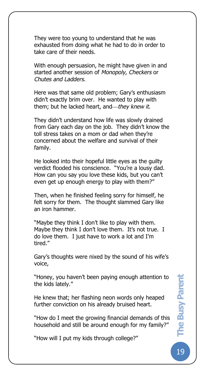They were too young to understand that he was exhausted from doing what he had to do in order to take care of their needs.

The Busy Pare

With enough persuasion, he might have given in and started another session of *Monopoly*, *Checkers* or *Chutes and Ladders*.

Here was that same old problem; Gary's enthusiasm didn't exactly brim over. He wanted to play with them; but he lacked heart, and—they knew it.

They didn't understand how life was slowly drained from Gary each day on the job. They didn't know the toll stress takes on a mom or dad when they're concerned about the welfare and survival of their family.

He looked into their hopeful little eyes as the guilty verdict flooded his conscience. "You're a lousy dad. How can you say you love these kids, but you can't even get up enough energy to play with them?"

Then, when he finished feeling sorry for himself, he felt sorry for them. The thought slammed Gary like an iron hammer.

"Maybe they think I don't like to play with them. Maybe they think I don't love them. It's not true. I do love them. I just have to work a lot and I'm tired."

Gary's thoughts were nixed by the sound of his wife's voice,

"Honey, you haven't been paying enough attention to the kids lately."

He knew that; her flashing neon words only heaped further conviction on his already bruised heart.

"How do I meet the growing financial demands of this household and still be around enough for my family?"

"How will I put my kids through college?"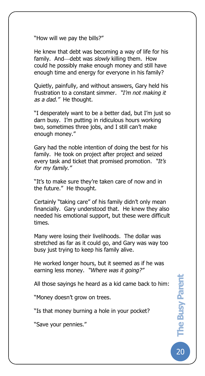"How will we pay the bills?"

The Busy Pare

He knew that debt was becoming a way of life for his family. And—debt was *slowly* killing them. How could he possibly make enough money and still have enough time and energy for everyone in his family?

Quietly, painfully, and without answers, Gary held his frustration to a constant simmer. *"I'm not making it as a dad."* He thought.

"I desperately want to be a better dad, but I'm just so darn busy. I'm putting in ridiculous hours working two, sometimes three jobs, and I still can't make enough money."

Gary had the noble intention of doing the best for his family. He took on project after project and seized every task and ticket that promised promotion. *"It's for my family."* 

"It's to make sure they're taken care of now and in the future." He thought.

Certainly "taking care" of his family didn't only mean financially. Gary understood that. He knew they also needed his emotional support, but these were difficult times.

Many were losing their livelihoods. The dollar was stretched as far as it could go, and Gary was way too busy just trying to keep his family alive.

He worked longer hours, but it seemed as if he was earning less money. *"Where was it going?"*

All those sayings he heard as a kid came back to him:

"Money doesn't grow on trees.

"Is that money burning a hole in your pocket?

"Save your pennies."

20**The Busy Parent The Busy Parent**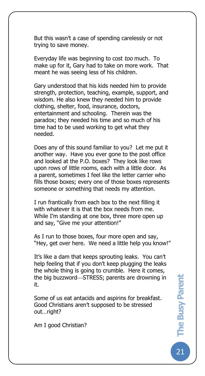But this wasn't a case of spending carelessly or not trying to save money.

The Busy Pare

Everyday life was beginning to cost *too* much. To make up for it, Gary had to take on more work. That meant he was seeing less of his children.

Gary understood that his kids needed him to provide strength, protection, teaching, example, support, and wisdom. He also knew they needed him to provide clothing, shelter, food, insurance, doctors, entertainment and schooling. Therein was the paradox; they needed his time and so much of his time had to be used working to get what they needed.

Does any of this sound familiar to you? Let me put it another way. Have you ever gone to the post office and looked at the P.O. boxes? They look like rows upon rows of little rooms, each with a little door. As a parent, sometimes I feel like the letter carrier who fills those boxes; every one of those boxes represents someone or something that needs my attention.

I run frantically from each box to the next filling it with whatever it is that the box needs from me. While I'm standing at one box, three more open up and say, "Give me your attention!"

As I run to those boxes, four more open and say, "Hey, get over here. We need a little help you know!"

It's like a dam that keeps sprouting leaks. You can't help feeling that if you don't keep plugging the leaks the whole thing is going to crumble. Here it comes, the big buzzword—STRESS; parents are drowning in it.

Some of us eat antacids and aspirins for breakfast. Good Christians aren't supposed to be stressed out…right?

Am I good Christian?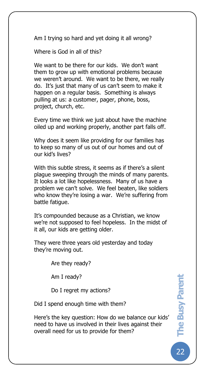Am I trying so hard and yet doing it all wrong?

Where is God in all of this?

The Busy Pare

We want to be there for our kids. We don't want them to grow up with emotional problems because we weren't around. We want to be there, we really do. It's just that many of us can't seem to make it happen on a regular basis. Something is always pulling at us: a customer, pager, phone, boss, project, church, etc.

Every time we think we just about have the machine oiled up and working properly, another part falls off.

Why does it seem like providing for our families has to keep so many of us out of our homes and out of our kid's lives?

With this subtle stress, it seems as if there's a silent plague sweeping through the minds of many parents. It looks a lot like hopelessness. Many of us have a problem we can't solve. We feel beaten, like soldiers who know they're losing a war. We're suffering from battle fatigue.

It's compounded because as a Christian, we know we're not supposed to feel hopeless. In the midst of it all, our kids are getting older.

They were three years old yesterday and today they're moving out.

Are they ready?

Am I ready?

Do I regret my actions?

Did I spend enough time with them?

Here's the key question: How do we balance our kids' need to have us involved in their lives against their overall need for us to provide for them?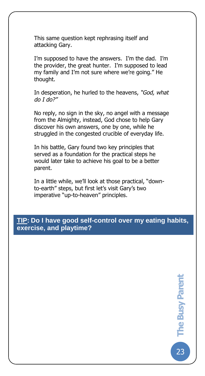This same question kept rephrasing itself and attacking Gary.

The Busy Pare

I'm supposed to have the answers. I'm the dad. I'm the provider, the great hunter. I'm supposed to lead my family and I'm not sure where we're going." He thought.

In desperation, he hurled to the heavens, *"God, what do I do?"*

No reply, no sign in the sky, no angel with a message from the Almighty, instead, God chose to help Gary discover his own answers, one by one, while he struggled in the congested crucible of everyday life.

In his battle, Gary found two key principles that served as a foundation for the practical steps he would later take to achieve his goal to be a better parent.

In a little while, we'll look at those practical, "downto-earth" steps, but first let's visit Gary's two imperative "up-to-heaven" principles.

**TIP: Do I have good self-control over my eating habits, exercise, and playtime?**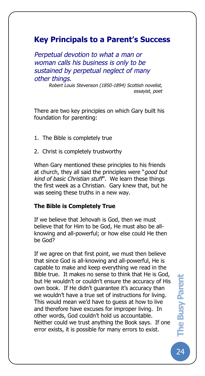# **Key Principals to a Parent's Success**

*Perpetual devotion to what a man or woman calls his business is only to be sustained by perpetual neglect of many other things.* 

> *Robert Louis Stevenson (1850-1894) Scottish novelist, essayist, poet*

There are two key principles on which Gary built his foundation for parenting:

1. The Bible is completely true

The Busy Pare

2. Christ is completely trustworthy

When Gary mentioned these principles to his friends at church, they all said the principles were "*good but kind of basic Christian stuff*". We learn these things the first week as a Christian. Gary knew that, but he was seeing these truths in a new way.

#### **The Bible is Completely True**

If we believe that Jehovah is God, then we must believe that for Him to be God, He must also be allknowing and all-powerful; or how else could He then be God?

If we agree on that first point, we must then believe that since God is all-knowing and all-powerful, He is capable to make and keep everything we read in the Bible true. It makes no sense to think that He is God, but He wouldn't or couldn't ensure the accuracy of His own book. If He didn't guarantee it's accuracy than we wouldn't have a true set of instructions for living. This would mean we'd have to guess at how to live and therefore have excuses for improper living. In other words, God couldn't hold us accountable. Neither could we trust anything the Book says. If one error exists, it is possible for many errors to exist.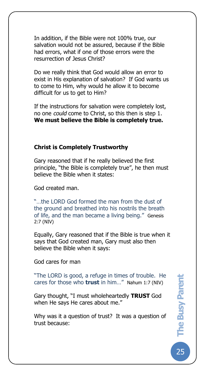In addition, if the Bible were not 100% true, our salvation would not be assured, because if the Bible had errors, what if one of those errors were the resurrection of Jesus Christ?

Do we really think that God would allow an error to exist in His explanation of salvation? If God wants us to come to Him, why would he allow it to become difficult for us to get to Him?

If the instructions for salvation were completely lost, no one *could* come to Christ, so this then is step 1. **We must believe the Bible is completely true.**

#### **Christ is Completely Trustworthy**

Gary reasoned that if he really believed the first principle, "the Bible is completely true", he then must believe the Bible when it states:

God created man.

The Busy Pare

"…the LORD God formed the man from the dust of the ground and breathed into his nostrils the breath of life, and the man became a living being." Genesis 2:7 (NIV)

Equally, Gary reasoned that if the Bible is true when it says that God created man, Gary must also then believe the Bible when it says:

God cares for man

"The LORD is good, a refuge in times of trouble. He cares for those who **trust** in him…" Nahum 1:7 (NIV)

Gary thought, "I must wholeheartedly **TRUST** God when He says He cares about me."

Why was it a question of trust? It was a question of trust because: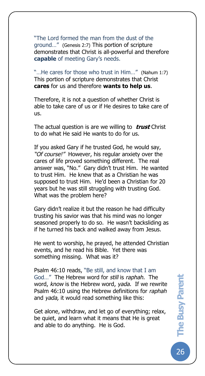"The Lord formed the man from the dust of the ground…" (Genesis 2:7) This portion of scripture demonstrates that Christ is all-powerful and therefore **capable** of meeting Gary's needs.

The Busy Pare

"…He cares for those who trust in Him…" (Nahum 1:7) This portion of scripture demonstrates that Christ **cares** for us and therefore **wants to help us**.

Therefore, it is not a question of whether Christ is able to take care of us or if He desires to take care of us.

The actual question is are we willing to **trust** Christ to do what He said He wants to do for us.

If you asked Gary if he trusted God, he would say, *"Of course!"* However, his regular anxiety over the cares of life proved something different*.* The real answer was, "No." Gary didn't trust Him. He wanted to trust Him. He knew that as a Christian he was supposed to trust Him. He'd been a Christian for 20 years but he was still struggling with trusting God. What was the problem here?

Gary didn't realize it but the reason he had difficulty trusting his savior was that his mind was no longer seasoned properly to do so. He wasn't backsliding as if he turned his back and walked away from Jesus.

He went to worship, he prayed, he attended Christian events, and he read his Bible. Yet there was something missing. What was it?

Psalm 46:10 reads, "Be still, and know that I am God…" The Hebrew word for *still* is *raphah.* The word, *know* is the Hebrew word, *yada*. If we rewrite Psalm 46:10 using the Hebrew definitions for *raphah* and *yada,* it would read something like this:

Get alone, withdraw, and let go of everything; relax, be quiet, and learn what it means that He is great and able to do anything. He is God.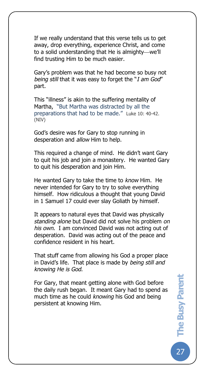If we really understand that this verse tells us to get away, drop everything, experience Christ, and come to a solid understanding that He is almighty—we'll find trusting Him to be much easier.

The Busy Pare

Gary's problem was that he had become so busy not *being still* that it was easy to forget the "*I am God*" part.

This "illness" is akin to the suffering mentality of Martha, "But Martha was distracted by all the preparations that had to be made." Luke 10: 40-42. (NIV)

God's desire was for Gary to stop running in desperation and *allow* Him to help.

This required a change of mind. He didn't want Gary to quit his job and join a monastery. He wanted Gary to quit his desperation and join Him.

He wanted Gary to take the time to *know* Him. He never intended for Gary to try to solve everything himself. How ridiculous a thought that young David in 1 Samuel 17 could ever slay Goliath by himself.

It appears to natural eyes that David was physically *standing alone* but David did not solve his problem *on his own*. I am convinced David was not acting out of desperation. David was acting out of the peace and confidence resident in his heart.

That stuff came from allowing his God a proper place in David's life. That place is made by *being still and knowing He is God*.

For Gary, that meant getting alone with God before the daily rush began. It meant Gary had to spend as much time as he could *knowing* his God and being persistent at knowing Him.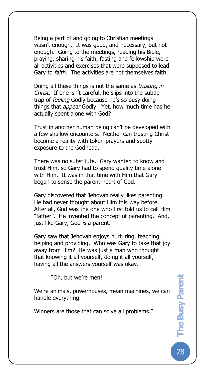Being a part of and going to Christian meetings wasn't enough. It was good, and necessary, but not enough. Going to the meetings, reading his Bible, praying, sharing his faith, fasting and fellowship were all activities and exercises that were supposed to lead Gary to *faith*. The activities are not themselves faith.

The Busy Pare

Doing all these things is not the same as *trusting in Christ.* If one isn't careful, he slips into the subtle trap of *feeling* Godly because he's so busy doing things that *appear* Godly. Yet, how much time has he actually spent alone with God?

Trust in another human being can't be developed with a few shallow encounters. Neither can trusting Christ become a reality with token prayers and spotty exposure to the Godhead.

There was no substitute. Gary wanted to know and trust Him, so Gary had to spend quality time alone with Him. It was in that time with Him that Gary began to sense the parent-heart of God.

Gary discovered that Jehovah really likes parenting. He had never thought about Him this way before. After all, God was the one who first told us to call Him "father". He invented the concept of parenting. And, just like Gary, God *is* a parent.

Gary saw that Jehovah enjoys nurturing, teaching, helping and providing. Who was Gary to take that joy away from Him? He was just a man who thought that knowing it all yourself, doing it all yourself, having all the answers yourself was okay.

"Oh, but we're men!

We're animals, powerhouses, mean machines, we can handle everything.

Winners are those that can solve all problems."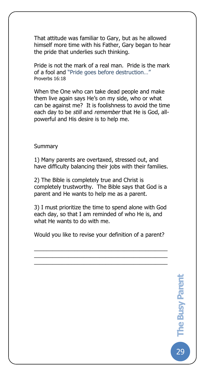That attitude was familiar to Gary, but as he allowed himself more time with his Father, Gary began to hear the pride that underlies such thinking.

Pride is not the mark of a real man. Pride is the mark of a fool and "Pride goes before destruction…" Proverbs 16:18

When the One who can take dead people and make them live again says He's on my side, who or what can be against me? It is foolishness to avoid the time each day to be *still* and *remember* that He is God, allpowerful and His desire is to help me.

#### **Summary**

The Busy Pare

1) Many parents are overtaxed, stressed out, and have difficulty balancing their jobs with their families.

2) The Bible is completely true and Christ is completely trustworthy. The Bible says that God is a parent and He wants to help me as a parent.

3) I must prioritize the time to spend alone with God each day, so that I am reminded of who He is, and what He wants to do with me.

Would you like to revise your definition of a parent?

\_\_\_\_\_\_\_\_\_\_\_\_\_\_\_\_\_\_\_\_\_\_\_\_\_\_\_\_\_\_\_\_\_\_\_\_\_\_\_\_\_\_\_ \_\_\_\_\_\_\_\_\_\_\_\_\_\_\_\_\_\_\_\_\_\_\_\_\_\_\_\_\_\_\_\_\_\_\_\_\_\_\_\_\_\_\_  $\overline{\mathcal{L}}$  , and the set of the set of the set of the set of the set of the set of the set of the set of the set of the set of the set of the set of the set of the set of the set of the set of the set of the set of the s

29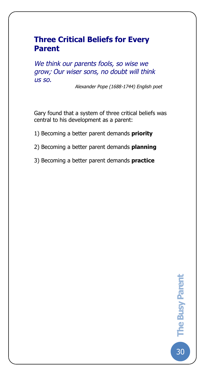# **Three Critical Beliefs for Every Parent**

The Busy Pare

*We think our parents fools, so wise we grow; Our wiser sons, no doubt will think us so.* 

*Alexander Pope (1688-1744) English poet*

Gary found that a system of three critical beliefs was central to his development as a parent:

- 1) Becoming a better parent demands **priority**
- 2) Becoming a better parent demands **planning**
- 3) Becoming a better parent demands **practice**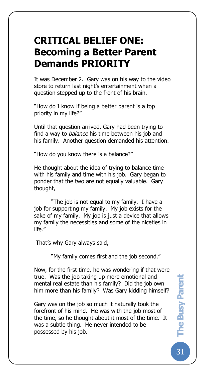# **CRITICAL BELIEF ONE: Becoming a Better Parent Demands PRIORITY**

The Busy Pare

It was December 2. Gary was on his way to the video store to return last night's entertainment when a question stepped up to the front of his brain.

"How do I know if being a better parent is a top priority in my life?"

Until that question arrived, Gary had been trying to find a way to *balance* his time between his job and his family. Another question demanded his attention.

"How do you know there is a balance?"

He thought about the idea of trying to balance time with his family and time with his job. Gary began to ponder that the two are not equally valuable. Gary thought,

"The job is not equal to my family. I have a job for supporting my family. My job exists for the sake of my family. My job is just a device that allows my family the necessities and some of the niceties in life."

That's why Gary always said,

"My family comes first and the job second."

Now, for the first time, he was wondering if that were true. Was the job taking up more emotional and mental real estate than his family? Did the job own him more than his family? Was Gary kidding himself?

Gary was on the job so much it naturally took the forefront of his mind. He was with the job most of the time, so he thought about it most of the time. It was a subtle thing. He never intended to be possessed by his job.

31**The Busy Parent The Busy Parent**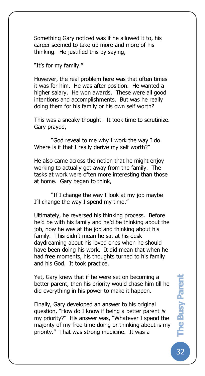Something Gary noticed was if he allowed it to, his career seemed to take up more and more of his thinking. He justified this by saying,

"It's for my family."

The Busy Pare

However, the real problem here was that often times it was for him. He was after position. He wanted a higher salary. He won awards. These were all good intentions and accomplishments. But was he really doing them for his family or his own self worth?

This was a sneaky thought. It took time to scrutinize. Gary prayed,

"God reveal to me why I work the way I do. Where is it that I really derive my self worth?"

He also came across the notion that he might enjoy working to actually get away from the family. The tasks at work were often more interesting than those at home. Gary began to think,

"If I change the way I look at my job maybe I'll change the way I spend my time."

Ultimately, he reversed his thinking process. Before he'd be with his family and he'd be thinking about the job, now he was at the job and thinking about his family. This didn't mean he sat at his desk daydreaming about his loved ones when he should have been doing his work. It did mean that when he had free moments, his thoughts turned to his family and his God. It took practice.

Yet, Gary knew that if he were set on becoming a better parent, then his priority would chase him till he did everything in his power to make it happen.

Finally, Gary developed an answer to his original question, "How do I know if being a better parent *is* my priority?" His answer was, "Whatever I spend the majority of my free time doing or thinking about is my priority." That was strong medicine. It was a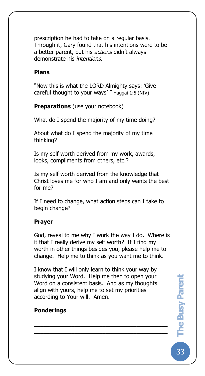prescription he had to take on a regular basis. Through it, Gary found that his intentions were to be a better parent, but his *actions* didn't always demonstrate his *intentions*.

#### **Plans**

The Busy Pare

"Now this is what the LORD Almighty says: 'Give careful thought to your ways' " Haggai 1:5 (NIV)

**Preparations** (use your notebook)

What do I spend the majority of my time doing?

About what do I spend the majority of my time thinking?

Is my self worth derived from my work, awards, looks, compliments from others, etc.?

Is my self worth derived from the knowledge that Christ loves me for who I am and only wants the best for me?

If I need to change, what action steps can I take to begin change?

#### **Prayer**

God, reveal to me why I work the way I do. Where is it that I really derive my self worth? If I find my worth in other things besides you, please help me to change. Help me to think as you want me to think.

I know that I will only learn to think your way by studying your Word. Help me then to open your Word on a consistent basis. And as my thoughts align with yours, help me to set my priorities according to Your will. Amen.

\_\_\_\_\_\_\_\_\_\_\_\_\_\_\_\_\_\_\_\_\_\_\_\_\_\_\_\_\_\_\_\_\_\_\_\_\_\_\_\_\_\_\_ \_\_\_\_\_\_\_\_\_\_\_\_\_\_\_\_\_\_\_\_\_\_\_\_\_\_\_\_\_\_\_\_\_\_\_\_\_\_\_\_\_\_\_

#### **Ponderings**

33**The Busy Parent The Busy Parent**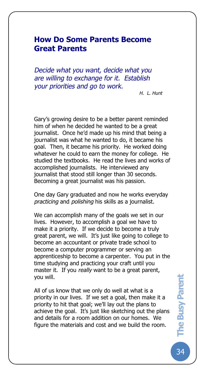# **How Do Some Parents Become Great Parents**

The Busy Pare

*Decide what you want, decide what you are willing to exchange for it. Establish your priorities and go to work.* 

*H. L. Hunt*

Gary's growing desire to be a better parent reminded him of when he decided he wanted to be a great journalist. Once he'd made up his mind that being a journalist was what he wanted to do, it became his goal. Then, it became his priority. He worked doing whatever he could to earn the money for college. He studied the textbooks. He read the lives and works of accomplished journalists. He interviewed any journalist that stood still longer than 30 seconds. Becoming a great journalist was his passion.

One day Gary graduated and now he works everyday *practicing* and *polishing* his skills as a journalist.

We can accomplish many of the goals we set in our lives. However, to accomplish a goal we have to make it a priority. If we decide to become a truly great parent, we will. It's just like going to college to become an accountant or private trade school to become a computer programmer or serving an apprenticeship to become a carpenter. You put in the time studying and practicing your craft until you master it. If you *really* want to be a great parent, you will.

All of us know that we only do well at what is a priority in our lives. If we set a goal, then make it a priority to hit that goal; we'll lay out the plans to achieve the goal. It's just like sketching out the plans and details for a room addition on our homes. We figure the materials and cost and we build the room.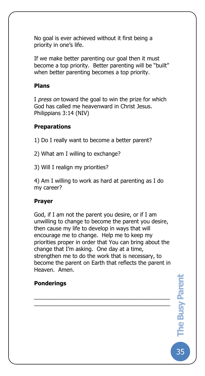No goal is ever achieved without it first being a priority in one's life.

If we make better parenting our goal then it must become a top priority. Better parenting will be "built" when better parenting becomes a top priority.

## **Plans**

The Busy Pare

I *press on* toward the goal to win the prize for which God has called me heavenward in Christ Jesus. Philippians 3:14 (NIV)

# **Preparations**

- 1) Do I really want to become a better parent?
- 2) What am I willing to exchange?
- 3) Will I realign my priorities?

4) Am I willing to work as hard at parenting as I do my career?

## **Prayer**

God, if I am not the parent you desire, or if I am unwilling to change to become the parent you desire, then cause my life to develop in ways that will encourage me to change. Help me to keep my priorities proper in order that You can bring about the change that I'm asking. One day at a time, strengthen me to do the work that is necessary, to become the parent on Earth that reflects the parent in Heaven. Amen.

\_\_\_\_\_\_\_\_\_\_\_\_\_\_\_\_\_\_\_\_\_\_\_\_\_\_\_\_\_\_\_\_\_\_\_\_\_\_\_\_\_\_\_ \_\_\_\_\_\_\_\_\_\_\_\_\_\_\_\_\_\_\_\_\_\_\_\_\_\_\_\_\_\_\_\_\_\_\_\_\_\_\_\_\_\_\_

## **Ponderings**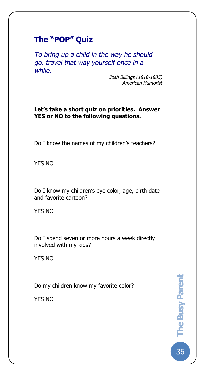# **The "POP" Quiz**

The Busy Pare

*To bring up a child in the way he should go, travel that way yourself once in a while.*

> *Josh Billings (1818-1885) American Humorist*

### **Let's take a short quiz on priorities. Answer YES or NO to the following questions.**

Do I know the names of my children's teachers?

YES NO

Do I know my children's eye color, age, birth date and favorite cartoon?

YES NO

Do I spend seven or more hours a week directly involved with my kids?

YES NO

Do my children know my favorite color?

YES NO

36**The Busy Parent**  The Busy Parent 36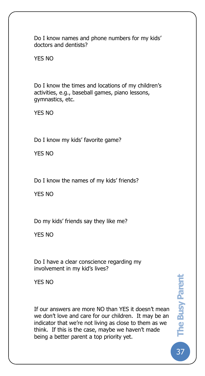Do I know names and phone numbers for my kids' doctors and dentists?

YES NO

The Busy Pare

Do I know the times and locations of my children's activities, e.g., baseball games, piano lessons, gymnastics, etc.

YES NO

Do I know my kids' favorite game?

YES NO

Do I know the names of my kids' friends?

YES NO

Do my kids' friends say they like me?

YES NO

Do I have a clear conscience regarding my involvement in my kid's lives?

YES NO

If our answers are more NO than YES it doesn't mean we don't love and care for our children. It may be an indicator that we're not living as close to them as we think. If this is the case, maybe we haven't made being a better parent a top priority yet.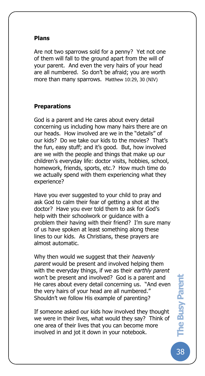### **Plans**

The Busy Pare

Are not two sparrows sold for a penny? Yet not one of them will fall to the ground apart from the will of your parent. And even the very hairs of your head are all numbered. So don't be afraid; you are worth more than many sparrows. Matthew 10:29, 30 (NIV)

## **Preparations**

God is a parent and He cares about every detail concerning us including how many hairs there are on our heads. How involved are we in the "details" of our kids? Do we take our kids to the movies? That's the fun, easy stuff; and it's good. But, how involved are we with the people and things that make up our children's everyday life: doctor visits, hobbies, school, homework, friends, sports, etc.? How much time do we actually spend with them experiencing what they experience?

Have you ever suggested to your child to pray and ask God to calm their fear of getting a shot at the doctor? Have you ever told them to ask for God's help with their schoolwork or guidance with a problem their having with their friend? I'm sure many of us have spoken at least something along these lines to our kids. As Christians, these prayers are almost automatic.

Why then would we suggest that their *heavenly parent* would be present and involved helping them with the everyday things, if we as their *earthly parent* won't be present and involved? God is a parent and He cares about every detail concerning us. "And even the very hairs of your head are all numbered." Shouldn't we follow His example of parenting?

If someone asked our kids how involved they thought we were in their lives, what would they say? Think of one area of their lives that you can become more involved in and jot it down in your notebook.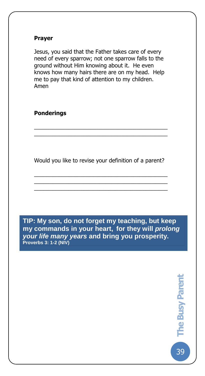### **Prayer**

The Busy Pare

Jesus, you said that the Father takes care of every need of every sparrow; not one sparrow falls to the ground without Him knowing about it. He even knows how many hairs there are on my head. Help me to pay that kind of attention to my children. Amen

**Ponderings**

Would you like to revise your definition of a parent?

\_\_\_\_\_\_\_\_\_\_\_\_\_\_\_\_\_\_\_\_\_\_\_\_\_\_\_\_\_\_\_\_\_\_\_\_\_\_\_\_\_\_\_ \_\_\_\_\_\_\_\_\_\_\_\_\_\_\_\_\_\_\_\_\_\_\_\_\_\_\_\_\_\_\_\_\_\_\_\_\_\_\_\_\_\_\_ \_\_\_\_\_\_\_\_\_\_\_\_\_\_\_\_\_\_\_\_\_\_\_\_\_\_\_\_\_\_\_\_\_\_\_\_\_\_\_\_\_\_\_

\_\_\_\_\_\_\_\_\_\_\_\_\_\_\_\_\_\_\_\_\_\_\_\_\_\_\_\_\_\_\_\_\_\_\_\_\_\_\_\_\_\_\_ \_\_\_\_\_\_\_\_\_\_\_\_\_\_\_\_\_\_\_\_\_\_\_\_\_\_\_\_\_\_\_\_\_\_\_\_\_\_\_\_\_\_\_

**TIP: My son, do not forget my teaching, but keep my commands in your heart, for they will** *prolong your life many years* **and bring you prosperity. Proverbs 3: 1-2 (NIV)**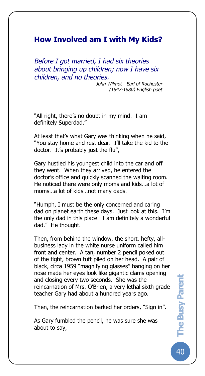# **How Involved am I with My Kids?**

The Busy Pare

*Before I got married, I had six theories about bringing up children; now I have six children, and no theories.* 

> *John Wilmot - Earl of Rochester (1647-1680) English poet*

"All right, there's no doubt in my mind. I am definitely Superdad."

At least that's what Gary was thinking when he said, "You stay home and rest dear. I'll take the kid to the doctor. It's probably just the flu",

Gary hustled his youngest child into the car and off they went. When they arrived, he entered the doctor's office and quickly scanned the waiting room. He noticed there were only moms and kids…a lot of moms…a lot of kids…not many dads.

"Humph, I must be the only concerned and caring dad on planet earth these days. Just look at this. I'm the only dad in this place. I am definitely a wonderful dad." He thought.

Then, from behind the window, the short, hefty, allbusiness lady in the white nurse uniform called him front and center. A tan, number 2 pencil poked out of the tight, brown tuft piled on her head. A pair of black, circa 1959 "magnifying glasses" hanging on her nose made her eyes look like gigantic clams opening and closing every two seconds. She was the reincarnation of Mrs. O'Brien, a very lethal sixth grade teacher Gary had about a hundred years ago.

Then, the reincarnation barked her orders, "Sign in".

As Gary fumbled the pencil, he was sure she was about to say,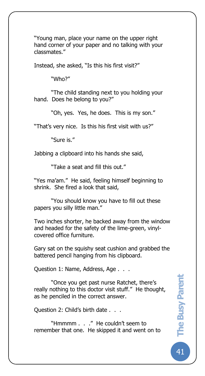"Young man, place your name on the upper right hand corner of your paper and no talking with your classmates."

Instead, she asked, "Is this his first visit?"

"Who?"

The Busy Pare

"The child standing next to you holding your hand. Does he belong to you?"

"Oh, yes. Yes, he does. This is my son."

"That's very nice. Is this his first visit with us?"

"Sure is."

Jabbing a clipboard into his hands she said,

"Take a seat and fill this out."

"Yes ma'am." He said, feeling himself beginning to shrink. She fired a look that said,

"You should know you have to fill out these papers you silly little man."

Two inches shorter, he backed away from the window and headed for the safety of the lime-green, vinylcovered office furniture.

Gary sat on the squishy seat cushion and grabbed the battered pencil hanging from his clipboard.

Question 1: Name, Address, Age . . .

"Once you get past nurse Ratchet, there's really nothing to this doctor visit stuff." He thought, as he penciled in the correct answer.

Question 2: Child's birth date . . .

"Hmmmm . . ." He couldn't seem to remember that one. He skipped it and went on to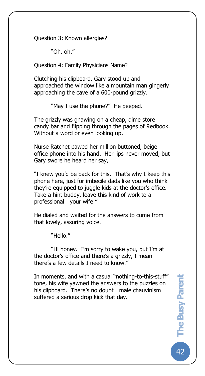Question 3: Known allergies?

"Oh, oh."

The Busy Pare

Question 4: Family Physicians Name?

Clutching his clipboard, Gary stood up and approached the window like a mountain man gingerly approaching the cave of a 600-pound grizzly.

"May I use the phone?" He peeped.

The grizzly was gnawing on a cheap, dime store candy bar and flipping through the pages of Redbook. Without a word or even looking up,

Nurse Ratchet pawed her million buttoned, beige office phone into his hand. Her lips never moved, but Gary swore he heard her say,

"I knew you'd be back for this. That's why I keep this phone here, just for imbecile dads like you who think they're equipped to juggle kids at the doctor's office. Take a hint buddy, leave this kind of work to a professional-vour wife!"

He dialed and waited for the answers to come from that lovely, assuring voice.

"Hello."

"Hi honey. I'm sorry to wake you, but I'm at the doctor's office and there's a grizzly, I mean there's a few details I need to know."

In moments, and with a casual "nothing-to-this-stuff" tone, his wife yawned the answers to the puzzles on his clipboard. There's no doubt—male chauvinism suffered a serious drop kick that day.

42**The Busy Parent the Busy Parent**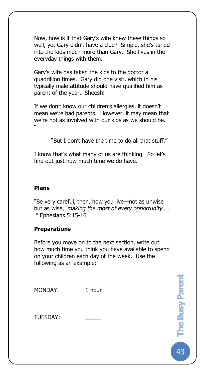Now, how is it that Gary's wife knew these things so well, yet Gary didn't have a clue? Simple, she's tuned into the kids much more than Gary. She lives in the everyday things with them.

Gary's wife has taken the kids to the doctor a quadrillion times. Gary did one visit, which in his typically male attitude should have qualified him as parent of the year. Sheesh!

If we don't know our children's allergies, it doesn't mean we're bad parents. However, it may mean that we're not as involved with our kids as we should be. "

"But I don't have the time to do all that stuff."

I know that's what many of us are thinking. So let's find out just how much time we do have.

# **Plans**

The Busy Pare

"Be very careful, then, how you live—not as unwise but as wise, *making the most of every opportunity* . . ." Ephesians 5:15-16

## **Preparations**

Before you move on to the next section, write out how much time you think you have available to spend on your children each day of the week. Use the following as an example:

| MONDAY:  | 1 hour |
|----------|--------|
| TUESDAY: |        |
|          |        |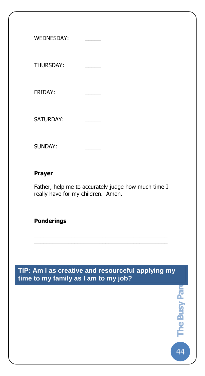| <b>WEDNESDAY:</b> |  |
|-------------------|--|
| <b>THURSDAY:</b>  |  |
| <b>FRIDAY:</b>    |  |
| <b>SATURDAY:</b>  |  |
| <b>SUNDAY:</b>    |  |

# **Prayer**

The Busy Pare

Father, help me to accurately judge how much time I really have for my children. Amen.

\_\_\_\_\_\_\_\_\_\_\_\_\_\_\_\_\_\_\_\_\_\_\_\_\_\_\_\_\_\_\_\_\_\_\_\_\_\_\_\_\_\_\_ \_\_\_\_\_\_\_\_\_\_\_\_\_\_\_\_\_\_\_\_\_\_\_\_\_\_\_\_\_\_\_\_\_\_\_\_\_\_\_\_\_\_\_

# **Ponderings**

**TIP: Am I as creative and resourceful applying my time to my family as I am to my job?**

**44 The Busy Pare** 

the Busy Pare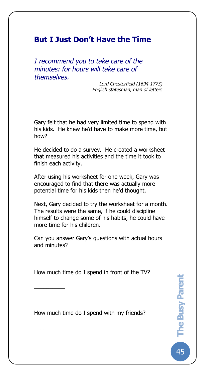# **But I Just Don't Have the Time**

The Busy Pare

*I recommend you to take care of the minutes: for hours will take care of themselves.*

> *Lord Chesterfield (1694-1773) English statesman, man of letters*

Gary felt that he had very limited time to spend with his kids. He knew he'd have to make more time, but how?

He decided to do a survey. He created a worksheet that measured his activities and the time it took to finish each activity.

After using his worksheet for one week, Gary was encouraged to find that there was actually more potential time for his kids then he'd thought.

Next, Gary decided to try the worksheet for a month. The results were the same, if he could discipline himself to change some of his habits, he could have more time for his children.

Can you answer Gary's questions with actual hours and minutes?

How much time do I spend in front of the TV?

 $\overline{\phantom{a}}$ 

 $\overline{\phantom{a}}$ 

How much time do I spend with my friends?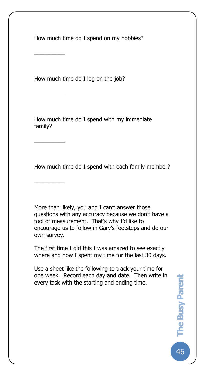How much time do I spend on my hobbies?

How much time do I log on the job?

 $\overline{\phantom{a}}$ 

 $\overline{\phantom{a}}$ 

 $\overline{\phantom{a}}$ 

 $\overline{\phantom{a}}$ 

The Busy Pare

How much time do I spend with my immediate family?

How much time do I spend with each family member?

More than likely, you and I can't answer those questions with any accuracy because we don't have a tool of measurement. That's why I'd like to encourage us to follow in Gary's footsteps and do our own survey.

The first time I did this I was amazed to see exactly where and how I spent my time for the last 30 days.

Use a sheet like the following to track your time for one week. Record each day and date. Then write in every task with the starting and ending time.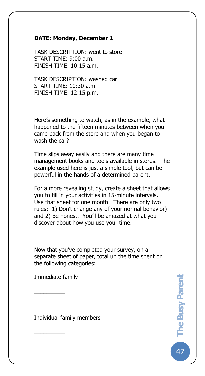### **DATE: Monday, December 1**

The Busy Pare

TASK DESCRIPTION: went to store START TIME: 9:00 a.m. FINISH TIME: 10:15 a.m.

TASK DESCRIPTION: washed car START TIME: 10:30 a.m. FINISH TIME: 12:15 p.m.

Here's something to watch, as in the example, what happened to the fifteen minutes between when you came back from the store and when you began to wash the car?

Time slips away easily and there are many time management books and tools available in stores. The example used here is just a simple tool, but can be powerful in the hands of a determined parent.

For a more revealing study, create a sheet that allows you to fill in your activities in 15-minute intervals. Use that sheet for one month. There are only two rules: 1) Don't change any of your normal behavior) and 2) Be honest. You'll be amazed at what you discover about how you use your time.

Now that you've completed your survey, on a separate sheet of paper, total up the time spent on the following categories:

Immediate family

 $\overline{\phantom{a}}$ 

 $\overline{\phantom{a}}$ 

Individual family members

47**The Busy Parent The Busy Parent**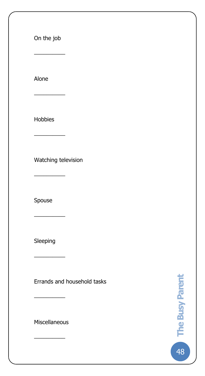On the job

 $\overline{\phantom{a}}$ 

 $\overline{\phantom{a}}$ 

The Busy Pare

Alone

Hobbies

 $\overline{\phantom{a}}$ 

 $\overline{\phantom{a}}$ 

 $\overline{\phantom{a}}$ 

Watching television

Spouse

Sleeping

 $\overline{\phantom{a}}$ 

Errands and household tasks

Miscellaneous

 $\overline{\phantom{a}}$ 

 $\overline{\phantom{a}}$ 

48**The Busy Parent che Busy Parent**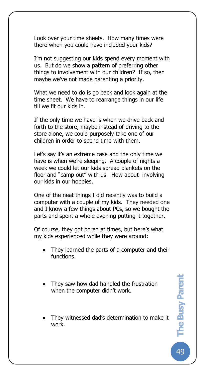Look over your time sheets. How many times were there when you could have included your kids?

The Busy Pare

I'm not suggesting our kids spend every moment with us. But do we show a pattern of preferring other things to involvement with our children? If so, then maybe we've not made parenting a priority.

What we need to do is go back and look again at the time sheet. We have to rearrange things in our life till we fit our kids in.

If the only time we have is when we drive back and forth to the store, maybe instead of driving to the store alone, we could purposely take one of our children in order to spend time with them.

Let's say it's an extreme case and the only time we have is when we're sleeping. A couple of nights a week we could let our kids spread blankets on the floor and "camp out" with us. How about involving our kids in our hobbies.

One of the neat things I did recently was to build a computer with a couple of my kids. They needed one and I know a few things about PCs, so we bought the parts and spent a whole evening putting it together.

Of course, they got bored at times, but here's what my kids experienced while they were around:

- They learned the parts of a computer and their functions.
- They saw how dad handled the frustration when the computer didn't work.
- They witnessed dad's determination to make it work.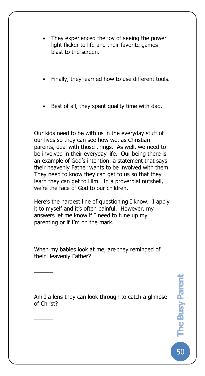They experienced the joy of seeing the power light flicker to life and their favorite games blast to the screen.

The Busy Pare

- Finally, they learned how to use different tools.
- Best of all, they spent quality time with dad.

Our kids need to be with us in the everyday stuff of our lives so they can see how we, as Christian parents, deal with those things. As well, we need to be involved in their everyday life. Our being there is an example of God's intention: a statement that says their heavenly Father wants to be involved with them. They need to know they can get to us so that they learn they can get to Him. In a proverbial nutshell, we're the face of God to our children.

Here's the hardest line of questioning I know. I apply it to myself and it's often painful. However, my answers let me know if I need to tune up my parenting or if I'm on the mark.

When my babies look at me, are they reminded of their Heavenly Father?

 $\overline{\phantom{a}}$ 

 $\overline{\phantom{a}}$ 

Am I a lens they can look through to catch a glimpse of Christ?

50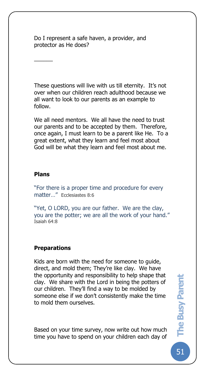Do I represent a safe haven, a provider, and protector as He does?

These questions will live with us till eternity. It's not over when our children reach adulthood because we all want to look to our parents as an example to follow.

We all need mentors. We all have the need to trust our parents and to be accepted by them. Therefore, once again, I must learn to be a parent like He. To a great extent, what they learn and feel most about God will be what they learn and feel most about me.

### **Plans**

 $\overline{\phantom{a}}$ 

The Busy Pare

"For there is a proper time and procedure for every matter…" Ecclesiastes 8:6

"Yet, O LORD, you are our father. We are the clay, you are the potter; we are all the work of your hand." Isaiah 64:8

### **Preparations**

Kids are born with the need for someone to guide, direct, and mold them; They're like clay. We have the opportunity and responsibility to help shape that clay. We share with the Lord in being the potters of our children. They'll find a way to be molded by someone else if we don't consistently make the time to mold them ourselves.

Based on your time survey, now write out how much time you have to spend on your children each day of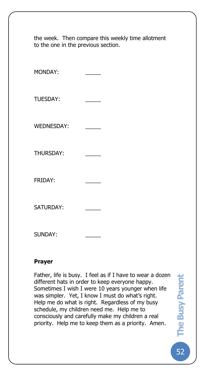| the week. Then compare this weekly time allotment<br>to the one in the previous section. |  |
|------------------------------------------------------------------------------------------|--|
| MONDAY:                                                                                  |  |
| <b>TUESDAY:</b>                                                                          |  |
| <b>WEDNESDAY:</b>                                                                        |  |
| <b>THURSDAY:</b>                                                                         |  |
| FRIDAY:                                                                                  |  |
| <b>SATURDAY:</b>                                                                         |  |
| <b>SUNDAY:</b>                                                                           |  |

### **Prayer**

The Busy Pare

Father, life is busy. I feel as if I have to wear a dozen different hats in order to keep everyone happy. Sometimes I wish I were 10 years younger when life was simpler. Yet, I know I must do what's right. Help me do what is right. Regardless of my busy schedule, my children need me. Help me to consciously and carefully make my children a real priority. Help me to keep them as a priority. Amen*.*

52**The Busy Parent**  The Busy Parent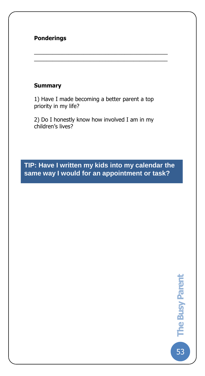# **Ponderings**

The Busy Pare

### **Summary**

1) Have I made becoming a better parent a top priority in my life?

\_\_\_\_\_\_\_\_\_\_\_\_\_\_\_\_\_\_\_\_\_\_\_\_\_\_\_\_\_\_\_\_\_\_\_\_\_\_\_\_\_\_\_ \_\_\_\_\_\_\_\_\_\_\_\_\_\_\_\_\_\_\_\_\_\_\_\_\_\_\_\_\_\_\_\_\_\_\_\_\_\_\_\_\_\_\_

2) Do I honestly know how involved I am in my children's lives?

# **TIP: Have I written my kids into my calendar the same way I would for an appointment or task?**

53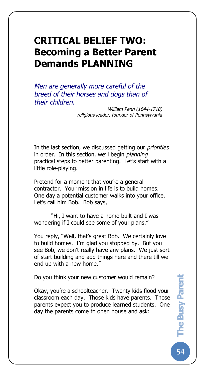# **CRITICAL BELIEF TWO: Becoming a Better Parent Demands PLANNING**

The Busy Pare

*Men are generally more careful of the breed of their horses and dogs than of their children.*

> *William Penn (1644-1718) religious leader, founder of Pennsylvania*

In the last section, we discussed getting our *priorities* in order. In this section, we'll begin *planning* practical steps to better parenting. Let's start with a little role-playing.

Pretend for a moment that you're a general contractor. Your mission in life is to build homes. One day a potential customer walks into your office. Let's call him Bob. Bob says,

"Hi, I want to have a home built and I was wondering if I could see some of your plans."

You reply, "Well, that's great Bob. We certainly love to build homes. I'm glad you stopped by. But you see Bob, we don't really have any plans. We just sort of start building and add things here and there till we end up with a new home."

Do you think your new customer would remain?

Okay, you're a schoolteacher. Twenty kids flood your classroom each day. Those kids have parents. Those parents expect you to produce learned students. One day the parents come to open house and ask: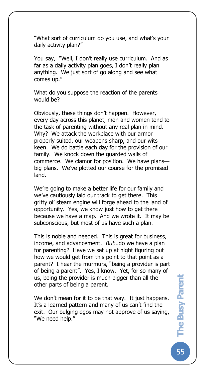"What sort of curriculum do you use, and what's your daily activity plan?"

The Busy Pare

You say*,* "Well, I don't really use curriculum. And as far as a daily activity plan goes, I don't really plan anything. We just sort of go along and see what comes up."

What do you suppose the reaction of the parents would be?

Obviously, these things don't happen. However, every day across this planet, men and women tend to the task of parenting without any real plan in mind. Why? We attack the workplace with our armor properly suited, our weapons sharp, and our wits keen. We do battle each day for the provision of our family. We knock down the guarded walls of commerce. We clamor for position. We have plans big plans. We've plotted our course for the promised land.

We're going to make a better life for our family and we've cautiously laid our track to get there. This gritty ol' steam engine will forge ahead to the land of opportunity. Yes, we know just how to get there because we have a map. And we wrote it. It may be subconscious, but most of us have such a plan.

This is noble and needed. This is great for business, income, and advancement. *But*…do we have a plan for parenting? Have we sat up at night figuring out how we would get from this point to that point as a parent? I hear the murmurs, "being a provider is part of being a parent". Yes, I know. Yet, for so many of us, being the provider is much bigger than all the other parts of being a parent.

We don't mean for it to be that way. It just happens. It's a learned pattern and many of us can't find the exit. Our bulging egos may not approve of us saying, "We need help."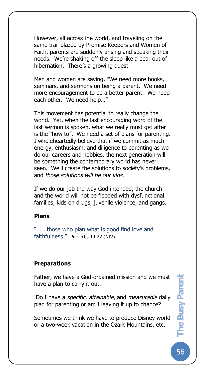However, all across the world, and traveling on the same trail blazed by Promise Keepers and Women of Faith, parents are suddenly arising and speaking their needs. We're shaking off the sleep like a bear out of hibernation. There's a growing quest.

Men and women are saying, "We need more books, seminars, and sermons on being a parent. We need more encouragement to be a better parent. We need each other. We need help…"

This movement has potential to really change the world. Yet, when the last encouraging word of the last sermon is spoken, what we really must get after is the "how to". We need a set of plans for parenting. I wholeheartedly believe that if we commit as much energy, enthusiasm, and diligence to parenting as we do our careers and hobbies, the next generation will be something the contemporary world has never seen. We'll create the solutions to society's problems, and *those solutions will be our kids*.

If we do our job the way God intended, the church and the world will not be flooded with dysfunctional families, kids on drugs, juvenile violence, and gangs.

### **Plans**

The Busy Pare

". . . those who plan what is good find love and faithfulness." Proverbs 14:22 (NIV)

### **Preparations**

Father, we have a God-ordained mission and we must have a plan to carry it out.

Do I have a *specific*, *attainable*, and *measurable* daily plan for parenting or am I leaving it up to chance?

Sometimes we think we have to produce Disney world or a two-week vacation in the Ozark Mountains, etc.

56**The Busy Parent The Busy Parent**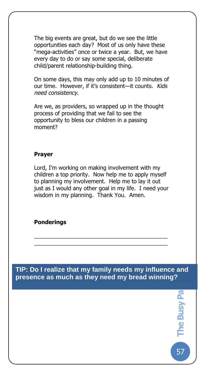The big events are great, but do we see the little opportunities each day? Most of us only have these "mega-activities" once or twice a year. But, we have every day to do or say some special, deliberate child/parent relationship-building thing.

On some days, this may only add up to 10 minutes of our time. However, if it's consistent—it counts. *Kids need consistency*.

Are we, as providers, so wrapped up in the thought process of providing that we fail to see the opportunity to bless our children in a passing moment?

### **Prayer**

The Busy Pare

Lord, I'm working on making involvement with my children a top priority. Now help me to apply myself to planning my involvement. Help me to lay it out just as I would any other goal in my life. I need your wisdom in my planning. Thank You. Amen.

### **Ponderings**

**57 The Busy Party TIP: Do I realize that my family needs my influence and presence as much as they need my bread winning?**

The Busy Pa

57

\_\_\_\_\_\_\_\_\_\_\_\_\_\_\_\_\_\_\_\_\_\_\_\_\_\_\_\_\_\_\_\_\_\_\_\_\_\_\_\_\_\_\_ \_\_\_\_\_\_\_\_\_\_\_\_\_\_\_\_\_\_\_\_\_\_\_\_\_\_\_\_\_\_\_\_\_\_\_\_\_\_\_\_\_\_\_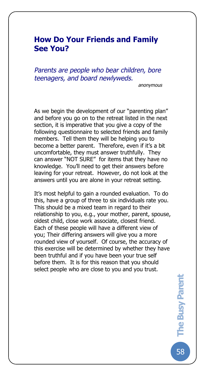# **How Do Your Friends and Family See You?**

The Busy Pare

*Parents are people who bear children, bore teenagers, and board newlyweds.*

*anonymous*

As we begin the development of our "parenting plan" and before you go on to the retreat listed in the next section, it is imperative that you give a copy of the following questionnaire to selected friends and family members. Tell them they will be helping you to become a better parent. Therefore, even if it's a bit uncomfortable, they must answer truthfully. They can answer "NOT SURE" for items that they have no knowledge. You'll need to get their answers before leaving for your retreat. However, do not look at the answers until you are alone in your retreat setting.

It's most helpful to gain a rounded evaluation. To do this, have a group of three to six individuals rate you. This should be a mixed team in regard to their relationship to you, e.g., your mother, parent, spouse, oldest child, close work associate, closest friend. Each of these people will have a different view of you; Their differing answers will give you a more rounded view of yourself. Of course, the accuracy of this exercise will be determined by whether they have been truthful and if you have been your true self before them. It is for this reason that you should select people who are close to you and you trust.

58**The Busy Parent**  The Busy Parent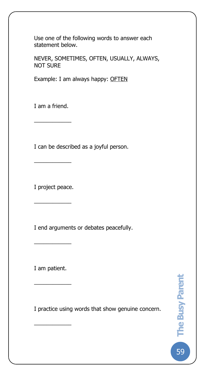Use one of the following words to answer each statement below.

NEVER, SOMETIMES, OFTEN, USUALLY, ALWAYS, NOT SURE

Example: I am always happy: OFTEN

I am a friend.

 $\overline{\phantom{a}}$ 

The Busy Pare

I can be described as a joyful person.

I project peace.

 $\overline{\phantom{a}}$ 

 $\overline{\phantom{a}}$ 

I end arguments or debates peacefully.

I am patient.

 $\frac{1}{2}$ 

 $\overline{\phantom{a}}$ 

 $\overline{\phantom{a}}$ 

I practice using words that show genuine concern.

59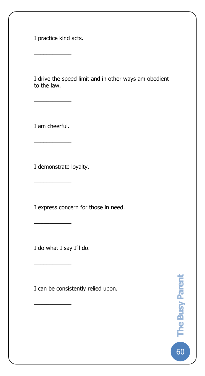I practice kind acts.

 $\overline{\phantom{a}}$ 

The Busy Pare

I drive the speed limit and in other ways am obedient to the law.

I am cheerful.

 $\overline{\phantom{a}}$ 

 $\overline{\phantom{a}}$ 

I demonstrate loyalty.

 $\overline{\phantom{a}}$  , where  $\overline{\phantom{a}}$  , where  $\overline{\phantom{a}}$ 

 $\overline{\phantom{a}}$ 

 $\overline{\phantom{a}}$ 

 $\overline{\phantom{a}}$ 

I express concern for those in need.

I do what I say I'll do.

I can be consistently relied upon.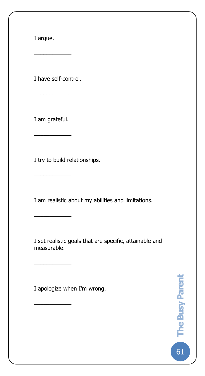I argue.

The Busy Pare

I have self-control.

 $\overline{\phantom{a}}$ 

I am grateful.

 $\overline{\phantom{a}}$ 

 $\overline{\phantom{a}}$ 

 $\overline{\phantom{a}}$ 

 $\overline{\phantom{a}}$ 

 $\overline{\phantom{a}}$ 

 $\overline{\phantom{a}}$ 

I try to build relationships.

I am realistic about my abilities and limitations.

I set realistic goals that are specific, attainable and measurable.

I apologize when I'm wrong.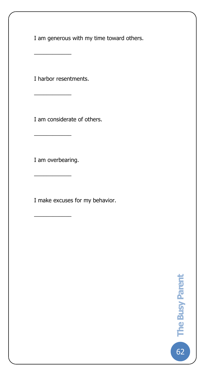I am generous with my time toward others.

I harbor resentments.

 $\overline{\phantom{a}}$ 

 $\overline{\phantom{a}}$ 

 $\overline{\phantom{a}}$ 

The Busy Pare

I am considerate of others.

I am overbearing.

 $\overline{\phantom{a}}$ 

 $\overline{\phantom{a}}$ 

I make excuses for my behavior.

62**The Busy Parent**  co The Busy Parent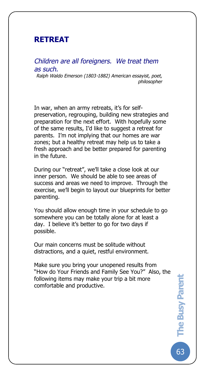# **RETREAT**

The Busy Pare

### *Children are all foreigners. We treat them as such.*

*Ralph Waldo Emerson (1803-1882) American essayist, poet, philosopher*

In war, when an army retreats, it's for selfpreservation, regrouping, building new strategies and preparation for the next effort. With hopefully some of the same results, I'd like to suggest a retreat for parents. I'm not implying that our homes are war zones; but a healthy retreat may help us to take a fresh approach and be better prepared for parenting in the future.

During our "retreat", we'll take a close look at our inner person. We should be able to see areas of success and areas we need to improve. Through the exercise, we'll begin to layout our blueprints for better parenting.

You should allow enough time in your schedule to go somewhere you can be totally alone for at least a day. I believe it's better to go for two days if possible.

Our main concerns must be solitude without distractions, and a quiet, restful environment.

Make sure you bring your unopened results from "How do Your Friends and Family See You?" Also, the following items may make your trip a bit more comfortable and productive.

63**The Busy Parent**  The Busy Parent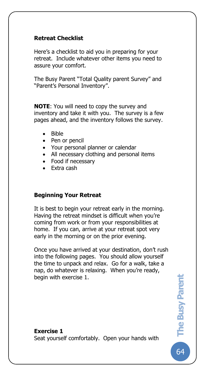## **Retreat Checklist**

The Busy Pare

Here's a checklist to aid you in preparing for your retreat. Include whatever other items you need to assure your comfort.

The Busy Parent "Total Quality parent Survey" and "Parent's Personal Inventory".

**NOTE**: You will need to copy the survey and inventory and take it with you. The survey is a few pages ahead, and the inventory follows the survey.

- Bible
- Pen or pencil
- Your personal planner or calendar
- All necessary clothing and personal items
- Food if necessary
- Extra cash

## **Beginning Your Retreat**

It is best to begin your retreat early in the morning. Having the retreat mindset is difficult when you're coming from work or from your responsibilities at home. If you can, arrive at your retreat spot very early in the morning or on the prior evening.

Once you have arrived at your destination, don't rush into the following pages. You should allow yourself the time to unpack and relax. Go for a walk, take a nap, do whatever is relaxing. When you're ready, begin with exercise 1.

### **Exercise 1**

Seat yourself comfortably. Open your hands with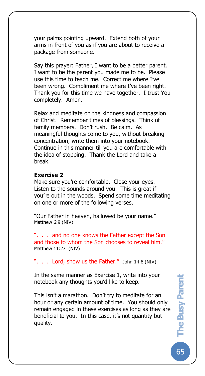your palms pointing upward. Extend both of your arms in front of you as if you are about to receive a package from someone.

Say this prayer: Father, I want to be a better parent. I want to be the parent you made me to be. Please use this time to teach me. Correct me where I've been wrong. Compliment me where I've been right. Thank you for this time we have together. I trust You completely. Amen.

Relax and meditate on the kindness and compassion of Christ. Remember times of blessings. Think of family members. Don't rush. Be calm. As meaningful thoughts come to you, without breaking concentration, write them into your notebook. Continue in this manner till you are comfortable with the idea of stopping. Thank the Lord and take a break.

### **Exercise 2**

The Busy Pare

Make sure you're comfortable. Close your eyes. Listen to the sounds around you. This is great if you're out in the woods. Spend some time meditating on one or more of the following verses.

"Our Father in heaven, hallowed be your name." Matthew 6:9 (NIV)

". . . and no one knows the Father except the Son and those to whom the Son chooses to reveal him." Matthew 11:27 (NIV)

". . . Lord, show us the Father." John 14:8 (NIV)

In the same manner as Exercise 1, write into your notebook any thoughts you'd like to keep.

This isn't a marathon. Don't try to meditate for an hour or any certain amount of time. You should only remain engaged in these exercises as long as they are beneficial to you. In this case, it's not quantity but quality.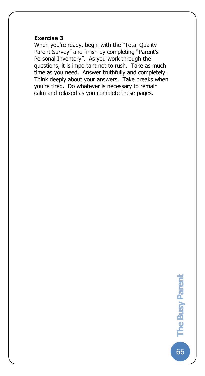#### **Exercise 3**

The Busy Pare

When you're ready, begin with the "Total Quality Parent Survey" and finish by completing "Parent's Personal Inventory".As you work through the questions, it is important not to rush. Take as much time as you need. Answer truthfully and completely. Think deeply about your answers. Take breaks when you're tired. Do whatever is necessary to remain calm and relaxed as you complete these pages.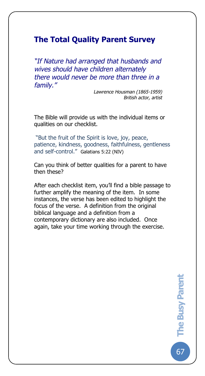# **The Total Quality Parent Survey**

The Busy Pare

*"If Nature had arranged that husbands and wives should have children alternately there would never be more than three in a family."*

> *Lawrence Housman (1865-1959) British actor, artist*

The Bible will provide us with the individual items or qualities on our checklist.

"But the fruit of the Spirit is love, joy, peace, patience, kindness, goodness, faithfulness, gentleness and self-control." Galatians 5:22 (NIV)

Can you think of better qualities for a parent to have then these?

After each checklist item, you'll find a bible passage to further amplify the meaning of the item. In some instances, the verse has been edited to highlight the focus of the verse. A definition from the original biblical language and a definition from a contemporary dictionary are also included. Once again, take your time working through the exercise.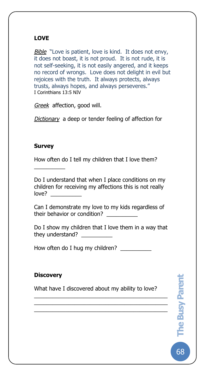# **LOVE**

The Busy Pare

*Bible* "Love is patient, love is kind. It does not envy, it does not boast, it is not proud. It is not rude, it is not self-seeking, it is not easily angered, and it keeps no record of wrongs. Love does not delight in evil but rejoices with the truth. It always protects, always trusts, always hopes, and always perseveres." I Corinthians 13:5 NIV

*Greek* affection, good will.

*Dictionary* a deep or tender feeling of affection for

# **Survey**

 $\overline{\phantom{a}}$ 

How often do I tell my children that I love them?

Do I understand that when I place conditions on my children for receiving my affections this is not really  $love?$ 

Can I demonstrate my love to my kids regardless of their behavior or condition?

Do I show my children that I love them in a way that they understand?

How often do I hug my children? \_\_\_\_\_\_\_\_\_\_

# **Discovery**

What have I discovered about my ability to love?

\_\_\_\_\_\_\_\_\_\_\_\_\_\_\_\_\_\_\_\_\_\_\_\_\_\_\_\_\_\_\_\_\_\_\_\_\_\_\_\_\_\_\_ \_\_\_\_\_\_\_\_\_\_\_\_\_\_\_\_\_\_\_\_\_\_\_\_\_\_\_\_\_\_\_\_\_\_\_\_\_\_\_\_\_\_\_ \_\_\_\_\_\_\_\_\_\_\_\_\_\_\_\_\_\_\_\_\_\_\_\_\_\_\_\_\_\_\_\_\_\_\_\_\_\_\_\_\_\_\_ 68**The Busy Parent The Busy Parent**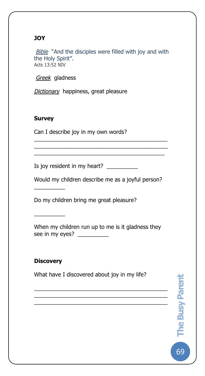# **JOY**

The Busy Pare

**Bible** "And the disciples were filled with joy and with the Holy Spirit". Acts 13:52 NIV

*Greek* gladness

*Dictionary* happiness, great pleasure

# **Survey**

Can I describe joy in my own words?

Is joy resident in my heart? \_\_\_\_\_\_\_\_\_\_

Would my children describe me as a joyful person?

\_\_\_\_\_\_\_\_\_\_\_\_\_\_\_\_\_\_\_\_\_\_\_\_\_\_\_\_\_\_\_\_\_\_\_\_\_\_\_\_\_\_\_ \_\_\_\_\_\_\_\_\_\_\_\_\_\_\_\_\_\_\_\_\_\_\_\_\_\_\_\_\_\_\_\_\_\_\_\_\_\_\_\_\_\_\_  $\overline{a_1}$  ,  $\overline{a_2}$  ,  $\overline{a_3}$  ,  $\overline{a_4}$  ,  $\overline{a_5}$  ,  $\overline{a_6}$  ,  $\overline{a_7}$  ,  $\overline{a_8}$  ,  $\overline{a_9}$  ,  $\overline{a_9}$  ,  $\overline{a_9}$  ,  $\overline{a_9}$  ,  $\overline{a_9}$  ,  $\overline{a_9}$  ,  $\overline{a_9}$  ,  $\overline{a_9}$  ,  $\overline{a_9}$  ,

Do my children bring me great pleasure?

When my children run up to me is it gladness they see in my eyes? \_\_\_\_\_\_\_\_\_\_\_

# **Discovery**

 $\overline{\phantom{a}}$ 

 $\overline{\phantom{a}}$ 

What have I discovered about joy in my life?

\_\_\_\_\_\_\_\_\_\_\_\_\_\_\_\_\_\_\_\_\_\_\_\_\_\_\_\_\_\_\_\_\_\_\_\_\_\_\_\_\_\_\_ \_\_\_\_\_\_\_\_\_\_\_\_\_\_\_\_\_\_\_\_\_\_\_\_\_\_\_\_\_\_\_\_\_\_\_\_\_\_\_\_\_\_\_  $\overline{\mathcal{L}}$  , and the set of the set of the set of the set of the set of the set of the set of the set of the set of the set of the set of the set of the set of the set of the set of the set of the set of the set of the s

69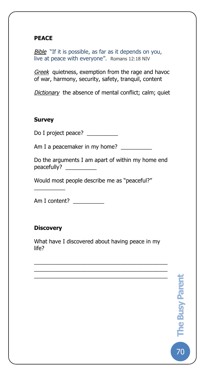## **PEACE**

The Busy Pare

*Bible* "If it is possible, as far as it depends on you, live at peace with everyone". Romans 12:18 NIV

*Greek* quietness, exemption from the rage and havoc of war, harmony, security, safety, tranquil, content

*Dictionary* the absence of mental conflict; calm; quiet

### **Survey**

Do I project peace? \_\_\_\_\_\_\_\_\_\_

Am I a peacemaker in my home? \_\_\_\_\_\_\_\_\_\_\_\_

Do the arguments I am apart of within my home end peacefully? \_\_\_\_\_\_\_\_\_\_

Would most people describe me as "peaceful?"

Am I content?

# **Discovery**

 $\overline{\phantom{a}}$ 

What have I discovered about having peace in my life?

 $\overline{\mathcal{L}}$  , and the set of the set of the set of the set of the set of the set of the set of the set of the set of the set of the set of the set of the set of the set of the set of the set of the set of the set of the s \_\_\_\_\_\_\_\_\_\_\_\_\_\_\_\_\_\_\_\_\_\_\_\_\_\_\_\_\_\_\_\_\_\_\_\_\_\_\_\_\_\_\_ \_\_\_\_\_\_\_\_\_\_\_\_\_\_\_\_\_\_\_\_\_\_\_\_\_\_\_\_\_\_\_\_\_\_\_\_\_\_\_\_\_\_\_

70**The Busy Parent** 

 $70$ 

The Busy Parent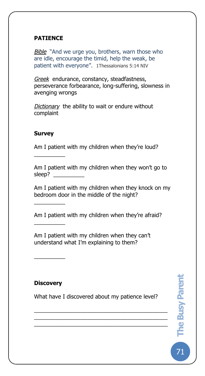## **PATIENCE**

The Busy Pare

*Bible* "And we urge you, brothers, warn those who are idle, encourage the timid, help the weak, be patient with everyone". 1Thessalonians 5:14 NIV

*Greek* endurance, constancy, steadfastness, perseverance forbearance, long-suffering, slowness in avenging wrongs

*Dictionary* the ability to wait or endure without complaint

### **Survey**

 $\overline{\phantom{a}}$ 

 $\overline{\phantom{a}}$ 

 $\overline{\phantom{a}}$ 

Am I patient with my children when they're loud?

Am I patient with my children when they won't go to sleep? \_\_\_\_\_\_\_\_\_\_

Am I patient with my children when they knock on my bedroom door in the middle of the night?

Am I patient with my children when they're afraid?

Am I patient with my children when they can't understand what I'm explaining to them?

# **Discovery**

 $\overline{\phantom{a}}$ 

What have I discovered about my patience level?

\_\_\_\_\_\_\_\_\_\_\_\_\_\_\_\_\_\_\_\_\_\_\_\_\_\_\_\_\_\_\_\_\_\_\_\_\_\_\_\_\_\_\_ \_\_\_\_\_\_\_\_\_\_\_\_\_\_\_\_\_\_\_\_\_\_\_\_\_\_\_\_\_\_\_\_\_\_\_\_\_\_\_\_\_\_\_  $\overline{a_1}$  ,  $\overline{a_2}$  ,  $\overline{a_3}$  ,  $\overline{a_4}$  ,  $\overline{a_5}$  ,  $\overline{a_6}$  ,  $\overline{a_7}$  ,  $\overline{a_8}$  ,  $\overline{a_9}$  ,  $\overline{a_9}$  ,  $\overline{a_1}$  ,  $\overline{a_2}$  ,  $\overline{a_3}$  ,  $\overline{a_4}$  ,  $\overline{a_5}$  ,  $\overline{a_7}$  ,  $\overline{a_8}$  ,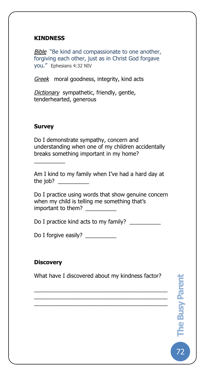## **KINDNESS**

The Busy Pare

*Bible* "Be kind and compassionate to one another, forgiving each other, just as in Christ God forgave you." Ephesians 4:32 NIV

*Greek* moral goodness, integrity, kind acts

*Dictionary* sympathetic, friendly, gentle, tenderhearted, generous

# **Survey**

 $\overline{\phantom{a}}$ 

Do I demonstrate sympathy, concern and understanding when one of my children accidentally breaks something important in my home?

Am I kind to my family when I've had a hard day at the job?  $\qquad \qquad$ 

Do I practice using words that show genuine concern when my child is telling me something that's important to them?

Do I practice kind acts to my family? \_\_\_\_\_\_\_\_\_\_\_

Do I forgive easily? \_\_\_\_\_\_\_\_\_\_

## **Discovery**

What have I discovered about my kindness factor?

\_\_\_\_\_\_\_\_\_\_\_\_\_\_\_\_\_\_\_\_\_\_\_\_\_\_\_\_\_\_\_\_\_\_\_\_\_\_\_\_\_\_\_ \_\_\_\_\_\_\_\_\_\_\_\_\_\_\_\_\_\_\_\_\_\_\_\_\_\_\_\_\_\_\_\_\_\_\_\_\_\_\_\_\_\_\_  $\overline{\mathcal{L}}$  , and the set of the set of the set of the set of the set of the set of the set of the set of the set of the set of the set of the set of the set of the set of the set of the set of the set of the set of the s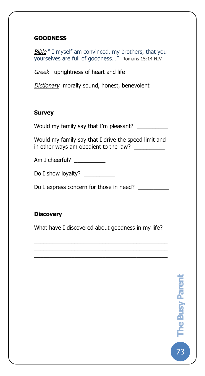# **GOODNESS**

The Busy Pare

**Bible** " I myself am convinced, my brothers, that you yourselves are full of goodness…" Romans 15:14 NIV

*Greek* uprightness of heart and life

*Dictionary* morally sound, honest, benevolent

### **Survey**

Would my family say that I'm pleasant? \_\_\_\_\_\_\_\_\_\_

Would my family say that I drive the speed limit and in other ways am obedient to the law? \_\_\_\_\_\_\_\_\_\_\_\_

Am I cheerful? \_\_\_\_\_\_\_\_\_\_\_\_

Do I show loyalty?

Do I express concern for those in need?

# **Discovery**

What have I discovered about goodness in my life?

\_\_\_\_\_\_\_\_\_\_\_\_\_\_\_\_\_\_\_\_\_\_\_\_\_\_\_\_\_\_\_\_\_\_\_\_\_\_\_\_\_\_\_ \_\_\_\_\_\_\_\_\_\_\_\_\_\_\_\_\_\_\_\_\_\_\_\_\_\_\_\_\_\_\_\_\_\_\_\_\_\_\_\_\_\_\_ \_\_\_\_\_\_\_\_\_\_\_\_\_\_\_\_\_\_\_\_\_\_\_\_\_\_\_\_\_\_\_\_\_\_\_\_\_\_\_\_\_\_\_

73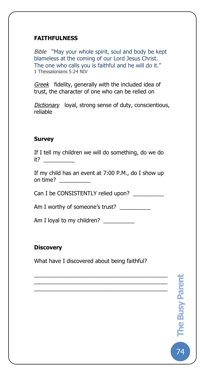# **FAITHFULNESS**

The Busy Pare

*Bible* "May your whole spirit, soul and body be kept blameless at the coming of our Lord Jesus Christ. The one who calls you is faithful and he will do it." 1 Thessalonians 5:24 NIV

*Greek* fidelity, generally with the included idea of trust, the character of one who can be relied on

*Dictionary* loyal, strong sense of duty, conscientious, reliable

## **Survey**

If I tell my children we will do something, do we do it? \_\_\_\_\_\_\_\_\_\_

If my child has an event at 7:00 P.M., do I show up on time? \_\_\_\_\_\_\_\_\_\_

Can I be CONSISTENTLY relied upon?

Am I worthy of someone's trust?

Am I loyal to my children? \_\_\_\_\_\_\_\_\_\_

# **Discovery**

What have I discovered about being faithful?

\_\_\_\_\_\_\_\_\_\_\_\_\_\_\_\_\_\_\_\_\_\_\_\_\_\_\_\_\_\_\_\_\_\_\_\_\_\_\_\_\_\_\_ \_\_\_\_\_\_\_\_\_\_\_\_\_\_\_\_\_\_\_\_\_\_\_\_\_\_\_\_\_\_\_\_\_\_\_\_\_\_\_\_\_\_\_ \_\_\_\_\_\_\_\_\_\_\_\_\_\_\_\_\_\_\_\_\_\_\_\_\_\_\_\_\_\_\_\_\_\_\_\_\_\_\_\_\_\_\_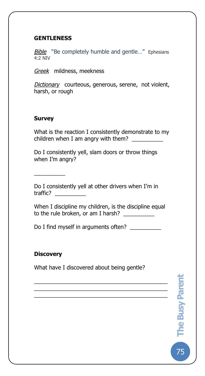## **GENTLENESS**

The Busy Pare

**Bible** "Be completely humble and gentle..." Ephesians 4:2 NIV

*Greek* mildness, meekness

*Dictionary* courteous, generous, serene, not violent, harsh, or rough

## **Survey**

 $\overline{\phantom{a}}$ 

What is the reaction I consistently demonstrate to my children when I am angry with them?  $\frac{1}{2}$ 

Do I consistently yell, slam doors or throw things when I'm angry?

Do I consistently yell at other drivers when I'm in traffic? \_\_\_\_\_\_\_\_\_\_

When I discipline my children, is the discipline equal to the rule broken, or am I harsh?

Do I find myself in arguments often?

## **Discovery**

What have I discovered about being gentle?

\_\_\_\_\_\_\_\_\_\_\_\_\_\_\_\_\_\_\_\_\_\_\_\_\_\_\_\_\_\_\_\_\_\_\_\_\_\_\_\_\_\_\_ \_\_\_\_\_\_\_\_\_\_\_\_\_\_\_\_\_\_\_\_\_\_\_\_\_\_\_\_\_\_\_\_\_\_\_\_\_\_\_\_\_\_\_ \_\_\_\_\_\_\_\_\_\_\_\_\_\_\_\_\_\_\_\_\_\_\_\_\_\_\_\_\_\_\_\_\_\_\_\_\_\_\_\_\_\_\_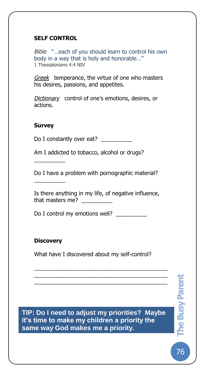## **SELF CONTROL**

The Busy Pare

*Bible* "…each of you should learn to control his own body in a way that is holy and honorable…" 1 Thessalonians 4:4 NIV

*Greek* temperance, the virtue of one who masters his desires, passions, and appetites.

*Dictionary* control of one's emotions, desires, or actions.

## **Survey**

 $\overline{\phantom{a}}$ 

 $\overline{\phantom{a}}$ 

Do I constantly over eat?

Am I addicted to tobacco, alcohol or drugs?

Do I have a problem with pornographic material?

Is there anything in my life, of negative influence, that masters me?

Do I control my emotions well? \_\_\_\_\_\_\_\_\_\_\_

# **Discovery**

What have I discovered about my self-control?

\_\_\_\_\_\_\_\_\_\_\_\_\_\_\_\_\_\_\_\_\_\_\_\_\_\_\_\_\_\_\_\_\_\_\_\_\_\_\_\_\_\_\_ \_\_\_\_\_\_\_\_\_\_\_\_\_\_\_\_\_\_\_\_\_\_\_\_\_\_\_\_\_\_\_\_\_\_\_\_\_\_\_\_\_\_\_ \_\_\_\_\_\_\_\_\_\_\_\_\_\_\_\_\_\_\_\_\_\_\_\_\_\_\_\_\_\_\_\_\_\_\_\_\_\_\_\_\_\_\_

**TIP: Do I need to adjust my priorities? Maybe it's time to make my children a priority the same way God makes me a priority.**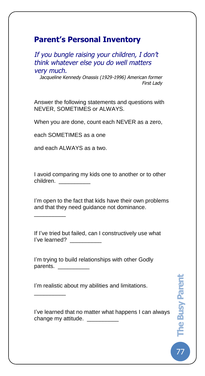# **Parent's Personal Inventory**

The Busy Pare

*If you bungle raising your children, I don't think whatever else you do well matters very much.* 

*Jacqueline Kennedy Onassis (1929-1996) American former First Lady*

Answer the following statements and questions with NEVER, SOMETIMES or ALWAYS.

When you are done, count each NEVER as a zero,

each SOMETIMES as a one

and each ALWAYS as a two.

\_\_\_\_\_\_\_\_\_\_

\_\_\_\_\_\_\_\_\_\_

I avoid comparing my kids one to another or to other children. \_\_\_\_\_\_\_\_\_\_

I'm open to the fact that kids have their own problems and that they need guidance not dominance.

If I've tried but failed, can I constructively use what I've learned?

I'm trying to build relationships with other Godly parents. \_\_\_\_\_\_\_\_\_\_\_\_

I'm realistic about my abilities and limitations.

I've learned that no matter what happens I can always change my attitude. \_\_\_\_\_\_\_\_\_\_\_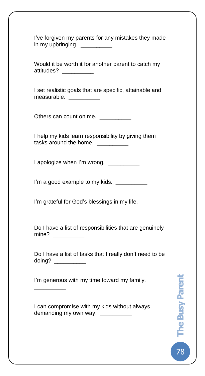I've forgiven my parents for any mistakes they made in my upbringing. \_\_\_\_\_\_\_\_\_\_

Would it be worth it for another parent to catch my attitudes? \_\_\_\_\_\_\_\_\_\_

I set realistic goals that are specific, attainable and measurable.

Others can count on me. \_\_\_\_\_\_\_\_\_\_\_

The Busy Pare

I help my kids learn responsibility by giving them tasks around the home. \_\_\_\_\_\_\_\_\_\_\_

I apologize when I'm wrong. \_\_\_\_\_\_\_\_\_\_\_

I'm a good example to my kids. \_\_\_\_\_\_\_\_\_\_\_

I'm grateful for God's blessings in my life.

\_\_\_\_\_\_\_\_\_\_

\_\_\_\_\_\_\_\_\_\_

Do I have a list of responsibilities that are genuinely mine? \_\_\_\_\_\_\_\_\_\_\_\_

Do I have a list of tasks that I really don't need to be doing? \_\_\_\_\_\_\_\_\_\_\_\_

I'm generous with my time toward my family.

I can compromise with my kids without always demanding my own way. \_\_\_\_\_\_\_\_\_\_\_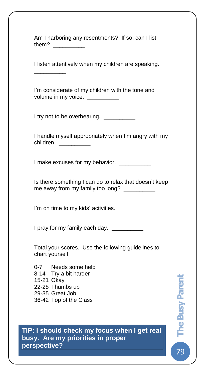Am I harboring any resentments? If so, can I list them?

The Busy Pare

I listen attentively when my children are speaking.

I'm considerate of my children with the tone and volume in my voice.

I try not to be overbearing. \_\_\_\_\_\_\_\_\_\_\_

\_\_\_\_\_\_\_\_\_\_

I handle myself appropriately when I'm angry with my children. \_\_\_\_\_\_\_\_\_\_\_\_\_

I make excuses for my behavior.

Is there something I can do to relax that doesn't keep me away from my family too long? \_\_\_\_\_\_\_\_\_\_

I'm on time to my kids' activities. \_\_\_\_\_\_\_\_\_\_

I pray for my family each day. \_\_\_\_\_\_\_\_\_\_

Total your scores. Use the following guidelines to chart yourself.

0-7 Needs some help 8-14 Try a bit harder 15-21 Okay 22-28 Thumbs up 29-35 Great Job 36-42 Top of the Class

**TIP: I should check my focus when I get real busy. Are my priorities in proper perspective?**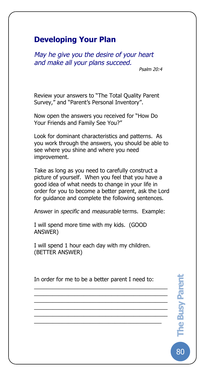# **Developing Your Plan**

The Busy Pare

*May he give you the desire of your heart and make all your plans succeed.* 

*Psalm 20:4*

Review your answers to "The Total Quality Parent Survey," and "Parent's Personal Inventory".

Now open the answers you received for "How Do Your Friends and Family See You?"

Look for dominant characteristics and patterns. As you work through the answers, you should be able to see where you shine and where you need improvement.

Take as long as you need to carefully construct a picture of yourself. When you feel that you have a good idea of what needs to change in your life in order for you to become a better parent, ask the Lord for guidance and complete the following sentences.

Answer in *specific* and *measurable* terms. Example:

I will spend more time with my kids. (GOOD ANSWER)

I will spend 1 hour each day with my children. (BETTER ANSWER)

In order for me to be a better parent I need to:

\_\_\_\_\_\_\_\_\_\_\_\_\_\_\_\_\_\_\_\_\_\_\_\_\_\_\_\_\_\_\_\_\_\_\_\_\_\_\_\_\_\_\_ \_\_\_\_\_\_\_\_\_\_\_\_\_\_\_\_\_\_\_\_\_\_\_\_\_\_\_\_\_\_\_\_\_\_\_\_\_\_\_\_\_\_\_ \_\_\_\_\_\_\_\_\_\_\_\_\_\_\_\_\_\_\_\_\_\_\_\_\_\_\_\_\_\_\_\_\_\_\_\_\_\_\_\_\_\_\_ \_\_\_\_\_\_\_\_\_\_\_\_\_\_\_\_\_\_\_\_\_\_\_\_\_\_\_\_\_\_\_\_\_\_\_\_\_\_\_\_\_\_\_ \_\_\_\_\_\_\_\_\_\_\_\_\_\_\_\_\_\_\_\_\_\_\_\_\_\_\_\_\_\_\_\_\_\_\_\_\_\_\_\_\_\_\_  $\overline{a_1}$  ,  $\overline{a_2}$  ,  $\overline{a_3}$  ,  $\overline{a_4}$  ,  $\overline{a_5}$  ,  $\overline{a_6}$  ,  $\overline{a_7}$  ,  $\overline{a_8}$  ,  $\overline{a_9}$  ,  $\overline{a_9}$  ,  $\overline{a_1}$  ,  $\overline{a_2}$  ,  $\overline{a_3}$  ,  $\overline{a_4}$  ,  $\overline{a_5}$  ,  $\overline{a_7}$  ,  $\overline{a_8}$  ,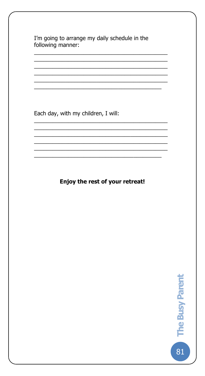I'm going to arrange my daily schedule in the following manner:

Each day, with my children, I will:

Enjoy the rest of your retreat!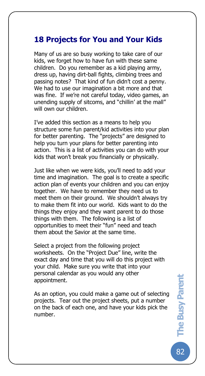# **18 Projects for You and Your Kids**

The Busy Pare

Many of us are so busy working to take care of our kids, we forget how to have fun with these same children. Do you remember as a kid playing army, dress up, having dirt-ball fights, climbing trees and passing notes? That kind of fun didn't cost a penny. We had to use our imagination a bit more and that was fine. If we're not careful today, video games, an unending supply of sitcoms, and "chillin' at the mall" will own our children.

I've added this section as a means to help you structure some fun parent/kid activities into your plan for better parenting. The "projects" are designed to help you turn your plans for better parenting into action. This is a list of activities you can do with your kids that won't break you financially or physically.

Just like when we were kids, you'll need to add your time and imagination. The goal is to create a specific action plan of events your children and you can enjoy together. We have to remember they need us to meet them on their ground. We shouldn't always try to make them fit into our world. Kids want to do the things they enjoy and they want parent to do those things with them. The following is a list of opportunities to meet their "fun" need and teach them about the Savior at the same time.

Select a project from the following project worksheets. On the "Project Due" line, write the exact day and time that you will do this project with your child. Make sure you write that into your personal calendar as you would any other appointment.

As an option, you could make a game out of selecting projects. Tear out the project sheets, put a number on the back of each one, and have your kids pick the number.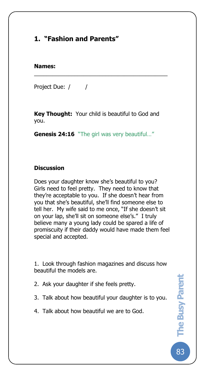# **1. "Fashion and Parents"**

### **Names:**

The Busy Pare

Project Due: / /

**Key Thought:** Your child is beautiful to God and you.

\_\_\_\_\_\_\_\_\_\_\_\_\_\_\_\_\_\_\_\_\_\_\_\_\_\_\_\_\_\_\_\_\_\_\_\_\_\_\_\_\_\_\_

**Genesis 24:16** "The girl was very beautiful…"

## **Discussion**

Does your daughter know she's beautiful to you? Girls need to feel pretty. They need to know that they're acceptable to you. If she doesn't hear from you that she's beautiful, she'll find someone else to tell her. My wife said to me once, "If she doesn't sit on your lap, she'll sit on someone else's." I truly believe many a young lady could be spared a life of promiscuity if their daddy would have made them feel special and accepted.

1. Look through fashion magazines and discuss how beautiful the models are.

- 2. Ask your daughter if she feels pretty.
- 3. Talk about how beautiful your daughter is to you.
- 4. Talk about how beautiful we are to God.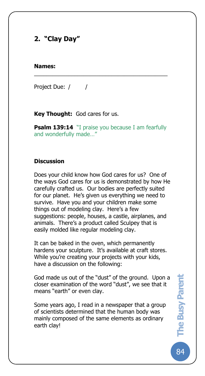# **2. "Clay Day"**

#### **Names:**

The Busy Pare

Project Due: / /

**Key Thought:** God cares for us.

**Psalm 139:14** "I praise you because I am fearfully and wonderfully made…"

\_\_\_\_\_\_\_\_\_\_\_\_\_\_\_\_\_\_\_\_\_\_\_\_\_\_\_\_\_\_\_\_\_\_\_\_\_\_\_\_\_\_\_

### **Discussion**

Does your child know how God cares for us? One of the ways God cares for us is demonstrated by how He carefully crafted us. Our bodies are perfectly suited for our planet. He's given us everything we need to survive. Have you and your children make some things out of modeling clay. Here's a few suggestions: people, houses, a castle, airplanes, and animals. There's a product called Sculpey that is easily molded like regular modeling clay.

It can be baked in the oven, which permanently hardens your sculpture. It's available at craft stores. While you're creating your projects with your kids, have a discussion on the following:

God made us out of the "dust" of the ground. Upon a closer examination of the word "dust", we see that it means "earth" or even clay.

Some years ago, I read in a newspaper that a group of scientists determined that the human body was mainly composed of the same elements as ordinary earth clay!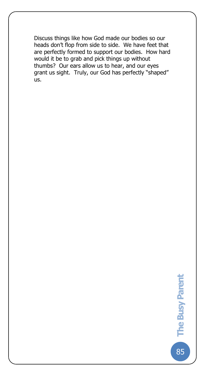Discuss things like how God made our bodies so our heads don't flop from side to side. We have feet that are perfectly formed to support our bodies. How hard would it be to grab and pick things up without thumbs? Our ears allow us to hear, and our eyes grant us sight. Truly, our God has perfectly "shaped" us.

The Busy Pare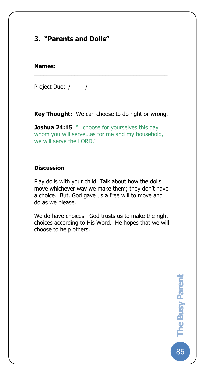# **3. "Parents and Dolls"**

#### **Names:**

The Busy Pare

Project Due: / /

**Key Thought:** We can choose to do right or wrong.

\_\_\_\_\_\_\_\_\_\_\_\_\_\_\_\_\_\_\_\_\_\_\_\_\_\_\_\_\_\_\_\_\_\_\_\_\_\_\_\_\_\_\_

**Joshua 24:15** "...choose for yourselves this day whom you will serve…as for me and my household, we will serve the LORD."

## **Discussion**

Play dolls with your child. Talk about how the dolls move whichever way we make them; they don't have a choice. But, God gave us a free will to move and do as we please.

We do have choices. God trusts us to make the right choices according to His Word. He hopes that we will choose to help others.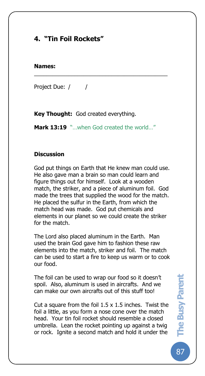# **4. "Tin Foil Rockets"**

#### **Names:**

The Busy Pare

Project Due: / /

**Key Thought:** God created everything.

**Mark 13:19** "...when God created the world..."

\_\_\_\_\_\_\_\_\_\_\_\_\_\_\_\_\_\_\_\_\_\_\_\_\_\_\_\_\_\_\_\_\_\_\_\_\_\_\_\_\_\_\_

### **Discussion**

God put things on Earth that He knew man could use. He also gave man a brain so man could learn and figure things out for himself. Look at a wooden match, the striker, and a piece of aluminum foil. God made the trees that supplied the wood for the match. He placed the sulfur in the Earth, from which the match head was made. God put chemicals and elements in our planet so we could create the striker for the match.

The Lord also placed aluminum in the Earth. Man used the brain God gave him to fashion these raw elements into the match, striker and foil. The match can be used to start a fire to keep us warm or to cook our food.

The foil can be used to wrap our food so it doesn't spoil. Also, aluminum is used in aircrafts. And we can make our own aircrafts out of this stuff too!

Cut a square from the foil  $1.5 \times 1.5$  inches. Twist the foil a little, as you form a nose cone over the match head. Your tin foil rocket should resemble a closed umbrella. Lean the rocket pointing up against a twig or rock. Ignite a second match and hold it under the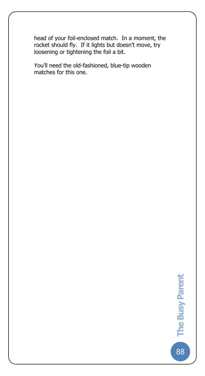head of your foil-enclosed match. In a moment, the rocket should fly. If it lights but doesn't move, try loosening or tightening the foil a bit.

You'll need the old-fashioned, blue-tip wooden matches for this one.

The Busy Pare

88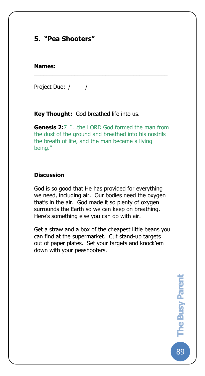# **5. "Pea Shooters"**

#### **Names:**

The Busy Pare

Project Due: / /

**Key Thought:** God breathed life into us.

**Genesis 2:**7 "…the LORD God formed the man from the dust of the ground and breathed into his nostrils the breath of life, and the man became a living being."

\_\_\_\_\_\_\_\_\_\_\_\_\_\_\_\_\_\_\_\_\_\_\_\_\_\_\_\_\_\_\_\_\_\_\_\_\_\_\_\_\_\_\_

#### **Discussion**

God is so good that He has provided for everything we need, including air. Our bodies need the oxygen that's in the air. God made it so plenty of oxygen surrounds the Earth so we can keep on breathing. Here's something else you can do with air.

Get a straw and a box of the cheapest little beans you can find at the supermarket. Cut stand-up targets out of paper plates. Set your targets and knock'em down with your peashooters.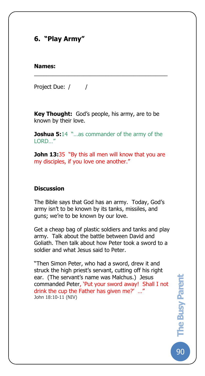# **6. "Play Army"**

#### **Names:**

The Busy Pare

Project Due: / /

**Key Thought:** God's people, his army, are to be known by their love.

\_\_\_\_\_\_\_\_\_\_\_\_\_\_\_\_\_\_\_\_\_\_\_\_\_\_\_\_\_\_\_\_\_\_\_\_\_\_\_\_\_\_\_

**Joshua 5:14** "...as commander of the army of the LORD…"

**John 13:35** "By this all men will know that you are my disciples, if you love one another."

### **Discussion**

The Bible says that God has an army. Today, God's army isn't to be known by its tanks, missiles, and guns; we're to be known by our love.

Get a cheap bag of plastic soldiers and tanks and play army. Talk about the battle between David and Goliath. Then talk about how Peter took a sword to a soldier and what Jesus said to Peter.

"Then Simon Peter, who had a sword, drew it and struck the high priest's servant, cutting off his right ear. (The servant's name was Malchus.) Jesus commanded Peter, 'Put your sword away! Shall I not drink the cup the Father has given me?' …" John 18:10-11 (NIV)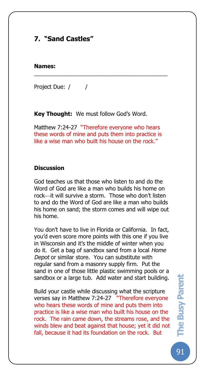# **7. "Sand Castles"**

#### **Names:**

The Busy Pare

Project Due: / /

**Key Thought:** We must follow God's Word.

Matthew 7:24-27 "Therefore everyone who hears these words of mine and puts them into practice is like a wise man who built his house on the rock."

\_\_\_\_\_\_\_\_\_\_\_\_\_\_\_\_\_\_\_\_\_\_\_\_\_\_\_\_\_\_\_\_\_\_\_\_\_\_\_\_\_\_\_

### **Discussion**

God teaches us that those who listen to and do the Word of God are like a man who builds his home on rock—it will survive a storm. Those who don't listen to and do the Word of God are like a man who builds his home on sand; the storm comes and will wipe out his home.

You don't have to live in Florida or California. In fact, you'd even score more points with this one if you live in Wisconsin and it's the middle of winter when you do it. Get a bag of sandbox sand from a local *Home Depot* or similar store. You can substitute with regular sand from a masonry supply firm. Put the sand in one of those little plastic swimming pools or a sandbox or a large tub. Add water and start building.

Build your castle while discussing what the scripture verses say in Matthew 7:24-27 "Therefore everyone who hears these words of mine and puts them into practice is like a wise man who built his house on the rock. The rain came down, the streams rose, and the winds blew and beat against that house; yet it did not fall, because it had its foundation on the rock. But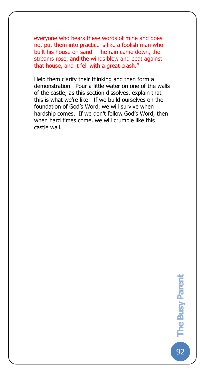everyone who hears these words of mine and does not put them into practice is like a foolish man who built his house on sand. The rain came down, the streams rose, and the winds blew and beat against that house, and it fell with a great crash."

The Busy Pare

Help them clarify their thinking and then form a demonstration. Pour a little water on one of the walls of the castle; as this section dissolves, explain that this is what we're like. If we build ourselves on the foundation of God's Word, we will survive when hardship comes. If we don't follow God's Word, then when hard times come, we will crumble like this castle wall.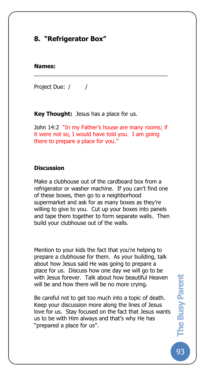# **8. "Refrigerator Box"**

### **Names:**

The Busy Pare

Project Due: / /

**Key Thought:** Jesus has a place for us.

John 14:2 "In my Father's house are many rooms; if it were not so, I would have told you. I am going there to prepare a place for you."

\_\_\_\_\_\_\_\_\_\_\_\_\_\_\_\_\_\_\_\_\_\_\_\_\_\_\_\_\_\_\_\_\_\_\_\_\_\_\_\_\_\_\_

### **Discussion**

Make a clubhouse out of the cardboard box from a refrigerator or washer machine. If you can't find one of these boxes, then go to a neighborhood supermarket and ask for as many boxes as they're willing to give to you. Cut up your boxes into panels and tape them together to form separate walls. Then build your clubhouse out of the walls.

Mention to your kids the fact that you're helping to prepare a clubhouse for them. As your building, talk about how Jesus said He was going to prepare a place for us. Discuss how one day we will go to be with Jesus forever. Talk about how beautiful Heaven will be and how there will be no more crying.

Be careful not to get too much into a topic of death. Keep your discussion more along the lines of Jesus love for us. Stay focused on the fact that Jesus wants us to be with Him always and that's why He has "prepared a place for us".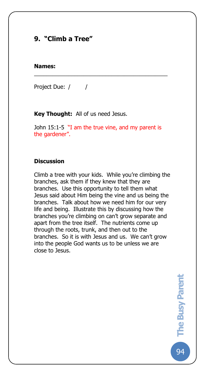# **9. "Climb a Tree"**

#### **Names:**

The Busy Pare

Project Due: / /

**Key Thought:** All of us need Jesus.

John 15:1-5 "I am the true vine, and my parent is the gardener".

\_\_\_\_\_\_\_\_\_\_\_\_\_\_\_\_\_\_\_\_\_\_\_\_\_\_\_\_\_\_\_\_\_\_\_\_\_\_\_\_\_\_\_

#### **Discussion**

Climb a tree with your kids. While you're climbing the branches, ask them if they knew that they are branches. Use this opportunity to tell them what Jesus said about Him being the vine and us being the branches. Talk about how we need him for our very life and being. Illustrate this by discussing how the branches you're climbing on can't grow separate and apart from the tree itself. The nutrients come up through the roots, trunk, and then out to the branches. So it is with Jesus and us. We can't grow into the people God wants us to be unless we are close to Jesus.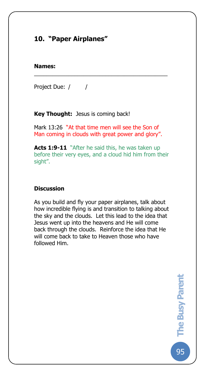# **10. "Paper Airplanes"**

#### **Names:**

The Busy Pare

Project Due: / /

**Key Thought:** Jesus is coming back!

Mark 13:26 "At that time men will see the Son of Man coming in clouds with great power and glory".

\_\_\_\_\_\_\_\_\_\_\_\_\_\_\_\_\_\_\_\_\_\_\_\_\_\_\_\_\_\_\_\_\_\_\_\_\_\_\_\_\_\_\_

**Acts 1:9-11** "After he said this, he was taken up before their very eyes, and a cloud hid him from their sight".

### **Discussion**

As you build and fly your paper airplanes, talk about how incredible flying is and transition to talking about the sky and the clouds. Let this lead to the idea that Jesus went up into the heavens and He will come back through the clouds. Reinforce the idea that He will come back to take to Heaven those who have followed Him.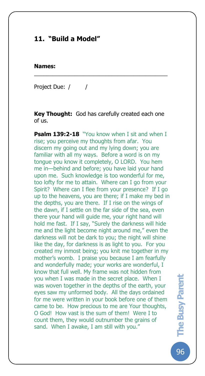# **11. "Build a Model"**

#### **Names:**

The Busy Pare

Project Due: / /

**Key Thought:** God has carefully created each one of us.

\_\_\_\_\_\_\_\_\_\_\_\_\_\_\_\_\_\_\_\_\_\_\_\_\_\_\_\_\_\_\_\_\_\_\_\_\_\_\_\_\_\_\_

**Psalm 139:2-18** "You know when I sit and when I rise; you perceive my thoughts from afar. You discern my going out and my lying down; you are familiar with all my ways. Before a word is on my tongue you know it completely, O LORD. You hem me in—behind and before; you have laid your hand upon me. Such knowledge is too wonderful for me, too lofty for me to attain. Where can I go from your Spirit? Where can I flee from your presence? If I go up to the heavens, you are there; if I make my bed in the depths, you are there. If I rise on the wings of the dawn, if I settle on the far side of the sea, even there your hand will guide me, your right hand will hold me fast. If I say, "Surely the darkness will hide me and the light become night around me," even the darkness will not be dark to you; the night will shine like the day, for darkness is as light to you. For you created my inmost being; you knit me together in my mother's womb. I praise you because I am fearfully and wonderfully made; your works are wonderful, I know that full well. My frame was not hidden from you when I was made in the secret place. When I was woven together in the depths of the earth, your eyes saw my unformed body. All the days ordained for me were written in your book before one of them came to be. How precious to me are Your thoughts, O God! How vast is the sum of them! Were I to count them, they would outnumber the grains of sand. When I awake, I am still with you."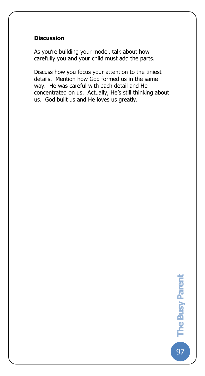## **Discussion**

The Busy Pare

As you're building your model, talk about how carefully you and your child must add the parts.

Discuss how you focus your attention to the tiniest details. Mention how God formed us in the same way. He was careful with each detail and He concentrated on us. Actually, He's still thinking about us. God built us and He loves us greatly.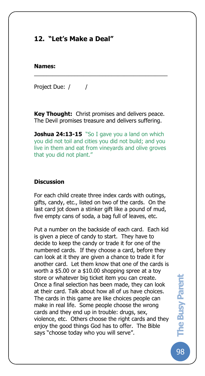# **12. "Let's Make a Deal"**

#### **Names:**

The Busy Pare

Project Due: / /

**Key Thought:** Christ promises and delivers peace. The Devil promises treasure and delivers suffering.

\_\_\_\_\_\_\_\_\_\_\_\_\_\_\_\_\_\_\_\_\_\_\_\_\_\_\_\_\_\_\_\_\_\_\_\_\_\_\_\_\_\_\_

**Joshua 24:13-15** "So I gave you a land on which you did not toil and cities you did not build; and you live in them and eat from vineyards and olive groves that you did not plant."

#### **Discussion**

For each child create three index cards with outings, gifts, candy, etc., listed on two of the cards. On the last card jot down a stinker gift like a pound of mud, five empty cans of soda, a bag full of leaves, etc.

Put a number on the backside of each card. Each kid is given a piece of candy to start. They have to decide to keep the candy or trade it for one of the numbered cards. If they choose a card, before they can look at it they are given a chance to trade it for another card. Let them know that one of the cards is worth a \$5.00 or a \$10.00 shopping spree at a toy store or whatever big ticket item you can create. Once a final selection has been made, they can look at their card. Talk about how all of us have choices. The cards in this game are like choices people can make in real life. Some people choose the wrong cards and they end up in trouble: drugs, sex, violence, etc. Others choose the right cards and they enjoy the good things God has to offer. The Bible says "choose today who you will serve".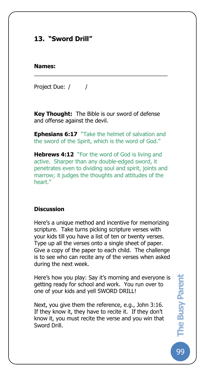# **13. "Sword Drill"**

### **Names:**

The Busy Pare

Project Due: / /

**Key Thought:** The Bible is our sword of defense and offense against the devil.

\_\_\_\_\_\_\_\_\_\_\_\_\_\_\_\_\_\_\_\_\_\_\_\_\_\_\_\_\_\_\_\_\_\_\_\_\_\_\_\_\_\_\_

**Ephesians 6:17** "Take the helmet of salvation and the sword of the Spirit, which is the word of God."

**Hebrews 4:12** "For the word of God is living and active. Sharper than any double-edged sword, it penetrates even to dividing soul and spirit, joints and marrow; it judges the thoughts and attitudes of the heart."

### **Discussion**

Here's a unique method and incentive for memorizing scripture. Take turns picking scripture verses with your kids till you have a list of ten or twenty verses. Type up all the verses onto a single sheet of paper. Give a copy of the paper to each child. The challenge is to see who can recite any of the verses when asked during the next week.

Here's how you play: Say it's morning and everyone is getting ready for school and work. You run over to one of your kids and yell SWORD DRILL!

Next, you give them the reference, e.g., John 3:16. If they know it, they have to recite it. If they don't know it, you must recite the verse and you win that Sword Drill.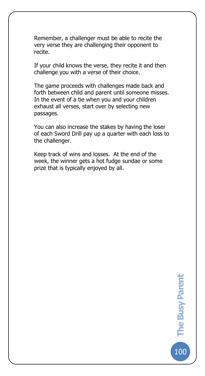Remember, a challenger must be able to recite the very verse they are challenging their opponent to recite.

The Busy Pare

If your child knows the verse, they recite it and then challenge you with a verse of their choice.

The game proceeds with challenges made back and forth between child and parent until someone misses. In the event of a tie when you and your children exhaust all verses, start over by selecting new passages.

You can also increase the stakes by having the loser of each Sword Drill pay up a quarter with each loss to the challenger.

Keep track of wins and losses. At the end of the week, the winner gets a hot fudge sundae or some prize that is typically enjoyed by all.

100**The Busy Parent** 

100

The Busy Parent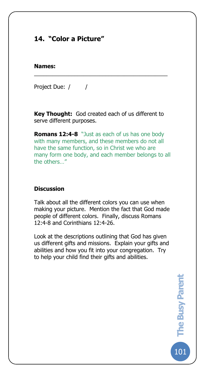# **14. "Color a Picture"**

#### **Names:**

The Busy Pare

Project Due: / /

**Key Thought:** God created each of us different to serve different purposes.

\_\_\_\_\_\_\_\_\_\_\_\_\_\_\_\_\_\_\_\_\_\_\_\_\_\_\_\_\_\_\_\_\_\_\_\_\_\_\_\_\_\_\_

**Romans 12:4-8** "Just as each of us has one body with many members, and these members do not all have the same function, so in Christ we who are many form one body, and each member belongs to all the others…"

## **Discussion**

Talk about all the different colors you can use when making your picture. Mention the fact that God made people of different colors. Finally, discuss Romans 12:4-8 and Corinthians 12:4-26.

Look at the descriptions outlining that God has given us different gifts and missions. Explain your gifts and abilities and how you fit into your congregation. Try to help your child find their gifts and abilities.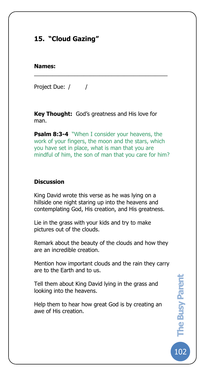# **15. "Cloud Gazing"**

#### **Names:**

The Busy Pare

Project Due: / /

**Key Thought:** God's greatness and His love for man.

\_\_\_\_\_\_\_\_\_\_\_\_\_\_\_\_\_\_\_\_\_\_\_\_\_\_\_\_\_\_\_\_\_\_\_\_\_\_\_\_\_\_\_

**Psalm 8:3-4** "When I consider your heavens, the work of your fingers, the moon and the stars, which you have set in place, what is man that you are mindful of him, the son of man that you care for him?

### **Discussion**

King David wrote this verse as he was lying on a hillside one night staring up into the heavens and contemplating God, His creation, and His greatness.

Lie in the grass with your kids and try to make pictures out of the clouds.

Remark about the beauty of the clouds and how they are an incredible creation.

Mention how important clouds and the rain they carry are to the Earth and to us.

Tell them about King David lying in the grass and looking into the heavens.

Help them to hear how great God is by creating an awe of His creation.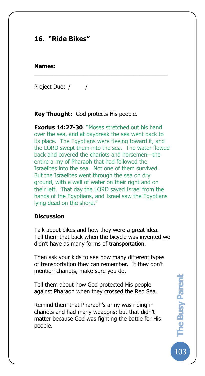# **16. "Ride Bikes"**

### **Names:**

The Busy Pare

Project Due: / /

**Key Thought:** God protects His people.

**Exodus 14:27-30** "Moses stretched out his hand over the sea, and at daybreak the sea went back to its place. The Egyptians were fleeing toward it, and the LORD swept them into the sea. The water flowed back and covered the chariots and horsemen—the entire army of Pharaoh that had followed the Israelites into the sea. Not one of them survived. But the Israelites went through the sea on dry ground, with a wall of water on their right and on their left. That day the LORD saved Israel from the hands of the Egyptians, and Israel saw the Egyptians lying dead on the shore."

\_\_\_\_\_\_\_\_\_\_\_\_\_\_\_\_\_\_\_\_\_\_\_\_\_\_\_\_\_\_\_\_\_\_\_\_\_\_\_\_\_\_\_

## **Discussion**

Talk about bikes and how they were a great idea. Tell them that back when the bicycle was invented we didn't have as many forms of transportation.

Then ask your kids to see how many different types of transportation they can remember. If they don't mention chariots, make sure you do.

Tell them about how God protected His people against Pharaoh when they crossed the Red Sea.

Remind them that Pharaoh's army was riding in chariots and had many weapons; but that didn't matter because God was fighting the battle for His people.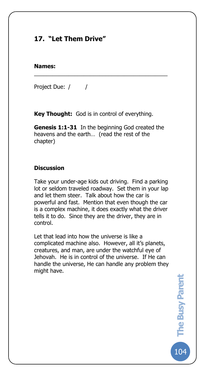# **17. "Let Them Drive"**

#### **Names:**

The Busy Pare

Project Due: / /

**Key Thought:** God is in control of everything.

**Genesis 1:1-31** In the beginning God created the heavens and the earth… (read the rest of the chapter)

\_\_\_\_\_\_\_\_\_\_\_\_\_\_\_\_\_\_\_\_\_\_\_\_\_\_\_\_\_\_\_\_\_\_\_\_\_\_\_\_\_\_\_

## **Discussion**

Take your under-age kids out driving. Find a parking lot or seldom traveled roadway. Set them in your lap and let them steer. Talk about how the car is powerful and fast. Mention that even though the car is a complex machine, it does exactly what the driver tells it to do. Since they are the driver, they are in control.

Let that lead into how the universe is like a complicated machine also. However, all it's planets, creatures, and man, are under the watchful eye of Jehovah. He is in control of the universe. If He can handle the universe, He can handle any problem they might have.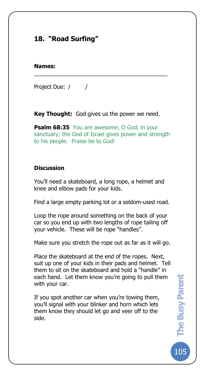# **18. "Road Surfing"**

### **Names:**

The Busy Pare

Project Due: / /

**Key Thought:** God gives us the power we need.

\_\_\_\_\_\_\_\_\_\_\_\_\_\_\_\_\_\_\_\_\_\_\_\_\_\_\_\_\_\_\_\_\_\_\_\_\_\_\_\_\_\_\_

**Psalm 68:35** You are awesome, O God, in your sanctuary; the God of Israel gives power and strength to his people. Praise be to God!

## **Discussion**

You'll need a skateboard, a long rope, a helmet and knee and elbow pads for your kids.

Find a large empty parking lot or a seldom-used road.

Loop the rope around something on the back of your car so you end up with two lengths of rope tailing off your vehicle. These will be rope "handles".

Make sure you stretch the rope out as far as it will go.

Place the skateboard at the end of the ropes. Next, suit up one of your kids in their pads and helmet. Tell them to sit on the skateboard and hold a "handle" in each hand. Let them know you're going to pull them with your car.

If you spot another car when you're towing them, you'll signal with your blinker and horn which lets them know they should let go and veer off to the side.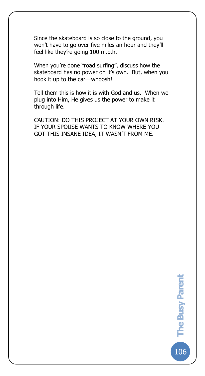Since the skateboard is so close to the ground, you won't have to go over five miles an hour and they'll feel like they're going 100 m.p.h.

The Busy Pare

When you're done "road surfing", discuss how the skateboard has no power on it's own. But, when you hook it up to the car-whoosh!

Tell them this is how it is with God and us. When we plug into Him, He gives us the power to make it through life.

CAUTION: DO THIS PROJECT AT YOUR OWN RISK. IF YOUR SPOUSE WANTS TO KNOW WHERE YOU GOT THIS INSANE IDEA, IT WASN'T FROM ME.

106**The Busy Parent** 

**106** 

The Busy Parent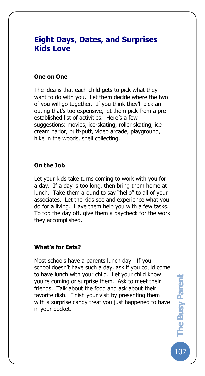## **Eight Days, Dates, and Surprises Kids Love**

### **One on One**

The Busy Pare

The idea is that each child gets to pick what they want to do with you. Let them decide where the two of you will go together. If you think they'll pick an outing that's too expensive, let them pick from a preestablished list of activities. Here's a few suggestions: movies, ice-skating, roller skating, ice cream parlor, putt-putt, video arcade, playground, hike in the woods, shell collecting.

## **On the Job**

Let your kids take turns coming to work with you for a day. If a day is too long, then bring them home at lunch. Take them around to say "hello" to all of your associates. Let the kids see and experience what you do for a living. Have them help you with a few tasks. To top the day off, give them a paycheck for the work they accomplished.

#### **What's for Eats?**

Most schools have a parents lunch day. If your school doesn't have such a day, ask if you could come to have lunch with your child. Let your child know you're coming or surprise them. Ask to meet their friends. Talk about the food and ask about their favorite dish. Finish your visit by presenting them with a surprise candy treat you just happened to have in your pocket.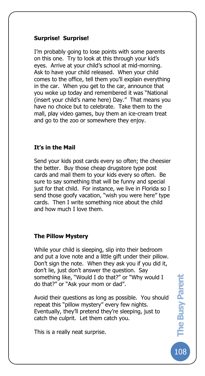## **Surprise! Surprise!**

The Busy Pare

I'm probably going to lose points with some parents on this one. Try to look at this through your kid's eyes. Arrive at your child's school at mid-morning. Ask to have your child released. When your child comes to the office, tell them you'll explain everything in the car. When you get to the car, announce that you woke up today and remembered it was "National (insert your child's name here) Day." That means you have no choice but to celebrate. Take them to the mall, play video games, buy them an ice-cream treat and go to the zoo or somewhere they enjoy.

## **It's in the Mail**

Send your kids post cards every so often; the cheesier the better. Buy those cheap drugstore type post cards and mail them to your kids every so often. Be sure to say something that will be funny and special just for that child. For instance, we live in Florida so I send those goofy vacation, "wish you were here" type cards. Then I write something nice about the child and how much I love them.

## **The Pillow Mystery**

While your child is sleeping, slip into their bedroom and put a love note and a little gift under their pillow. Don't sign the note. When they ask you if you did it, don't lie, just don't answer the question. Say something like, "Would I do that?" or "Why would I do that?" or "Ask your mom or dad".

Avoid their questions as long as possible. You should repeat this "pillow mystery" every few nights. Eventually, they'll pretend they're sleeping, just to catch the culprit. Let them catch you.

This is a really neat surprise.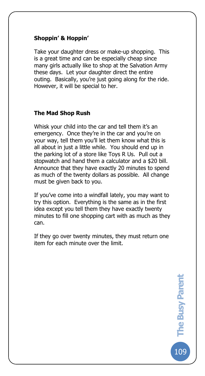## **Shoppin' & Hoppin'**

The Busy Pare

Take your daughter dress or make-up shopping. This is a great time and can be especially cheap since many girls actually like to shop at the Salvation Army these days. Let your daughter direct the entire outing. Basically, you're just going along for the ride. However, it will be special to her.

## **The Mad Shop Rush**

Whisk your child into the car and tell them it's an emergency. Once they're in the car and you're on your way, tell them you'll let them know what this is all about in just a little while. You should end up in the parking lot of a store like Toys R Us. Pull out a stopwatch and hand them a calculator and a \$20 bill. Announce that they have exactly 20 minutes to spend as much of the twenty dollars as possible. All change must be given back to you.

If you've come into a windfall lately, you may want to try this option. Everything is the same as in the first idea except you tell them they have exactly twenty minutes to fill one shopping cart with as much as they can.

If they go over twenty minutes, they must return one item for each minute over the limit.

> 109**The Busy Parent**  The Busy Parent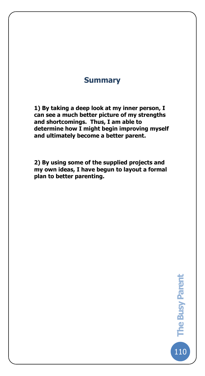## **Summary**

The Busy Pare

**1) By taking a deep look at my inner person, I can see a much better picture of my strengths and shortcomings. Thus, I am able to determine how I might begin improving myself and ultimately become a better parent.**

**2) By using some of the supplied projects and my own ideas, I have begun to layout a formal plan to better parenting.**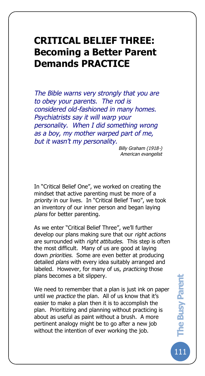# **CRITICAL BELIEF THREE: Becoming a Better Parent Demands PRACTICE**

The Busy Pare

*The Bible warns very strongly that you are to obey your parents. The rod is considered old-fashioned in many homes. Psychiatrists say it will warp your personality. When I did something wrong as a boy, my mother warped part of me, but it wasn't my personality.* 

*Billy Graham (1918-) American evangelist*

In "Critical Belief One", we worked on creating the mindset that active parenting must be more of a *priority* in our lives. In "Critical Belief Two", we took an inventory of our inner person and began laying *plans* for better parenting.

As we enter "Critical Belief Three", we'll further develop our plans making sure that our *right actions* are surrounded with *right attitudes*. This step is often the most difficult. Many of us are good at laying down *priorities*. Some are even better at producing detailed *plans* with every idea suitably arranged and labeled. However, for many of us, *practicing* those plans becomes a bit slippery.

We need to remember that a plan is just ink on paper until we *practice* the plan. All of us know that it's easier to make a plan then it is to accomplish the plan. Prioritizing and planning without practicing is about as useful as paint without a brush. A more pertinent analogy might be to go after a new job without the intention of ever working the job.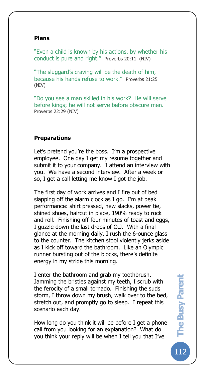### **Plans**

The Busy Pare

"Even a child is known by his actions, by whether his conduct is pure and right." Proverbs 20:11 (NIV)

"The sluggard's craving will be the death of him, because his hands refuse to work." Proverbs 21:25 (NIV)

"Do you see a man skilled in his work? He will serve before kings; he will not serve before obscure men. Proverbs 22:29 (NIV)

## **Preparations**

Let's pretend you're the boss. I'm a prospective employee. One day I get my resume together and submit it to your company. I attend an interview with you. We have a second interview. After a week or so, I get a call letting me know I got the job.

The first day of work arrives and I fire out of bed slapping off the alarm clock as I go. I'm at peak performance: shirt pressed, new slacks, power tie, shined shoes, haircut in place, 190% ready to rock and roll. Finishing off four minutes of toast and eggs, I guzzle down the last drops of O.J. With a final glance at the morning daily, I rush the 6-ounce glass to the counter. The kitchen stool violently jerks aside as I kick off toward the bathroom. Like an Olympic runner bursting out of the blocks, there's definite energy in my stride this morning.

I enter the bathroom and grab my toothbrush. Jamming the bristles against my teeth, I scrub with the ferocity of a small tornado. Finishing the suds storm, I throw down my brush, walk over to the bed, stretch out, and promptly go to sleep. I repeat this scenario each day.

How long do you think it will be before I get a phone call from you looking for an explanation? What do you think your reply will be when I tell you that I've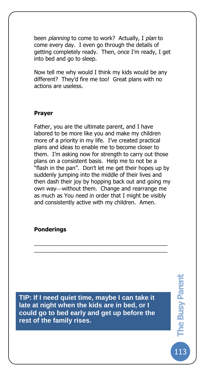been *planning* to come to work? Actually, I *plan* to come every day. I even go through the details of getting completely ready. Then, once I'm ready, I get into bed and go to sleep.

Now tell me why would I think my kids would be any different? They'd fire me too! Great plans with no actions are useless.

## **Prayer**

The Busy Pare

Father, you are the ultimate parent, and I have labored to be more like you and make my children more of a priority in my life. I've created practical plans and ideas to enable me to become closer to them. I'm asking now for strength to carry out those plans on a consistent basis. Help me to not be a "flash in the pan". Don't let me get their hopes up by suddenly jumping into the middle of their lives and then dash their joy by hopping back out and going my own way—without them. Change and rearrange me as much as You need in order that I might be visibly and consistently active with my children. Amen.

\_\_\_\_\_\_\_\_\_\_\_\_\_\_\_\_\_\_\_\_\_\_\_\_\_\_\_\_\_\_\_\_\_\_\_\_\_\_\_\_\_\_\_ \_\_\_\_\_\_\_\_\_\_\_\_\_\_\_\_\_\_\_\_\_\_\_\_\_\_\_\_\_\_\_\_\_\_\_\_\_\_\_\_\_\_\_

## **Ponderings**

**TIP: If I need quiet time, maybe I can take it late at night when the kids are in bed, or I could go to bed early and get up before the rest of the family rises.**

113**The Busy Parent**  The Busy Parent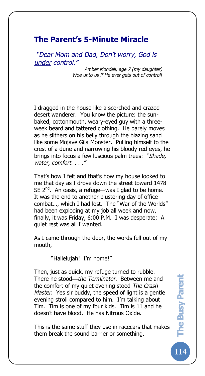## **The Parent's 5-Minute Miracle**

The Busy Pare

*"Dear Mom and Dad, Don't worry, God is under control."*

> *Amber Mondell, age 7 (my daughter) Woe unto us if He ever gets out of control!*

I dragged in the house like a scorched and crazed desert wanderer. You know the picture: the sunbaked, cottonmouth, weary-eyed guy with a threeweek beard and tattered clothing. He barely moves as he slithers on his belly through the blazing sand like some Mojave Gila Monster. Pulling himself to the crest of a dune and narrowing his bloody red eyes, he brings into focus a few luscious palm trees: *"Shade, water, comfort. . . ."*

That's how I felt and that's how my house looked to me that day as I drove down the street toward 1478 SE  $2^{nd}$ . An oasis, a refuge—was I glad to be home. It was the end to another blustering day of office combat…, which I had lost. The "War of the Worlds" had been exploding at my job all week and now, finally, it was Friday, 6:00 P.M. I was desperate; A quiet rest was all I wanted.

As I came through the door, the words fell out of my mouth,

"Hallelujah! I'm home!"

Then, just as quick, my refuge turned to rubble. There he stood—the Terminator. Between me and the comfort of my quiet evening stood *The Crash Master*. Yes sir buddy, the speed of light is a gentle evening stroll compared to him. I'm talking about Tim. Tim is one of my four kids. Tim is 11 and he doesn't have blood. He has Nitrous Oxide.

This is the same stuff they use in racecars that makes them break the sound barrier or something.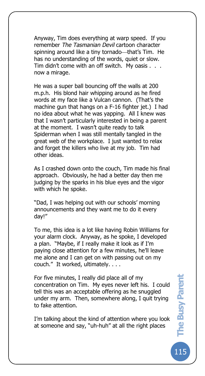Anyway, Tim does everything at warp speed. If you remember *The Tasmanian Devil* cartoon character spinning around like a tiny tornado—that's Tim. He has no understanding of the words, quiet or slow. Tim didn't come with an off switch. My oasis . . . now a mirage.

The Busy Pare

He was a super ball bouncing off the walls at 200 m.p.h. His blond hair whipping around as he fired words at my face like a Vulcan cannon. (That's the machine gun that hangs on a F-16 fighter jet.) I had no idea about what he was yapping. All I knew was that I wasn't particularly interested in being a parent at the moment. I wasn't quite ready to talk Spiderman when I was still mentally tangled in the great web of the workplace. I just wanted to relax and forget the killers who live at my job. Tim had other ideas.

As I crashed down onto the couch, Tim made his final approach. Obviously, he had a better day then me judging by the sparks in his blue eyes and the vigor with which he spoke.

"Dad, I was helping out with our schools' morning announcements and they want me to do it every day!"

To me, this idea is a lot like having Robin Williams for your alarm clock. Anyway, as he spoke, I developed a plan. "Maybe, if I really make it look as if I'm paying close attention for a few minutes, he'll leave me alone and I can get on with passing out on my couch." It worked, ultimately. . . .

For five minutes, I really did place all of my concentration on Tim. My eyes never left his. I could tell this was an acceptable offering as he snuggled under my arm. Then, somewhere along, I quit trying to fake attention.

I'm talking about the kind of attention where you look at someone and say, "uh-huh" at all the right places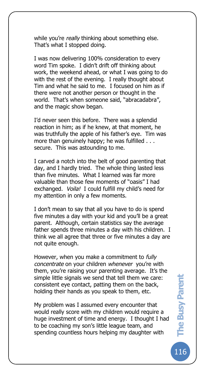while you're *really* thinking about something else. That's what I stopped doing.

The Busy Pare

I was now delivering 100% consideration to every word Tim spoke. I didn't drift off thinking about work, the weekend ahead, or what I was going to do with the rest of the evening. I really thought about Tim and what he said to me. I focused on him as if there were not another person or thought in the world. That's when someone said, "abracadabra", and the magic show began.

I'd never seen this before. There was a splendid reaction in him; as if he knew, at that moment, he was truthfully the apple of his father's eye. Tim was more than genuinely happy; he was fulfilled . . . secure. This was astounding to me.

I carved a notch into the belt of good parenting that day, and I hardly tried. The whole thing lasted less than five minutes. What I learned was far more valuable than those few moments of "oasis" I had exchanged. *Voila!* I could fulfill my child's need for my attention in only a few moments.

I don't mean to say that all you have to do is spend five minutes a day with your kid and you'll be a great parent. Although, certain statistics say the average father spends three minutes a day with his children. I think we all agree that three or five minutes a day are not quite enough.

However, when you make a commitment to *fully concentrate* on your children *whenever* you're with them, you're raising your parenting average. It's the simple little signals we send that tell them we care: consistent eye contact, patting them on the back, holding their hands as you speak to them, etc.

My problem was I assumed every encounter that would really score with my children would require a huge investment of time and energy. I thought I had to be coaching my son's little league team, and spending countless hours helping my daughter with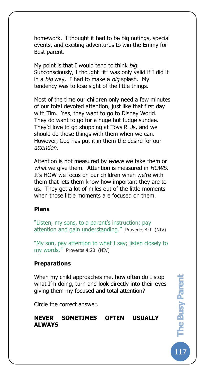homework. I thought it had to be big outings, special events, and exciting adventures to win the Emmy for Best parent.

My point is that I would tend to think *big*. Subconsciously, I thought "it" was only valid if I did it in a *big* way. I had to make a *big* splash. My tendency was to lose sight of the little things.

Most of the time our children only need a few minutes of our total devoted attention, just like that first day with Tim. Yes, they want to go to Disney World. They do want to go for a huge hot fudge sundae. They'd love to go shopping at Toys R Us, and we should do those things with them when we can. However, God has put it in them the desire for our *attention*.

Attention is not measured by *where* we take them or *what* we give them. Attention is measured in *HOWS*. It's HOW we focus on our children when we're with them that lets them know how important they are to us. They get a lot of miles out of the little moments when those little moments are focused on them.

#### **Plans**

The Busy Pare

"Listen, my sons, to a parent's instruction; pay attention and gain understanding." Proverbs 4:1 (NIV)

"My son, pay attention to what I say; listen closely to my words." Proverbs 4:20 (NIV)

#### **Preparations**

When my child approaches me, how often do I stop what I'm doing, turn and look directly into their eyes giving them my focused and total attention?

Circle the correct answer.

## **NEVER SOMETIMES OFTEN USUALLY ALWAYS**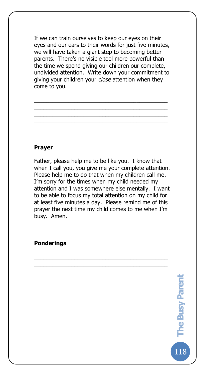If we can train ourselves to keep our eyes on their eyes and our ears to their words for just five minutes, we will have taken a giant step to becoming better parents. There's no visible tool more powerful than the time we spend giving our children our complete, undivided attention. Write down your commitment to giving your children your *close* attention when they come to you.

\_\_\_\_\_\_\_\_\_\_\_\_\_\_\_\_\_\_\_\_\_\_\_\_\_\_\_\_\_\_\_\_\_\_\_\_\_\_\_\_\_\_\_ \_\_\_\_\_\_\_\_\_\_\_\_\_\_\_\_\_\_\_\_\_\_\_\_\_\_\_\_\_\_\_\_\_\_\_\_\_\_\_\_\_\_\_ \_\_\_\_\_\_\_\_\_\_\_\_\_\_\_\_\_\_\_\_\_\_\_\_\_\_\_\_\_\_\_\_\_\_\_\_\_\_\_\_\_\_\_ \_\_\_\_\_\_\_\_\_\_\_\_\_\_\_\_\_\_\_\_\_\_\_\_\_\_\_\_\_\_\_\_\_\_\_\_\_\_\_\_\_\_\_

#### **Prayer**

The Busy Pare

Father, please help me to be like you. I know that when I call you, you give me your complete attention. Please help me to do that when my children call me. I'm sorry for the times when my child needed my attention and I was somewhere else mentally. I want to be able to focus my total attention on my child for at least five minutes a day. Please remind me of this prayer the next time my child comes to me when I'm busy. Amen.

\_\_\_\_\_\_\_\_\_\_\_\_\_\_\_\_\_\_\_\_\_\_\_\_\_\_\_\_\_\_\_\_\_\_\_\_\_\_\_\_\_\_\_ \_\_\_\_\_\_\_\_\_\_\_\_\_\_\_\_\_\_\_\_\_\_\_\_\_\_\_\_\_\_\_\_\_\_\_\_\_\_\_\_\_\_\_

**Ponderings**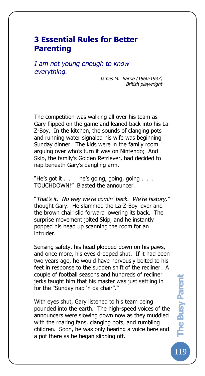## **3 Essential Rules for Better Parenting**

The Busy Pare

*I am not young enough to know everything.*

*James M. Barrie (1860-1937) British playwright*

The competition was walking all over his team as Gary flipped on the game and leaned back into his La-Z-Boy. In the kitchen, the sounds of clanging pots and running water signaled his wife was beginning Sunday dinner. The kids were in the family room arguing over who's turn it was on Nintendo; And Skip, the family's Golden Retriever, had decided to nap beneath Gary's dangling arm.

"He's got it . . . he's going, going, going . . . TOUCHDOWN!" Blasted the announcer.

"*That's it. No way we're comin' back. We're history,"* thought Gary. He slammed the La-Z-Boy lever and the brown chair slid forward lowering its back. The surprise movement jolted Skip, and he instantly popped his head up scanning the room for an intruder.

Sensing safety, his head plopped down on his paws, and once more, his eyes drooped shut. If it had been two years ago, he would have nervously bolted to his feet in response to the sudden shift of the recliner. A couple of football seasons and hundreds of recliner jerks taught him that his master was just settling in for the "Sunday nap 'n da chair"."

With eyes shut, Gary listened to his team being pounded into the earth. The high-speed voices of the announcers were slowing down now as they muddied with the roaring fans, clanging pots, and rumbling children. Soon, he was only hearing a voice here and a pot there as he began slipping off.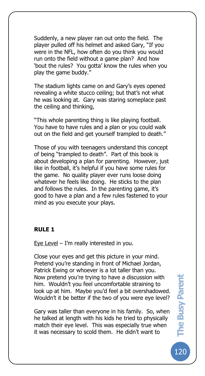Suddenly, a new player ran out onto the field. The player pulled off his helmet and asked Gary, "If you were in the NFL, how often do you think you would run onto the field without a game plan? And how 'bout the rules? You gotta' know the rules when you play the game buddy."

The stadium lights came on and Gary's eyes opened revealing a white stucco ceiling; but that's not what he was looking at. Gary was staring someplace past the ceiling and thinking,

"This whole parenting thing is like playing football. You have to have rules and a plan or you could walk out on the field and get yourself trampled to death."

Those of you with teenagers understand this concept of being "trampled to death". Part of this book is about developing a plan for parenting. However, just like in football, it's helpful if you have some rules for the game. No quality player ever runs loose doing whatever he feels like doing. He sticks to the plan and follows the rules. In the parenting game, it's good to have a plan and a few rules fastened to your mind as you execute your plays.

#### **RULE 1**

The Busy Pare

Eye Level  $-$  I'm really interested in you.

Close your eyes and get this picture in your mind. Pretend you're standing in front of Michael Jordan, Patrick Ewing or whoever is a lot taller than you. Now pretend you're trying to have a discussion with him. Wouldn't you feel uncomfortable straining to look up at him. Maybe you'd feel a bit overshadowed. Wouldn't it be better if the two of you were eye level?

Gary was taller than everyone in his family. So, when he talked at length with his kids he tried to physically match their eye level. This was especially true when it was necessary to scold them. He didn't want to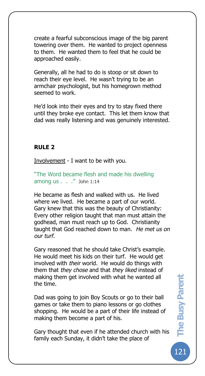create a fearful subconscious image of the big parent towering over them. He wanted to project openness to them. He wanted them to feel that he could be approached easily.

Generally, all he had to do is stoop or sit down to reach their eye level. He wasn't trying to be an armchair psychologist, but his homegrown method seemed to work.

He'd look into their eyes and try to stay fixed there until they broke eye contact. This let them know that dad was really listening and was genuinely interested.

## **RULE 2**

The Busy Pare

Involvement - I want to be with you.

"The Word became flesh and made his dwelling among us . . ." John 1:14

He became as flesh and walked with us. He lived where we lived. He became a part of our world. Gary knew that this was the beauty of Christianity: Every other religion taught that man must attain the godhead, man must reach up to God. Christianity taught that God reached down to man. *He met us on our turf*.

Gary reasoned that he should take Christ's example. He would meet his kids on their turf. He would get involved with *their* world. He would do things with them that *they chose* and that *they liked* instead of making them get involved with what he wanted all the time.

Dad was going to join Boy Scouts or go to their ball games or take them to piano lessons or go clothes shopping. He would be a part of their life instead of making them become a part of his.

Gary thought that even if he attended church with his family each Sunday, it didn't take the place of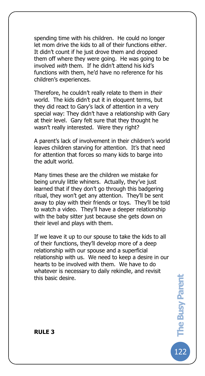spending time with his children. He could no longer let mom drive the kids to all of their functions either. It didn't count if he just drove them and dropped them off where they were going. He was going to be involved *with* them. If he didn't attend his kid's functions with them, he'd have no reference for his children's experiences.

Therefore, he couldn't really relate to them in *their* world. The kids didn't put it in eloquent terms, but they did react to Gary's lack of attention in a very special way: They didn't have a relationship with Gary at their level. Gary felt sure that they thought he wasn't really interested. Were they right?

A parent's lack of involvement in their children's world leaves children starving for attention. It's that need for attention that forces so many kids to barge into the adult world.

Many times these are the children we mistake for being unruly little whiners. Actually, they've just learned that if they don't go through this badgering ritual, they won't get any attention. They'll be sent away to play with their friends or toys. They'll be told to watch a video. They'll have a deeper relationship with the baby sitter just because she gets down on their level and plays with them.

If we leave it up to our spouse to take the kids to all of their functions, they'll develop more of a deep relationship with our spouse and a superficial relationship with us. We need to keep a desire in our hearts to be involved with them. We have to do whatever is necessary to daily rekindle, and revisit this basic desire.

122**The Busy Parent**  The Busy Parent

The Busy Pare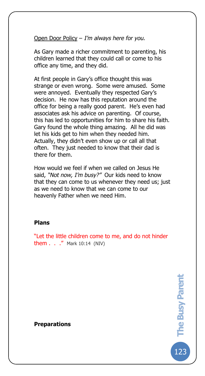Open Door Policy – *I'm always here for you.* 

As Gary made a richer commitment to parenting, his children learned that they could call or come to his office any time, and they did.

At first people in Gary's office thought this was strange or even wrong. Some were amused. Some were annoyed. Eventually they respected Gary's decision. He now has this reputation around the office for being a really good parent. He's even had associates ask his advice on parenting. Of course, this has led to opportunities for him to share his faith. Gary found the whole thing amazing. All he did was let his kids get to him when they needed him. Actually, they didn't even show up or call all that often. They just needed to know that their dad is there for them.

How would we feel if when we called on Jesus He said, *"Not now, I'm busy?"* Our kids need to know that they can come to us whenever they need us; just as we need to know that we can come to our heavenly Father when we need Him.

#### **Plans**

The Busy Pare

"Let the little children come to me, and do not hinder them  $\ldots$  " Mark 10:14 (NIV)

> 123**The Busy Parent**  The Busy Parent

**Preparations**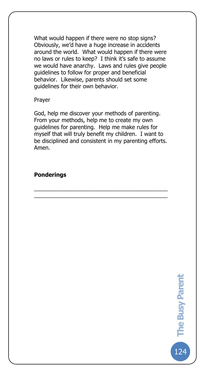What would happen if there were no stop signs? Obviously, we'd have a huge increase in accidents around the world. What would happen if there were no laws or rules to keep? I think it's safe to assume we would have anarchy. Laws and rules give people guidelines to follow for proper and beneficial behavior. Likewise, parents should set some guidelines for their own behavior.

#### Prayer

The Busy Pare

God, help me discover your methods of parenting. From your methods, help me to create my own guidelines for parenting. Help me make rules for myself that will truly benefit my children. I want to be disciplined and consistent in my parenting efforts. Amen.

\_\_\_\_\_\_\_\_\_\_\_\_\_\_\_\_\_\_\_\_\_\_\_\_\_\_\_\_\_\_\_\_\_\_\_\_\_\_\_\_\_\_\_ \_\_\_\_\_\_\_\_\_\_\_\_\_\_\_\_\_\_\_\_\_\_\_\_\_\_\_\_\_\_\_\_\_\_\_\_\_\_\_\_\_\_\_

## **Ponderings**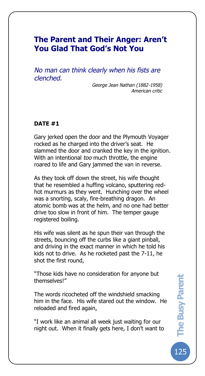## **The Parent and Their Anger: Aren't You Glad That God's Not You**

*No man can think clearly when his fists are clenched.*

> *George Jean Nathan (1882-1958) American critic*

### **DATE #1**

The Busy Pare

Gary jerked open the door and the Plymouth Voyager rocked as he charged into the driver's seat. He slammed the door and cranked the key in the ignition. With an intentional *too* much throttle, the engine roared to life and Gary jammed the van in reverse.

As they took off down the street, his wife thought that he resembled a huffing volcano, sputtering redhot murmurs as they went. Hunching over the wheel was a snorting, scaly, fire-breathing dragon. An atomic bomb was at the helm, and no one had better drive too slow in front of him. The temper gauge registered boiling.

His wife was silent as he spun their van through the streets, bouncing off the curbs like a giant pinball, and driving in the exact manner in which he told his kids not to drive. As he rocketed past the 7-11, he shot the first round,

"Those kids have no consideration for anyone but themselves!"

The words ricocheted off the windshield smacking him in the face. His wife stared out the window. He reloaded and fired again,

"I work like an animal all week just waiting for our night out. When it finally gets here, I don't want to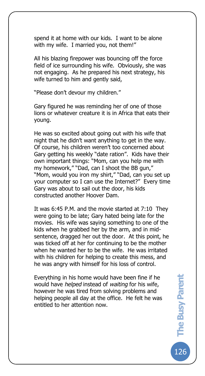spend it at home with our kids. I want to be alone with my wife. I married you, not them!"

All his blazing firepower was bouncing off the force field of ice surrounding his wife. Obviously, she was not engaging. As he prepared his next strategy, his wife turned to him and gently said,

"Please don't devour my children."

The Busy Pare

Gary figured he was reminding her of one of those lions or whatever creature it is in Africa that eats their young.

He was so excited about going out with his wife that night that he didn't want anything to get in the way. Of course, his children weren't too concerned about Gary getting his weekly "date ration". Kids have their own important things: "Mom, can you help me with my homework," "Dad, can I shoot the BB gun," "Mom, would you iron my shirt," "Dad, can you set up your computer so I can use the Internet?" Every time Gary was about to sail out the door, his kids constructed another Hoover Dam.

It was 6:45 P.M. and the movie started at 7:10 They were going to be late; Gary hated being late for the movies. His wife was saying something to one of the kids when he grabbed her by the arm, and in midsentence, dragged her out the door. At this point, he was ticked off at her for continuing to be the mother when he wanted her to be the wife. He was irritated with his children for helping to create this mess, and he was angry with himself for his loss of control.

Everything in his home would have been fine if he would have *helped* instead of *waiting* for his wife, however he was tired from solving problems and helping people all day at the office. He felt he was entitled to her attention now.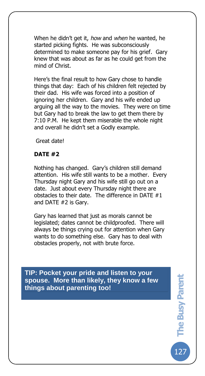When he didn't get it, *how* and *when* he wanted, he started picking fights. He was subconsciously determined to make someone pay for his grief. Gary knew that was about as far as he could get from the mind of Christ.

Here's the final result to how Gary chose to handle things that day: Each of his children felt rejected by their dad. His wife was forced into a position of ignoring her children. Gary and his wife ended up arguing all the way to the movies. They were on time but Gary had to break the law to get them there by 7:10 P.M. He kept them miserable the whole night and overall he didn't set a Godly example.

Great date!

## **DATE #2**

The Busy Pare

Nothing has changed. Gary's children still demand attention. His wife still wants to be a mother. Every Thursday night Gary and his wife still go out on a date. Just about every Thursday night there are obstacles to their date. The difference in DATE #1 and DATE #2 is Gary.

Gary has learned that just as morals cannot be legislated; dates cannot be childproofed. There will always be things crying out for attention when Gary wants to do something else. Gary has to deal with obstacles properly, not with brute force.

**TIP: Pocket your pride and listen to your spouse. More than likely, they know a few things about parenting too!**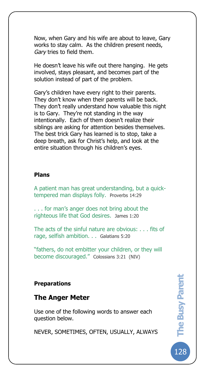Now, when Gary and his wife are about to leave, Gary works to stay calm. As the children present needs, *Gary* tries to field them.

He doesn't leave his wife out there hanging. He gets involved, stays pleasant, and becomes part of the solution instead of part of the problem.

Gary's children have every right to their parents. They don't know when their parents will be back. They don't really understand how valuable this night is to Gary. They're not standing in the way intentionally. Each of them doesn't realize their siblings are asking for attention besides themselves. The best trick Gary has learned is to stop, take a deep breath, ask for Christ's help, and look at the entire situation through his children's eyes.

#### **Plans**

The Busy Pare

A patient man has great understanding, but a quicktempered man displays folly. Proverbs 14:29

. . . for man's anger does not bring about the righteous life that God desires. James 1:20

The acts of the sinful nature are obvious: . . . fits of rage, selfish ambition. . . Galatians 5:20

"fathers, do not embitter your children, or they will become discouraged." Colossians 3:21 (NIV)

#### **Preparations**

## **The Anger Meter**

Use one of the following words to answer each question below.

NEVER, SOMETIMES, OFTEN, USUALLY, ALWAYS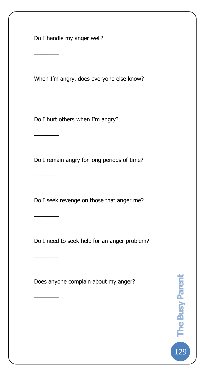Do I handle my anger well?

 $\overline{\phantom{a}}$ 

 $\overline{\phantom{a}}$ 

 $\overline{\phantom{a}}$ 

 $\overline{\phantom{a}}$ 

 $\overline{\phantom{a}}$ 

 $\overline{\phantom{a}}$ 

 $\overline{\phantom{a}}$ 

The Busy Pare

When I'm angry, does everyone else know?

Do I hurt others when I'm angry?

Do I remain angry for long periods of time?

Do I seek revenge on those that anger me?

Do I need to seek help for an anger problem?

Does anyone complain about my anger?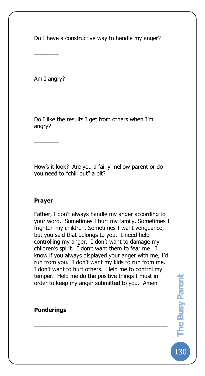Do I have a constructive way to handle my anger?

Am I angry?

 $\overline{\phantom{a}}$ 

 $\overline{\phantom{a}}$ 

 $\overline{\phantom{a}}$ 

The Busy Pare

Do I like the results I get from others when I'm angry?

How's it look? Are you a fairly mellow parent or do you need to "chill out" a bit?

## **Prayer**

Father, I don't always handle my anger according to your word. Sometimes I hurt my family. Sometimes I frighten my children. Sometimes I want vengeance, but you said that belongs to you. I need help controlling my anger. I don't want to damage my children's spirit. I don't want them to fear me. I know if you always displayed your anger with me, I'd run from you. I don't want my kids to run from me. I don't want to hurt others. Help me to control my temper. Help me do the positive things I must in order to keep my anger submitted to you. Amen

\_\_\_\_\_\_\_\_\_\_\_\_\_\_\_\_\_\_\_\_\_\_\_\_\_\_\_\_\_\_\_\_\_\_\_\_\_\_\_\_\_\_\_ \_\_\_\_\_\_\_\_\_\_\_\_\_\_\_\_\_\_\_\_\_\_\_\_\_\_\_\_\_\_\_\_\_\_\_\_\_\_\_\_\_\_\_

**Ponderings**

130**The Busy Parent**  The Busy Parent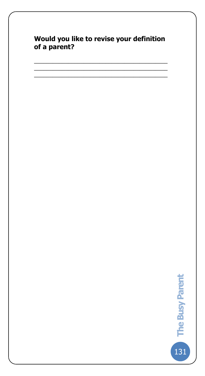## **Would you like to revise your definition of a parent?**

\_\_\_\_\_\_\_\_\_\_\_\_\_\_\_\_\_\_\_\_\_\_\_\_\_\_\_\_\_\_\_\_\_\_\_\_\_\_\_\_\_\_\_ \_\_\_\_\_\_\_\_\_\_\_\_\_\_\_\_\_\_\_\_\_\_\_\_\_\_\_\_\_\_\_\_\_\_\_\_\_\_\_\_\_\_\_ \_\_\_\_\_\_\_\_\_\_\_\_\_\_\_\_\_\_\_\_\_\_\_\_\_\_\_\_\_\_\_\_\_\_\_\_\_\_\_\_\_\_\_

The Busy Pare

The Busy Parent 131**The Busy Parent**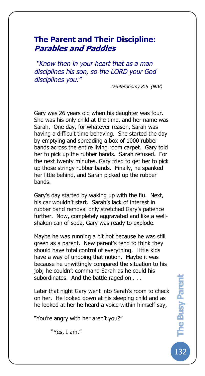## **The Parent and Their Discipline: Parables and Paddles**

The Busy Pare

*"Know then in your heart that as a man disciplines his son, so the LORD your God disciplines you."*

*Deuteronomy 8:5 (NIV)*

Gary was 26 years old when his daughter was four. She was his only child at the time, and her name was Sarah. One day, for whatever reason, Sarah was having a difficult time behaving. She started the day by emptying and spreading a box of 1000 rubber bands across the entire living room carpet. Gary told her to pick up the rubber bands. Sarah refused. For the next twenty minutes, Gary tried to get her to pick up those stringy rubber bands. Finally, he spanked her little behind, and Sarah picked up the rubber bands.

Gary's day started by waking up with the flu. Next, his car wouldn't start. Sarah's lack of interest in rubber band removal only stretched Gary's patience further. Now, completely aggravated and like a wellshaken can of soda, Gary was ready to explode.

Maybe he was running a bit hot because he was still green as a parent. New parent's tend to think they should have total control of everything. Little kids have a way of undoing that notion. Maybe it was because he unwittingly compared the situation to his job; he couldn't command Sarah as he could his subordinates. And the battle raged on . . .

Later that night Gary went into Sarah's room to check on her. He looked down at his sleeping child and as he looked at her he heard a voice within himself say,

"You're angry with her aren't you?"

"Yes, I am."

132**The Busy Parent The Busy Parent**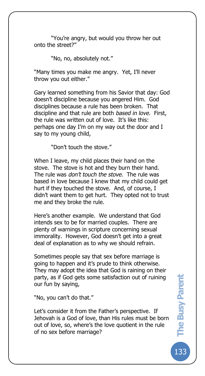"You're angry, but would you throw her out onto the street?"

"No, no, absolutely not."

The Busy Pare

"Many times you make me angry. Yet, I'll never throw you out either."

Gary learned something from his Savior that day: God doesn't discipline because you angered Him. God disciplines because a rule has been broken. That discipline and that rule are both *based in love*. First, the rule was written out of love. It's like this: perhaps one day I'm on my way out the door and I say to my young child,

"Don't touch the stove."

When I leave, my child places their hand on the stove. The stove is hot and they burn their hand. The rule was *don't touch the stove*. The rule was based in love because I knew that my child could get hurt if they touched the stove. And, of course, I didn't want them to get hurt. They opted not to trust me and they broke the rule.

Here's another example. We understand that God intends sex to be for married couples. There are plenty of warnings in scripture concerning sexual immorality. However, God doesn't get into a great deal of explanation as to why we should refrain.

Sometimes people say that sex before marriage is going to happen and it's prude to think otherwise. They may adopt the idea that God is raining on their party, as if God gets some satisfaction out of ruining our fun by saying,

"No, you can't do that."

Let's consider it from the Father's perspective. If Jehovah is a God of love, than His rules must be born out of love, so, where's the love quotient in the rule of no sex before marriage?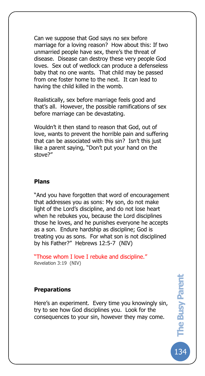Can we suppose that God says no sex before marriage for a loving reason? How about this: If two unmarried people have sex, there's the threat of disease. Disease can destroy these very people God loves. Sex out of wedlock can produce a defenseless baby that no one wants. That child may be passed from one foster home to the next. It can lead to having the child killed in the womb.

Realistically, sex before marriage feels good and that's all. However, the possible ramifications of sex before marriage can be devastating.

Wouldn't it then stand to reason that God, out of love, wants to prevent the horrible pain and suffering that can be associated with this sin? Isn't this just like a parent saying, "Don't put your hand on the stove?"

#### **Plans**

The Busy Pare

"And you have forgotten that word of encouragement that addresses you as sons: My son, do not make light of the Lord's discipline, and do not lose heart when he rebukes you, because the Lord disciplines those he loves, and he punishes everyone he accepts as a son. Endure hardship as discipline; God is treating you as sons. For what son is not disciplined by his Father?" Hebrews 12:5-7 (NIV)

"Those whom I love I rebuke and discipline." Revelation 3:19 (NIV)

#### **Preparations**

Here's an experiment. Every time you knowingly sin, try to see how God disciplines you. Look for the consequences to your sin, however they may come.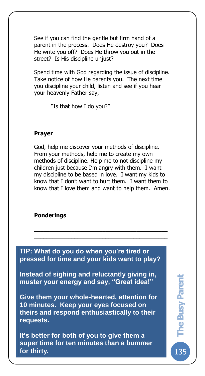See if you can find the gentle but firm hand of a parent in the process. Does He destroy you? Does He write you off? Does He throw you out in the street? Is His discipline unjust?

Spend time with God regarding the issue of discipline. Take notice of how He parents you. The next time you discipline your child, listen and see if you hear your heavenly Father say,

"Is that how I do you?"

## **Prayer**

The Busy Pare

God, help me discover your methods of discipline. From your methods, help me to create my own methods of discipline. Help me to not discipline my children just because I'm angry with them. I want my discipline to be based in love. I want my kids to know that I don't want to hurt them. I want them to know that I love them and want to help them. Amen.

\_\_\_\_\_\_\_\_\_\_\_\_\_\_\_\_\_\_\_\_\_\_\_\_\_\_\_\_\_\_\_\_\_\_\_\_\_\_\_\_\_\_\_ \_\_\_\_\_\_\_\_\_\_\_\_\_\_\_\_\_\_\_\_\_\_\_\_\_\_\_\_\_\_\_\_\_\_\_\_\_\_\_\_\_\_\_

## **Ponderings**

**TIP: What do you do when you're tired or pressed for time and your kids want to play?** 

**Instead of sighing and reluctantly giving in, muster your energy and say, "Great idea!"**

**Give them your whole-hearted, attention for 10 minutes. Keep your eyes focused on theirs and respond enthusiastically to their requests.** 

**It's better for both of you to give them a super time for ten minutes than a bummer for thirty.**

135**The Busy Parent**  The Busy Parent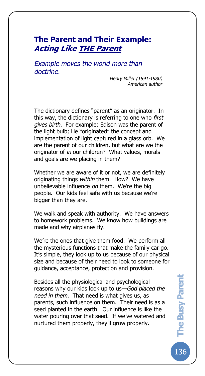## **The Parent and Their Example: Acting Like THE Parent**

*Example moves the world more than doctrine.*

The Busy Pare

*Henry Miller (1891-1980) American author*

The dictionary defines "parent" as an originator. In this way, the dictionary is referring to one who *first gives birth*. For example: Edison was the parent of the light bulb; He "originated" the concept and implementation of light captured in a glass orb. We are the parent of our children, but what are we the originator of *in* our children? What values, morals and goals are we placing in them?

Whether we are aware of it or not, we are definitely originating things *within* them. How? We have unbelievable influence *on* them. We're the big people. Our kids feel safe with us because we're bigger than they are.

We walk and speak with authority. We have answers to homework problems. We know how buildings are made and why airplanes fly.

We're the ones that give them food. We perform all the mysterious functions that make the family car go. It's simple, they look up to us because of our physical size and because of their need to look to someone for guidance, acceptance, protection and provision.

Besides all the physiological and psychological reasons why our kids look up to us—*God placed the need in them*. That need is what gives us, as parents, such influence on them. Their need is as a seed planted in the earth. Our influence is like the water pouring over that seed. If we've watered and nurtured them properly, they'll grow properly.

.<br>136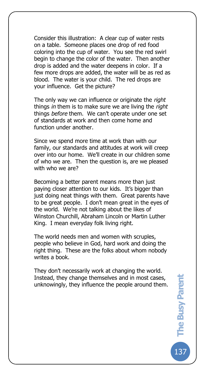Consider this illustration: A clear cup of water rests on a table. Someone places one drop of red food coloring into the cup of water. You see the red swirl begin to change the color of the water. Then another drop is added and the water deepens in color. If a few more drops are added, the water will be as red as blood. The water is your child. The red drops are your influence. Get the picture?

The Busy Pare

The only way we can influence or originate the *right* things *in* them is to make sure we are living the *right* things *before* them. We can't operate under one set of standards at work and then come home and function under another.

Since we spend more time at work than with our family, our standards and attitudes at work will creep over into our home. We'll create in our children some of who we are. Then the question is, are we pleased with who we are?

Becoming a better parent means more than just paying closer attention to our kids. It's bigger than just doing neat things with them. Great parents have to be great people. I don't mean great in the eyes of the world. We're not talking about the likes of Winston Churchill, Abraham Lincoln or Martin Luther King. I mean everyday folk living right.

The world needs men and women with scruples, people who believe in God, hard work and doing the right thing. These are the folks about whom nobody writes a book.

They don't necessarily work at changing the world. Instead, they change themselves and in most cases, unknowingly, they influence the people around them.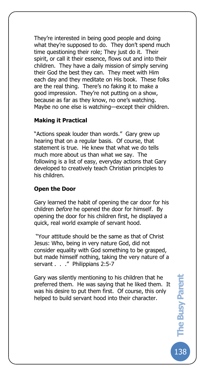They're interested in being good people and doing what they're supposed to do. They don't spend much time questioning their role; They just do it. Their spirit, or call it their essence, flows out and into their children. They have a daily mission of simply serving their God the best they can. They meet with Him each day and they meditate on His book. These folks are the real thing. There's no faking it to make a good impression. They're not putting on a show, because as far as they know, no one's watching. Maybe no one else is watching—except their children.

## **Making it Practical**

The Busy Pare

"Actions speak louder than words." Gary grew up hearing that on a regular basis. Of course, that statement is true. He knew that what we do tells much more about us than what we say. The following is a list of easy, everyday actions that Gary developed to creatively teach Christian principles to his children.

## **Open the Door**

Gary learned the habit of opening the car door for his children *before* he opened the door for himself. By opening the door for his children first, he displayed a quick, real world example of servant hood.

"Your attitude should be the same as that of Christ Jesus: Who, being in very nature God, did not consider equality with God something to be grasped, but made himself nothing, taking the very nature of a servant . . ." Philippians 2:5-7

Gary was silently mentioning to his children that he preferred them. He was saying that he liked them. It was his desire to put them first. Of course, this only helped to build servant hood into their character.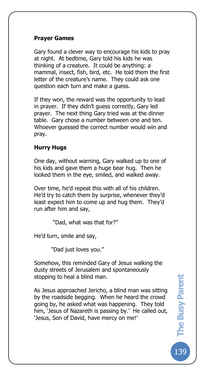## **Prayer Games**

The Busy Pare

Gary found a clever way to encourage his kids to pray at night. At bedtime, Gary told his kids he was thinking of a creature. It could be anything: a mammal, insect, fish, bird, etc. He told them the first letter of the creature's name. They could ask one question each turn and make a guess.

If they won, the reward was the opportunity to lead in prayer. If they didn't guess correctly, Gary led prayer. The next thing Gary tried was at the dinner table. Gary chose a number between one and ten. Whoever guessed the correct number would win and pray.

## **Hurry Hugs**

One day, without warning, Gary walked up to one of his kids and gave them a huge bear hug. Then he looked them in the eye, smiled, and walked away.

Over time, he'd repeat this with all of his children. He'd try to catch them by surprise, whenever they'd least expect him to come up and hug them. They'd run after him and say,

"Dad, what was that for?"

He'd turn, smile and say,

"Dad just loves you."

Somehow, this reminded Gary of Jesus walking the dusty streets of Jerusalem and spontaneously stopping to heal a blind man.

As Jesus approached Jericho, a blind man was sitting by the roadside begging. When he heard the crowd going by, he asked what was happening. They told him, 'Jesus of Nazareth is passing by.' He called out, 'Jesus, Son of David, have mercy on me!'

139**The Busy Parent**  The Busy Parent 139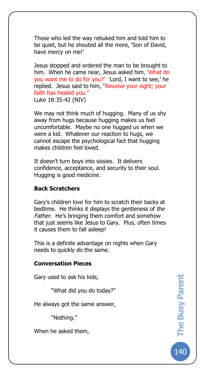Those who led the way rebuked him and told him to be quiet, but he shouted all the more, 'Son of David, have mercy on me!'

Jesus stopped and ordered the man to be brought to him. When he came near, Jesus asked him, 'What do you want me to do for you?' 'Lord, I want to see,' he replied. Jesus said to him, ''Receive your sight; your faith has healed you." Luke 18:35-42 (NIV)

We may not think much of hugging. Many of us shy away from hugs because hugging makes us feel uncomfortable. Maybe no one hugged us when we were a kid. Whatever our reaction to hugs, we cannot escape the psychological fact that hugging makes children feel loved.

It doesn't turn boys into sissies. It delivers confidence, acceptance, and security to their soul. Hugging is good medicine.

#### **Back Scratchers**

The Busy Pare

Gary's children love for him to scratch their backs at bedtime. He thinks it displays the gentleness of *the Father*. He's bringing them comfort and somehow that just seems like Jesus to Gary. Plus, often times it causes them to fall asleep!

This is a definite advantage on nights when Gary needs to quickly do the same.

#### **Conversation Pieces**

Gary used to ask his kids,

"What did you do today?"

He always got the same answer,

"Nothing."

When he asked them,

140**The Busy Parent**  The Busy Parent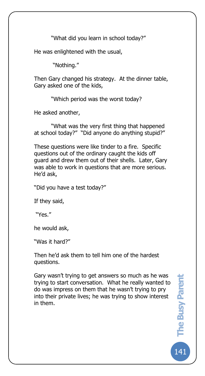"What did you learn in school today?"

He was enlightened with the usual,

"Nothing."

The Busy Pare

Then Gary changed his strategy. At the dinner table, Gary asked one of the kids,

"Which period was the worst today?

He asked another,

"What was the very first thing that happened at school today?" "Did anyone do anything stupid?"

These questions were like tinder to a fire. Specific questions out of the ordinary caught the kids off guard and drew them out of their shells. Later, Gary was able to work in questions that are more serious. He'd ask,

"Did you have a test today?"

If they said,

"Yes."

he would ask,

"Was it hard?"

Then he'd ask them to tell him one of the hardest questions.

Gary wasn't trying to get answers so much as he was trying to start conversation. What he really wanted to do was impress on them that he wasn't trying to pry into their private lives; he was trying to show interest in them.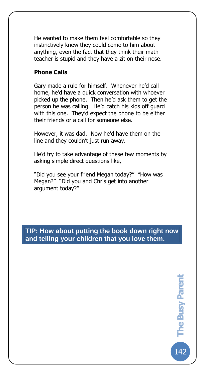He wanted to make them feel comfortable so they instinctively knew they could come to him about anything, even the fact that they think their math teacher is stupid and they have a zit on their nose.

#### **Phone Calls**

The Busy Pare

Gary made a rule for himself. Whenever he'd call home, he'd have a quick conversation with whoever picked up the phone. Then he'd ask them to get the person he was calling. He'd catch his kids off guard with this one. They'd expect the phone to be either their friends or a call for someone else.

However, it was dad. Now he'd have them on the line and they couldn't just run away.

He'd try to take advantage of these few moments by asking simple direct questions like,

"Did you see your friend Megan today?" "How was Megan?" "Did you and Chris get into another argument today?"

## **TIP: How about putting the book down right now and telling your children that you love them.**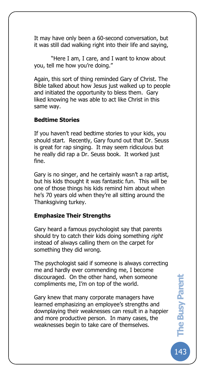It may have only been a 60-second conversation, but it was still dad walking right into their life and saying,

"Here I am, I care, and I want to know about you, tell me how you're doing."

Again, this sort of thing reminded Gary of Christ. The Bible talked about how Jesus just walked up to people and initiated the opportunity to bless them. Gary liked knowing he was able to act like Christ in this same way.

#### **Bedtime Stories**

The Busy Pare

If you haven't read bedtime stories to your kids, you should start. Recently, Gary found out that Dr. Seuss is great for rap singing. It may seem ridiculous but he really did rap a Dr. Seuss book. It worked just fine.

Gary is no singer, and he certainly wasn't a rap artist, but his kids thought it was fantastic fun. This will be one of those things his kids remind him about when he's 70 years old when they're all sitting around the Thanksgiving turkey.

### **Emphasize Their Strengths**

Gary heard a famous psychologist say that parents should try to catch their kids doing something *right* instead of always calling them on the carpet for something they did wrong.

The psychologist said if someone is always correcting me and hardly ever commending me, I become discouraged. On the other hand, when someone compliments me, I'm on top of the world.

Gary knew that many corporate managers have learned emphasizing an employee's strengths and downplaying their weaknesses can result in a happier and more productive person. In many cases, the weaknesses begin to take care of themselves.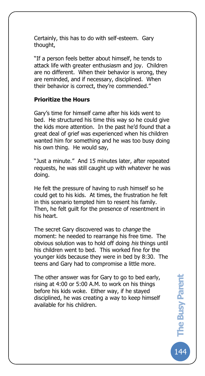Certainly, this has to do with self-esteem. Gary thought,

"If a person feels better about himself, he tends to attack life with greater enthusiasm and joy. Children are no different. When their behavior is wrong, they are reminded, and if necessary, disciplined. When their behavior is correct, they're commended."

#### **Prioritize the Hours**

The Busy Pare

Gary's time for himself came after his kids went to bed. He structured his time this way so he could give the kids more attention. In the past he'd found that a great deal of grief was experienced when his children wanted him for something and he was too busy doing his own thing. He would say,

"Just a minute." And 15 minutes later, after repeated requests, he was still caught up with whatever he was doing.

He felt the pressure of having to rush himself so he could get to his kids. At times, the frustration he felt in this scenario tempted him to resent his family. Then, he felt guilt for the presence of resentment in his heart.

The secret Gary discovered was to *change* the moment: he needed to rearrange his free time. The obvious solution was to hold off doing *his* things until his children went to bed. This worked fine for the younger kids because they were in bed by 8:30. The teens and Gary had to compromise a little more.

The other answer was for Gary to go to bed early, rising at 4:00 or 5:00 A.M. to work on his things before his kids woke. Either way, if he stayed disciplined, he was creating a way to keep himself available for his children.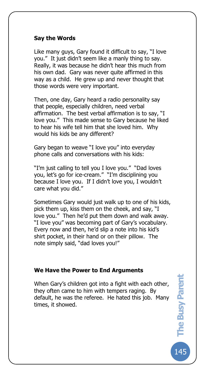#### **Say the Words**

The Busy Pare

Like many guys, Gary found it difficult to say, "I love you." It just didn't seem like a manly thing to say. Really, it was because he didn't hear this much from his own dad. Gary was never quite affirmed in this way as a child. He grew up and never thought that those words were very important.

Then, one day, Gary heard a radio personality say that people, especially children, need verbal affirmation. The best verbal affirmation is to say, "I love you." This made sense to Gary because he liked to hear his wife tell him that she loved him. Why would his kids be any different?

Gary began to weave "I love you" into everyday phone calls and conversations with his kids:

"I'm just calling to tell you I love you." "Dad loves you, let's go for ice-cream." "I'm disciplining you because I love you. If I didn't love you, I wouldn't care what you did."

Sometimes Gary would just walk up to one of his kids, pick them up, kiss them on the cheek, and say, "I love you." Then he'd put them down and walk away. "I love you" was becoming part of Gary's vocabulary. Every now and then, he'd slip a note into his kid's shirt pocket, in their hand or on their pillow. The note simply said, "dad loves you!"

#### **We Have the Power to End Arguments**

When Gary's children got into a fight with each other, they often came to him with tempers raging. By default, he was the referee. He hated this job. Many times, it showed.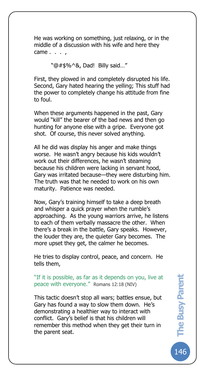He was working on something, just relaxing, or in the middle of a discussion with his wife and here they came . . . ,

"@#\$%^&, Dad! Billy said…"

The Busy Pare

First, they plowed in and completely disrupted his life. Second, Gary hated hearing the yelling; This stuff had the power to completely change his attitude from fine to foul.

When these arguments happened in the past, Gary would "kill" the bearer of the bad news and then go hunting for anyone else with a gripe. Everyone got shot. Of course, this never solved anything.

All he did was display his anger and make things worse. He wasn't angry because his kids wouldn't work out their differences, he wasn't steaming because his children were lacking in servant hood, Gary was irritated because—they were disturbing him. The truth was that he needed to work on his own maturity. Patience was needed.

Now, Gary's training himself to take a deep breath and whisper a quick prayer when the rumble's approaching. As the young warriors arrive, he listens to each of them verbally massacre the other. When there's a break in the battle, Gary speaks. However, the louder they are, the quieter Gary becomes. The more upset they get, the calmer he becomes.

He tries to display control, peace, and concern. He tells them,

"If it is possible, as far as it depends on you, live at peace with everyone." Romans 12:18 (NIV)

This tactic doesn't stop all wars; battles ensue, but Gary has found a way to slow them down. He's demonstrating a healthier way to interact with conflict. Gary's belief is that his children will remember this method when they get their turn in the parent seat.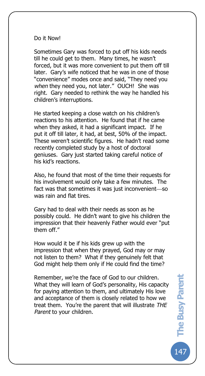#### Do it Now!

The Busy Pare

Sometimes Gary was forced to put off his kids needs till he could get to them. Many times, he wasn't forced, but it was more convenient to put them off till later. Gary's wife noticed that he was in one of those "convenience" modes once and said, "They need you *when* they need you, not later." OUCH! She was right. Gary needed to rethink the way he handled his children's interruptions.

He started keeping a close watch on his children's reactions to his attention. He found that if he came when they asked, it had a significant impact. If he put it off till later, it had, at best, 50% of the impact. These weren't scientific figures. He hadn't read some recently completed study by a host of doctoral geniuses. Gary just started taking careful notice of his kid's reactions.

Also, he found that most of the time their requests for his involvement would only take a few minutes. The fact was that sometimes it was just inconvenient-so was rain and flat tires.

Gary had to deal with their needs as soon as he possibly could. He didn't want to give his children the impression that their heavenly Father would ever "put them off."

How would it be if his kids grew up with the impression that when they prayed, God may or may not listen to them? What if they genuinely felt that God might help them only if He could find the time?

Remember, we're the face of God to our children. What they will learn of God's personality, His capacity for paying attention to them, and ultimately His love and acceptance of them is closely related to how we treat them. You're the parent that will illustrate *THE Parent* to your children.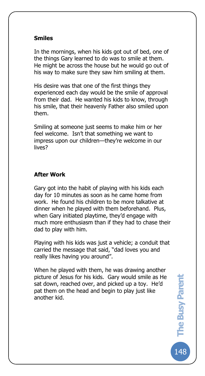#### **Smiles**

The Busy Pare

In the mornings, when his kids got out of bed, one of the things Gary learned to do was to smile at them. He might be across the house but he would go out of his way to make sure they saw him smiling at them.

His desire was that one of the first things they experienced each day would be the smile of approval from their dad. He wanted his kids to know, through his smile, that their heavenly Father also smiled upon them.

Smiling at someone just seems to make him or her feel welcome. Isn't that something we want to impress upon our children—they're welcome in our lives?

## **After Work**

Gary got into the habit of playing with his kids each day for 10 minutes as soon as he came home from work. He found his children to be more talkative at dinner when he played with them beforehand. Plus, when Gary initiated playtime, they'd engage with much more enthusiasm than if they had to chase their dad to play with him.

Playing with his kids was just a vehicle; a conduit that carried the message that said, "dad loves you and really likes having you around".

When he played with them, he was drawing another picture of Jesus for his kids. Gary would smile as He sat down, reached over, and picked up a toy. He'd pat them on the head and begin to play just like another kid.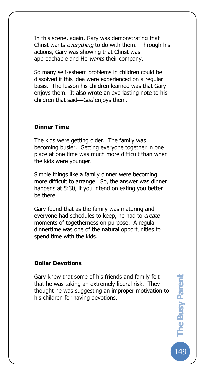In this scene, again, Gary was demonstrating that Christ wants *everything* to do with them. Through his actions, Gary was showing that Christ was approachable and He *wants* their company.

So many self-esteem problems in children could be dissolved if this idea were experienced on a regular basis. The lesson his children learned was that Gary enjoys them. It also wrote an everlasting note to his children that said-God enjoys them.

#### **Dinner Time**

The Busy Pare

The kids were getting older. The family was becoming busier. Getting everyone together in one place at one time was much more difficult than when the kids were younger.

Simple things like a family dinner were becoming more difficult to arrange. So, the answer was dinner happens at 5:30, if you intend on eating you better be there.

Gary found that as the family was maturing and everyone had schedules to keep, he had to *create* moments of togetherness on purpose. A regular dinnertime was one of the natural opportunities to spend time with the kids.

#### **Dollar Devotions**

Gary knew that some of his friends and family felt that he was taking an extremely liberal risk. They thought he was suggesting an improper motivation to his children for having devotions.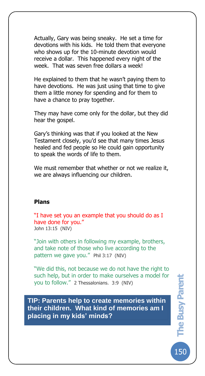Actually, Gary was being sneaky. He set a time for devotions with his kids. He told them that everyone who shows up for the 10-minute devotion would receive a dollar. This happened every night of the week. That was seven free dollars a week!

He explained to them that he wasn't paying them to have devotions. He was just using that time to give them a little money for spending and for them to have a chance to pray together.

They may have come only for the dollar, but they did hear the gospel.

Gary's thinking was that if you looked at the New Testament closely, you'd see that many times Jesus healed and fed people so He could gain opportunity to speak the words of life to them.

We must remember that whether or not we realize it, we are always influencing our children.

#### **Plans**

The Busy Pare

"I have set you an example that you should do as I have done for you." John 13:15 (NIV)

"Join with others in following my example, brothers, and take note of those who live according to the pattern we gave you." Phil 3:17 (NIV)

"We did this, not because we do not have the right to such help, but in order to make ourselves a model for you to follow." 2 Thessalonians. 3:9 (NIV)

**TIP: Parents help to create memories within their children. What kind of memories am I placing in my kids' minds?**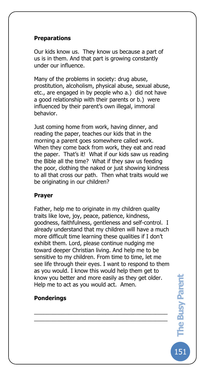### **Preparations**

The Busy Pare

Our kids know us. They know us because a part of us is in them. And that part is growing constantly under our influence.

Many of the problems in society: drug abuse, prostitution, alcoholism, physical abuse, sexual abuse, etc., are engaged in by people who a.) did not have a good relationship with their parents or b.) were influenced by their parent's own illegal, immoral behavior.

Just coming home from work, having dinner, and reading the paper, teaches our kids that in the morning a parent goes somewhere called work. When they come back from work, they eat and read the paper. That's it! What if our kids saw us reading the Bible all the time? What if they saw us feeding the poor, clothing the naked or just showing kindness to all that cross our path. Then what traits would we be originating in our children?

#### **Prayer**

Father, help me to originate in my children quality traits like love, joy, peace, patience, kindness, goodness, faithfulness, gentleness and self-control. I already understand that my children will have a much more difficult time learning these qualities if I don't exhibit them. Lord, please continue nudging me toward deeper Christian living. And help me to be sensitive to my children. From time to time, let me see life through their eyes. I want to respond to them as you would. I know this would help them get to know you better and more easily as they get older. Help me to act as you would act. Amen.

\_\_\_\_\_\_\_\_\_\_\_\_\_\_\_\_\_\_\_\_\_\_\_\_\_\_\_\_\_\_\_\_\_\_\_\_\_\_\_\_\_\_\_ \_\_\_\_\_\_\_\_\_\_\_\_\_\_\_\_\_\_\_\_\_\_\_\_\_\_\_\_\_\_\_\_\_\_\_\_\_\_\_\_\_\_\_

### **Ponderings**

151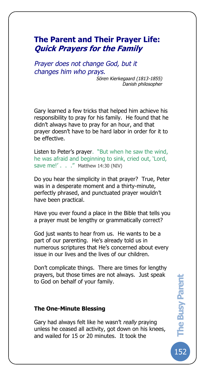# **The Parent and Their Prayer Life: Quick Prayers for the Family**

*Prayer does not change God, but it changes him who prays.*

The Busy Pare

*Sören Kierkegaard (1813-1855) Danish philosopher*

Gary learned a few tricks that helped him achieve his responsibility to pray for his family. He found that he didn't always have to pray for an hour, and that prayer doesn't have to be hard labor in order for it to be effective.

Listen to Peter's prayer. "But when he saw the wind, he was afraid and beginning to sink, cried out, 'Lord, save me!' . . ." Matthew 14:30 (NIV)

Do you hear the simplicity in that prayer? True, Peter was in a desperate moment and a thirty-minute, perfectly phrased, and punctuated prayer wouldn't have been practical.

Have you ever found a place in the Bible that tells you a prayer must be lengthy or grammatically correct?

God just wants to hear from us. He wants to be a part of our parenting. He's already told us in numerous scriptures that He's concerned about every issue in our lives and the lives of our children.

Don't complicate things. There are times for lengthy prayers, but those times are not always. Just speak to God on behalf of your family.

#### **The One-Minute Blessing**

Gary had always felt like he wasn't *really* praying unless he ceased all activity, got down on his knees, and wailed for 15 or 20 minutes. It took the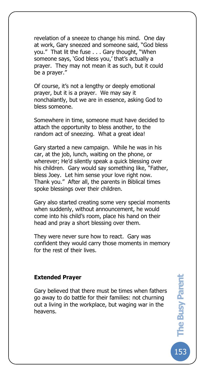revelation of a sneeze to change his mind. One day at work, Gary sneezed and someone said, "God bless you." That lit the fuse . . . Gary thought, "When someone says, 'God bless you,' that's actually a prayer. They may not mean it as such, but it could be a prayer."

The Busy Pare

Of course, it's not a lengthy or deeply emotional prayer, but it is a prayer. We may say it nonchalantly, but we are in essence, asking God to bless someone.

Somewhere in time, someone must have decided to attach the opportunity to bless another, to the random act of sneezing. What a great idea!

Gary started a new campaign. While he was in his car, at the job, lunch, waiting on the phone, or wherever; He'd silently speak a quick blessing over his children. Gary would say something like, "Father, bless Joey. Let him sense your love right now. Thank you." After all, the parents in Biblical times spoke blessings over their children.

Gary also started creating some very special moments when suddenly, without announcement, he would come into his child's room, place his hand on their head and pray a short blessing over them.

They were never sure how to react. Gary was confident they would carry those moments in memory for the rest of their lives.

#### **Extended Prayer**

Gary believed that there must be times when fathers go away to do battle for their families: not churning out a living in the workplace, but waging war in the heavens.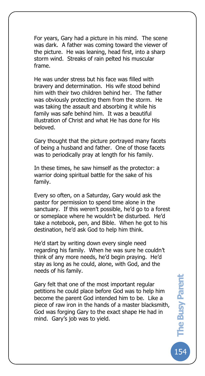For years, Gary had a picture in his mind. The scene was dark. A father was coming toward the viewer of the picture. He was leaning, head first, into a sharp storm wind. Streaks of rain pelted his muscular frame.

The Busy Pare

He was under stress but his face was filled with bravery and determination. His wife stood behind him with their two children behind her. The father was obviously protecting them from the storm. He was taking the assault and absorbing it while his family was safe behind him. It was a beautiful illustration of Christ and what He has done for His beloved.

Gary thought that the picture portrayed many facets of being a husband and father. One of those facets was to periodically pray at length for his family.

In these times, he saw himself as the protector: a warrior doing spiritual battle for the sake of his family.

Every so often, on a Saturday, Gary would ask the pastor for permission to spend time alone in the sanctuary. If this weren't possible, he'd go to a forest or someplace where he wouldn't be disturbed. He'd take a notebook, pen, and Bible. When he got to his destination, he'd ask God to help him think.

He'd start by writing down every single need regarding his family. When he was sure he couldn't think of any more needs, he'd begin praying. He'd stay as long as he could, alone, with God, and the needs of his family.

Gary felt that one of the most important regular petitions he could place before God was to help him become the parent God intended him to be. Like a piece of raw iron in the hands of a master blacksmith, God was forging Gary to the exact shape He had in mind. Gary's job was to yield.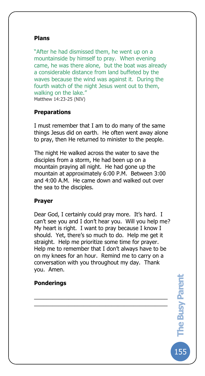#### **Plans**

The Busy Pare

"After he had dismissed them, he went up on a mountainside by himself to pray. When evening came, he was there alone, but the boat was already a considerable distance from land buffeted by the waves because the wind was against it. During the fourth watch of the night Jesus went out to them, walking on the lake." Matthew 14:23-25 (NIV)

#### **Preparations**

I must remember that I am to do many of the same things Jesus did on earth. He often went away alone to pray, then He returned to minister to the people.

The night He walked across the water to save the disciples from a storm, He had been up on a mountain praying all night. He had gone up the mountain at approximately 6:00 P.M. Between 3:00 and 4:00 A.M. He came down and walked out over the sea to the disciples.

#### **Prayer**

Dear God, I certainly could pray more. It's hard. I can't see you and I don't hear you. Will you help me? My heart is right. I want to pray because I know I should. Yet, there's so much to do. Help me get it straight. Help me prioritize some time for prayer. Help me to remember that I don't always have to be on my knees for an hour. Remind me to carry on a conversation with you throughout my day. Thank you. Amen.

\_\_\_\_\_\_\_\_\_\_\_\_\_\_\_\_\_\_\_\_\_\_\_\_\_\_\_\_\_\_\_\_\_\_\_\_\_\_\_\_\_\_\_ \_\_\_\_\_\_\_\_\_\_\_\_\_\_\_\_\_\_\_\_\_\_\_\_\_\_\_\_\_\_\_\_\_\_\_\_\_\_\_\_\_\_\_

#### **Ponderings**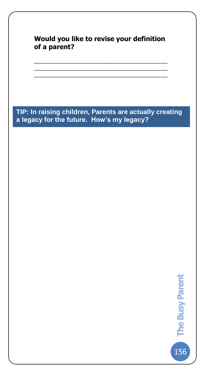**Would you like to revise your definition of a parent?**

\_\_\_\_\_\_\_\_\_\_\_\_\_\_\_\_\_\_\_\_\_\_\_\_\_\_\_\_\_\_\_\_\_\_\_\_\_\_\_\_\_\_\_ \_\_\_\_\_\_\_\_\_\_\_\_\_\_\_\_\_\_\_\_\_\_\_\_\_\_\_\_\_\_\_\_\_\_\_\_\_\_\_\_\_\_\_ \_\_\_\_\_\_\_\_\_\_\_\_\_\_\_\_\_\_\_\_\_\_\_\_\_\_\_\_\_\_\_\_\_\_\_\_\_\_\_\_\_\_\_

The Busy Pare

**TIP: In raising children, Parents are actually creating a legacy for the future. How's my legacy?**

156**The Busy Parent** 

156

The Busy Parent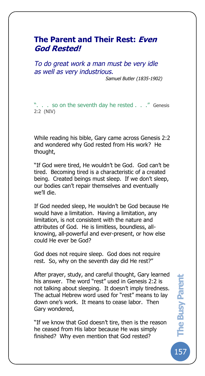# **The Parent and Their Rest: Even God Rested!**

The Busy Pare

*To do great work a man must be very idle as well as very industrious.*

*Samuel Butler (1835-1902)*

". . . so on the seventh day he rested . . ." Genesis 2:2 (NIV)

While reading his bible, Gary came across Genesis 2:2 and wondered why God rested from His work? He thought,

"If God were tired, He wouldn't be God. God can't be tired. Becoming tired is a characteristic of a created being. Created beings must sleep. If we don't sleep, our bodies can't repair themselves and eventually we'll die.

If God needed sleep, He wouldn't be God because He would have a limitation. Having a limitation, any limitation, is not consistent with the nature and attributes of God. He is limitless, boundless, allknowing, all-powerful and ever-present, or how else could He ever be God?

God does not require sleep. God does not require rest. So, why on the seventh day did He rest?"

After prayer, study, and careful thought, Gary learned his answer. The word "rest" used in Genesis 2:2 is not talking about sleeping. It doesn't imply tiredness. The actual Hebrew word used for "rest" means to lay down one's work. It means to cease labor. Then Gary wondered,

"If we know that God doesn't tire, then is the reason he ceased from His labor because He was simply finished? Why even mention that God rested?

157**The Busy Parent The Busy Parent** 

 $15<sub>l</sub>$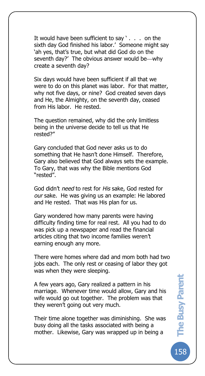It would have been sufficient to say ' . . . on the sixth day God finished his labor.' Someone might say 'ah yes, that's true, but what did God do on the seventh day?' The obvious answer would be why create a seventh day?

The Busy Pare

Six days would have been sufficient if all that we were to do on this planet was labor. For that matter, why not five days, or nine? God created seven days and He, the Almighty, on the seventh day, ceased from His labor. He rested.

The question remained, why did the only limitless being in the universe decide to tell us that He rested?"

Gary concluded that God never asks us to do something that He hasn't done Himself. Therefore, Gary also believed that God always sets the example. To Gary, that was why the Bible mentions God "rested".

God didn't *need* to rest for *His* sake, God rested for *our* sake. He was giving us an example: He labored and He rested. That was His plan for us.

Gary wondered how many parents were having difficulty finding time for real rest. All you had to do was pick up a newspaper and read the financial articles citing that two income families weren't earning enough any more.

There were homes where dad and mom both had two jobs each. The only rest or ceasing of labor they got was when they were sleeping.

A few years ago, Gary realized a pattern in his marriage. Whenever time would allow, Gary and his wife would go out together. The problem was that they weren't going out very much.

Their time alone together was diminishing. She was busy doing all the tasks associated with being a mother. Likewise, Gary was wrapped up in being a

158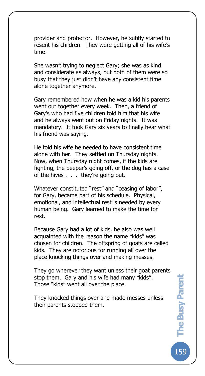provider and protector. However, he subtly started to resent his children. They were getting all of his wife's time.

The Busy Pare

She wasn't trying to neglect Gary; she was as kind and considerate as always, but both of them were so busy that they just didn't have any consistent time alone together anymore.

Gary remembered how when he was a kid his parents went out together every week. Then, a friend of Gary's who had five children told him that his wife and he always went out on Friday nights. It was mandatory. It took Gary six years to finally hear what his friend was saying.

He told his wife he needed to have consistent time alone with her. They settled on Thursday nights. Now, when Thursday night comes, if the kids are fighting, the beeper's going off, or the dog has a case of the hives . . . they're going out.

Whatever constituted "rest" and "ceasing of labor", for Gary, became part of his schedule. Physical, emotional, and intellectual rest is needed by every human being. Gary learned to make the time for rest.

Because Gary had a lot of kids, he also was well acquainted with the reason the name "kids" was chosen for children. The offspring of goats are called kids. They are notorious for running all over the place knocking things over and making messes.

They go wherever they want unless their goat parents stop them. Gary and his wife had many "kids". Those "kids" went all over the place.

They knocked things over and made messes unless their parents stopped them.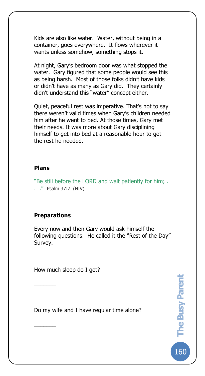Kids are also like water. Water, without being in a container, goes everywhere. It flows wherever it wants unless somehow, something stops it.

At night, Gary's bedroom door was what stopped the water. Gary figured that some people would see this as being harsh. Most of those folks didn't have kids or didn't have as many as Gary did. They certainly didn't understand this "water" concept either.

Quiet, peaceful rest was imperative. That's not to say there weren't valid times when Gary's children needed him after he went to bed. At those times, Gary met their needs. It was more about Gary disciplining himself to get into bed at a reasonable hour to get the rest he needed.

#### **Plans**

The Busy Pare

"Be still before the LORD and wait patiently for him; . . ." Psalm 37:7 (NIV)

#### **Preparations**

 $\frac{1}{2}$ 

 $\overline{\phantom{a}}$ 

Every now and then Gary would ask himself the following questions. He called it the "Rest of the Day" Survey.

How much sleep do I get?

Do my wife and I have regular time alone?

160**The Busy Parent** 

-<br>160

**The Busy Parent**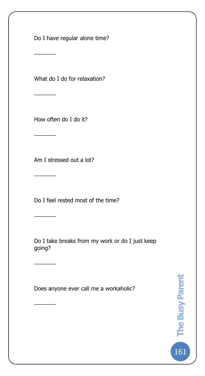Do I have regular alone time?

The Busy Pare

What do I do for relaxation?

How often do I do it?

 $\overline{\phantom{a}}$ 

 $\overline{\phantom{a}}$ 

 $\overline{\phantom{a}}$ 

 $\overline{\phantom{a}}$ 

\_\_\_\_\_\_\_

 $\overline{\phantom{a}}$ 

 $\overline{\phantom{a}}$ 

Am I stressed out a lot?

Do I feel rested most of the time?

Do I take breaks from my work or do I just keep going?

Does anyone ever call me a workaholic?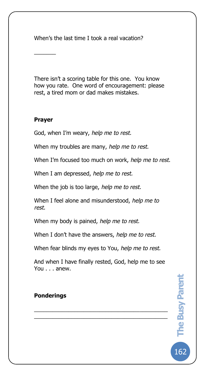When's the last time I took a real vacation?

There isn't a scoring table for this one. You know how you rate. One word of encouragement: please rest, a tired mom or dad makes mistakes.

## **Prayer**

 $\overline{\phantom{a}}$ 

The Busy Pare

God, when I'm weary, *help me to rest.*

When my troubles are many, *help me to rest.*

When I'm focused too much on work, *help me to rest.*

When I am depressed, *help me to rest.*

When the job is too large, *help me to rest.*

When I feel alone and misunderstood, *help me to rest.*

When my body is pained, *help me to rest.*

When I don't have the answers, *help me to rest.*

When fear blinds my eyes to You, *help me to rest.*

And when I have finally rested, God, help me to see You . . . anew.

\_\_\_\_\_\_\_\_\_\_\_\_\_\_\_\_\_\_\_\_\_\_\_\_\_\_\_\_\_\_\_\_\_\_\_\_\_\_\_\_\_\_\_  $\overline{\mathcal{L}}$  , and the set of the set of the set of the set of the set of the set of the set of the set of the set of the set of the set of the set of the set of the set of the set of the set of the set of the set of the s

# **Ponderings**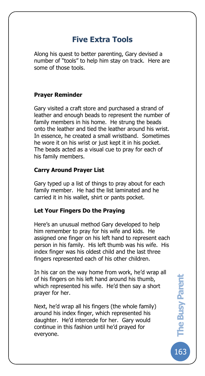# **Five Extra Tools**

Along his quest to better parenting, Gary devised a number of "tools" to help him stay on track. Here are some of those tools.

## **Prayer Reminder**

The Busy Pare

Gary visited a craft store and purchased a strand of leather and enough beads to represent the number of family members in his home. He strung the beads onto the leather and tied the leather around his wrist. In essence, he created a small wristband. Sometimes he wore it on his wrist or just kept it in his pocket. The beads acted as a visual cue to pray for each of his family members.

### **Carry Around Prayer List**

Gary typed up a list of things to pray about for each family member. He had the list laminated and he carried it in his wallet, shirt or pants pocket.

### **Let Your Fingers Do the Praying**

Here's an unusual method Gary developed to help him remember to pray for his wife and kids. He assigned one finger on his left hand to represent each person in his family. His left thumb was his wife. His index finger was his oldest child and the last three fingers represented each of his other children.

In his car on the way home from work, he'd wrap all of his fingers on his left hand around his thumb, which represented his wife. He'd then say a short prayer for her.

Next, he'd wrap all his fingers (the whole family) around his index finger, which represented his daughter. He'd intercede for her. Gary would continue in this fashion until he'd prayed for everyone.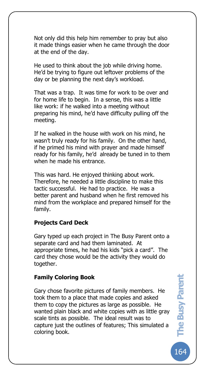Not only did this help him remember to pray but also it made things easier when he came through the door at the end of the day.

He used to think about the job while driving home. He'd be trying to figure out leftover problems of the day or be planning the next day's workload.

That was a trap. It was time for work to be over and for home life to begin. In a sense, this was a little like work: if he walked into a meeting without preparing his mind, he'd have difficulty pulling off the meeting.

If he walked in the house with work on his mind, he wasn't truly ready for his family. On the other hand, if he primed his mind with prayer and made himself ready for his family, he'd already be tuned in to them when he made his entrance.

This was hard. He enjoyed thinking about work. Therefore, he needed a little discipline to make this tactic successful. He had to practice. He was a better parent and husband when he first removed his mind from the workplace and prepared himself for the family.

### **Projects Card Deck**

The Busy Pare

Gary typed up each project in The Busy Parent onto a separate card and had them laminated. At appropriate times, he had his kids "pick a card". The card they chose would be the activity they would do together.

#### **Family Coloring Book**

Gary chose favorite pictures of family members. He took them to a place that made copies and asked them to copy the pictures as large as possible. He wanted plain black and white copies with as little gray scale tints as possible. The ideal result was to capture just the outlines of features; This simulated a coloring book.

164**The Busy Parent**  The Busy Parent

**164**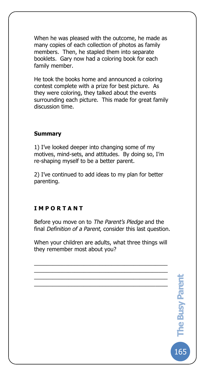When he was pleased with the outcome, he made as many copies of each collection of photos as family members. Then, he stapled them into separate booklets. Gary now had a coloring book for each family member.

He took the books home and announced a coloring contest complete with a prize for best picture. As they were coloring, they talked about the events surrounding each picture. This made for great family discussion time.

## **Summary**

The Busy Pare

1) I've looked deeper into changing some of my motives, mind-sets, and attitudes. By doing so, I'm re-shaping myself to be a better parent.

2) I've continued to add ideas to my plan for better parenting.

## **I M P O R T A N T**

Before you move on to *The Parent's Pledge* and the final *Definition of a Parent*, consider this last question.

When your children are adults, what three things will they remember most about you?

\_\_\_\_\_\_\_\_\_\_\_\_\_\_\_\_\_\_\_\_\_\_\_\_\_\_\_\_\_\_\_\_\_\_\_\_\_\_\_\_\_\_\_ \_\_\_\_\_\_\_\_\_\_\_\_\_\_\_\_\_\_\_\_\_\_\_\_\_\_\_\_\_\_\_\_\_\_\_\_\_\_\_\_\_\_\_ \_\_\_\_\_\_\_\_\_\_\_\_\_\_\_\_\_\_\_\_\_\_\_\_\_\_\_\_\_\_\_\_\_\_\_\_\_\_\_\_\_\_\_ \_\_\_\_\_\_\_\_\_\_\_\_\_\_\_\_\_\_\_\_\_\_\_\_\_\_\_\_\_\_\_\_\_\_\_\_\_\_\_\_\_\_\_

165**The Busy Parent** 

**165** 

The Busy Parent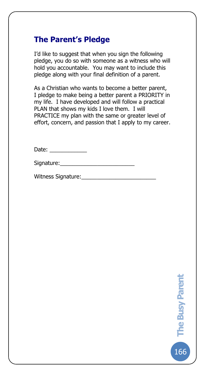# **The Parent's Pledge**

The Busy Pare

I'd like to suggest that when you sign the following pledge, you do so with someone as a witness who will hold you accountable. You may want to include this pledge along with your final definition of a parent.

As a Christian who wants to become a better parent, I pledge to make being a better parent a PRIORITY in my life. I have developed and will follow a practical PLAN that shows my kids I love them. I will PRACTICE my plan with the same or greater level of effort, concern, and passion that I apply to my career.

Date:

| Signature: |  |  |
|------------|--|--|
|            |  |  |

Witness Signature:\_\_\_\_\_\_\_\_\_\_\_\_\_\_\_\_\_\_\_\_\_\_\_\_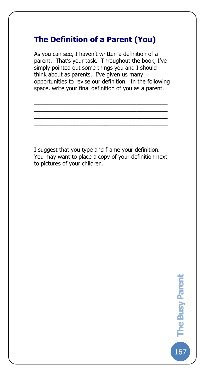# **The Definition of a Parent (You)**

The Busy Pare

As you can see, I haven't written a definition of a parent. That's your task. Throughout the book, I've simply pointed out some things you and I should think about as parents. I've given us many opportunities to revise our definition. In the following space, write your final definition of you as a parent.

\_\_\_\_\_\_\_\_\_\_\_\_\_\_\_\_\_\_\_\_\_\_\_\_\_\_\_\_\_\_\_\_\_\_\_\_\_\_\_\_\_\_\_ \_\_\_\_\_\_\_\_\_\_\_\_\_\_\_\_\_\_\_\_\_\_\_\_\_\_\_\_\_\_\_\_\_\_\_\_\_\_\_\_\_\_\_ \_\_\_\_\_\_\_\_\_\_\_\_\_\_\_\_\_\_\_\_\_\_\_\_\_\_\_\_\_\_\_\_\_\_\_\_\_\_\_\_\_\_\_ \_\_\_\_\_\_\_\_\_\_\_\_\_\_\_\_\_\_\_\_\_\_\_\_\_\_\_\_\_\_\_\_\_\_\_\_\_\_\_\_\_\_\_

I suggest that you type and frame your definition. You may want to place a copy of your definition next to pictures of your children.

167**The Busy Parent** 

 $\begin{bmatrix} 167 \end{bmatrix}$ 

The Busy Parent